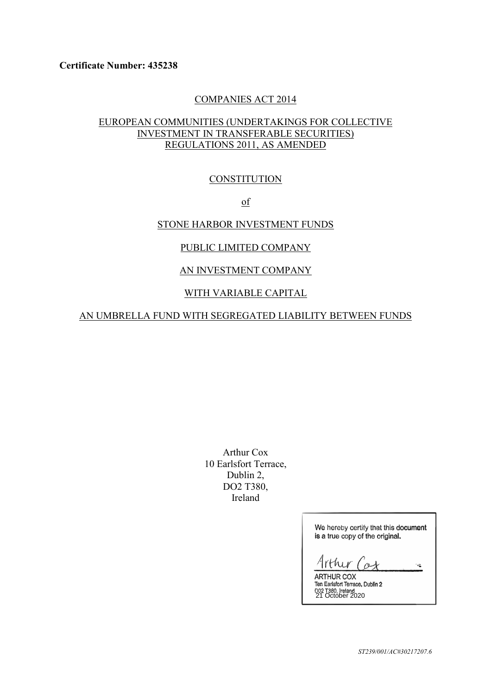### COMPANIES ACT 2014

# EUROPEAN COMMUNITIES (UNDERTAKINGS FOR COLLECTIVE INVESTMENT IN TRANSFERABLE SECURITIES) REGULATIONS 2011, AS AMENDED

### **CONSTITUTION**

of

# STONE HARBOR INVESTMENT FUNDS

### PUBLIC LIMITED COMPANY

# AN INVESTMENT COMPANY

## WITH VARIABLE CAPITAL

### AN UMBRELLA FUND WITH SEGREGATED LIABILITY BETWEEN FUNDS

Arthur Cox 10 Earlsfort Terrace, Dublin 2, DO2 T380, Ireland

> We hereby certify that this document is a true copy of the original.

 $thur$  $\alpha$  $\mathcal{C}^{\mathcal{C}}$ ARTHUR COX

Ten Earlsfort Terrace, Dublin 2 21 October 2020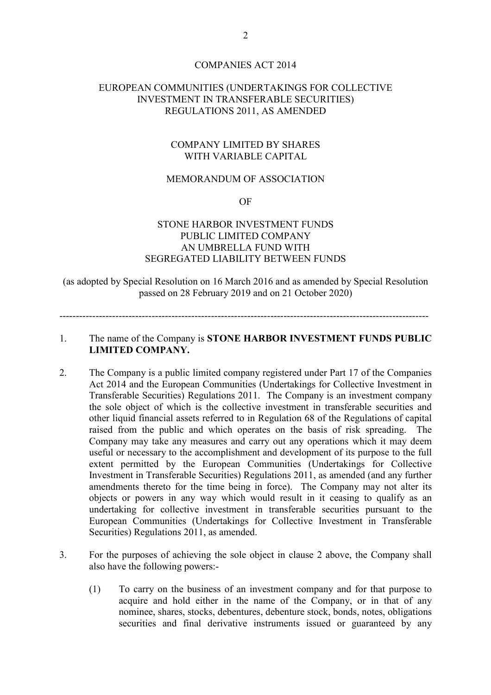#### COMPANIES ACT 2014

### EUROPEAN COMMUNITIES (UNDERTAKINGS FOR COLLECTIVE INVESTMENT IN TRANSFERABLE SECURITIES) REGULATIONS 2011, AS AMENDED

### COMPANY LIMITED BY SHARES WITH VARIABLE CAPITAL

### MEMORANDUM OF ASSOCIATION

OF

# STONE HARBOR INVESTMENT FUNDS PUBLIC LIMITED COMPANY AN UMBRELLA FUND WITH SEGREGATED LIABILITY BETWEEN FUNDS

(as adopted by Special Resolution on 16 March 2016 and as amended by Special Resolution passed on 28 February 2019 and on 21 October 2020)

----------------------------------------------------------------------------------------------------------------

# 1. The name of the Company is **STONE HARBOR INVESTMENT FUNDS PUBLIC LIMITED COMPANY.**

- 2. The Company is a public limited company registered under Part 17 of the Companies Act 2014 and the European Communities (Undertakings for Collective Investment in Transferable Securities) Regulations 2011. The Company is an investment company the sole object of which is the collective investment in transferable securities and other liquid financial assets referred to in Regulation 68 of the Regulations of capital raised from the public and which operates on the basis of risk spreading. The Company may take any measures and carry out any operations which it may deem useful or necessary to the accomplishment and development of its purpose to the full extent permitted by the European Communities (Undertakings for Collective Investment in Transferable Securities) Regulations 2011, as amended (and any further amendments thereto for the time being in force). The Company may not alter its objects or powers in any way which would result in it ceasing to qualify as an undertaking for collective investment in transferable securities pursuant to the European Communities (Undertakings for Collective Investment in Transferable Securities) Regulations 2011, as amended.
- 3. For the purposes of achieving the sole object in clause 2 above, the Company shall also have the following powers:-
	- (1) To carry on the business of an investment company and for that purpose to acquire and hold either in the name of the Company, or in that of any nominee, shares, stocks, debentures, debenture stock, bonds, notes, obligations securities and final derivative instruments issued or guaranteed by any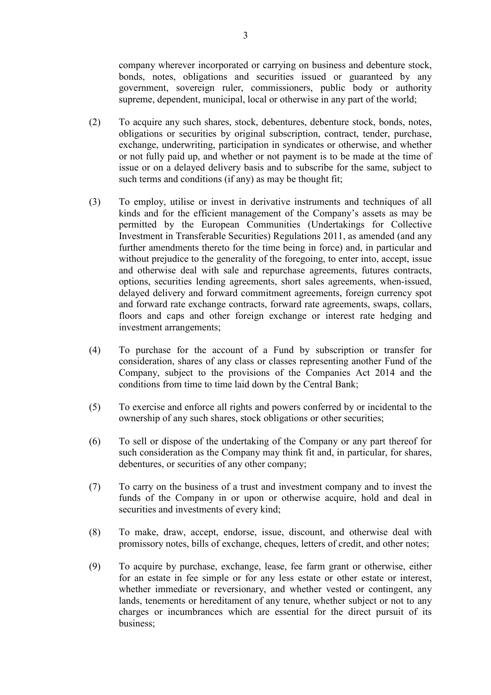company wherever incorporated or carrying on business and debenture stock, bonds, notes, obligations and securities issued or guaranteed by any government, sovereign ruler, commissioners, public body or authority supreme, dependent, municipal, local or otherwise in any part of the world;

- (2) To acquire any such shares, stock, debentures, debenture stock, bonds, notes, obligations or securities by original subscription, contract, tender, purchase, exchange, underwriting, participation in syndicates or otherwise, and whether or not fully paid up, and whether or not payment is to be made at the time of issue or on a delayed delivery basis and to subscribe for the same, subject to such terms and conditions (if any) as may be thought fit;
- (3) To employ, utilise or invest in derivative instruments and techniques of all kinds and for the efficient management of the Company's assets as may be permitted by the European Communities (Undertakings for Collective Investment in Transferable Securities) Regulations 2011, as amended (and any further amendments thereto for the time being in force) and, in particular and without prejudice to the generality of the foregoing, to enter into, accept, issue and otherwise deal with sale and repurchase agreements, futures contracts, options, securities lending agreements, short sales agreements, when-issued, delayed delivery and forward commitment agreements, foreign currency spot and forward rate exchange contracts, forward rate agreements, swaps, collars, floors and caps and other foreign exchange or interest rate hedging and investment arrangements;
- (4) To purchase for the account of a Fund by subscription or transfer for consideration, shares of any class or classes representing another Fund of the Company, subject to the provisions of the Companies Act 2014 and the conditions from time to time laid down by the Central Bank;
- (5) To exercise and enforce all rights and powers conferred by or incidental to the ownership of any such shares, stock obligations or other securities;
- (6) To sell or dispose of the undertaking of the Company or any part thereof for such consideration as the Company may think fit and, in particular, for shares, debentures, or securities of any other company;
- (7) To carry on the business of a trust and investment company and to invest the funds of the Company in or upon or otherwise acquire, hold and deal in securities and investments of every kind;
- (8) To make, draw, accept, endorse, issue, discount, and otherwise deal with promissory notes, bills of exchange, cheques, letters of credit, and other notes;
- (9) To acquire by purchase, exchange, lease, fee farm grant or otherwise, either for an estate in fee simple or for any less estate or other estate or interest, whether immediate or reversionary, and whether vested or contingent, any lands, tenements or hereditament of any tenure, whether subject or not to any charges or incumbrances which are essential for the direct pursuit of its business;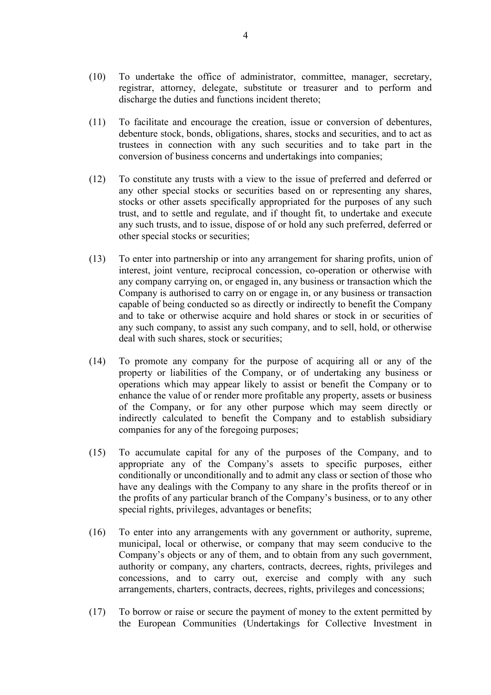- (10) To undertake the office of administrator, committee, manager, secretary, registrar, attorney, delegate, substitute or treasurer and to perform and discharge the duties and functions incident thereto;
- (11) To facilitate and encourage the creation, issue or conversion of debentures, debenture stock, bonds, obligations, shares, stocks and securities, and to act as trustees in connection with any such securities and to take part in the conversion of business concerns and undertakings into companies;
- (12) To constitute any trusts with a view to the issue of preferred and deferred or any other special stocks or securities based on or representing any shares, stocks or other assets specifically appropriated for the purposes of any such trust, and to settle and regulate, and if thought fit, to undertake and execute any such trusts, and to issue, dispose of or hold any such preferred, deferred or other special stocks or securities;
- (13) To enter into partnership or into any arrangement for sharing profits, union of interest, joint venture, reciprocal concession, co-operation or otherwise with any company carrying on, or engaged in, any business or transaction which the Company is authorised to carry on or engage in, or any business or transaction capable of being conducted so as directly or indirectly to benefit the Company and to take or otherwise acquire and hold shares or stock in or securities of any such company, to assist any such company, and to sell, hold, or otherwise deal with such shares, stock or securities;
- (14) To promote any company for the purpose of acquiring all or any of the property or liabilities of the Company, or of undertaking any business or operations which may appear likely to assist or benefit the Company or to enhance the value of or render more profitable any property, assets or business of the Company, or for any other purpose which may seem directly or indirectly calculated to benefit the Company and to establish subsidiary companies for any of the foregoing purposes;
- (15) To accumulate capital for any of the purposes of the Company, and to appropriate any of the Company's assets to specific purposes, either conditionally or unconditionally and to admit any class or section of those who have any dealings with the Company to any share in the profits thereof or in the profits of any particular branch of the Company's business, or to any other special rights, privileges, advantages or benefits;
- (16) To enter into any arrangements with any government or authority, supreme, municipal, local or otherwise, or company that may seem conducive to the Company's objects or any of them, and to obtain from any such government, authority or company, any charters, contracts, decrees, rights, privileges and concessions, and to carry out, exercise and comply with any such arrangements, charters, contracts, decrees, rights, privileges and concessions;
- (17) To borrow or raise or secure the payment of money to the extent permitted by the European Communities (Undertakings for Collective Investment in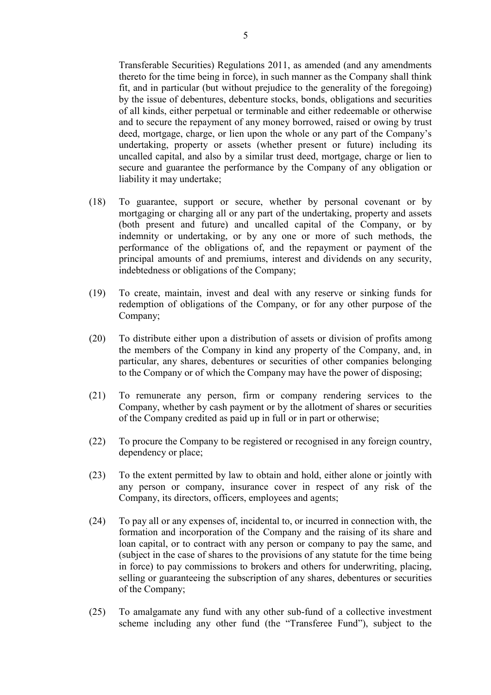Transferable Securities) Regulations 2011, as amended (and any amendments thereto for the time being in force), in such manner as the Company shall think fit, and in particular (but without prejudice to the generality of the foregoing) by the issue of debentures, debenture stocks, bonds, obligations and securities of all kinds, either perpetual or terminable and either redeemable or otherwise and to secure the repayment of any money borrowed, raised or owing by trust deed, mortgage, charge, or lien upon the whole or any part of the Company's undertaking, property or assets (whether present or future) including its uncalled capital, and also by a similar trust deed, mortgage, charge or lien to secure and guarantee the performance by the Company of any obligation or liability it may undertake;

- (18) To guarantee, support or secure, whether by personal covenant or by mortgaging or charging all or any part of the undertaking, property and assets (both present and future) and uncalled capital of the Company, or by indemnity or undertaking, or by any one or more of such methods, the performance of the obligations of, and the repayment or payment of the principal amounts of and premiums, interest and dividends on any security, indebtedness or obligations of the Company;
- (19) To create, maintain, invest and deal with any reserve or sinking funds for redemption of obligations of the Company, or for any other purpose of the Company;
- (20) To distribute either upon a distribution of assets or division of profits among the members of the Company in kind any property of the Company, and, in particular, any shares, debentures or securities of other companies belonging to the Company or of which the Company may have the power of disposing;
- (21) To remunerate any person, firm or company rendering services to the Company, whether by cash payment or by the allotment of shares or securities of the Company credited as paid up in full or in part or otherwise;
- (22) To procure the Company to be registered or recognised in any foreign country, dependency or place;
- (23) To the extent permitted by law to obtain and hold, either alone or jointly with any person or company, insurance cover in respect of any risk of the Company, its directors, officers, employees and agents;
- (24) To pay all or any expenses of, incidental to, or incurred in connection with, the formation and incorporation of the Company and the raising of its share and loan capital, or to contract with any person or company to pay the same, and (subject in the case of shares to the provisions of any statute for the time being in force) to pay commissions to brokers and others for underwriting, placing, selling or guaranteeing the subscription of any shares, debentures or securities of the Company;
- (25) To amalgamate any fund with any other sub-fund of a collective investment scheme including any other fund (the "Transferee Fund"), subject to the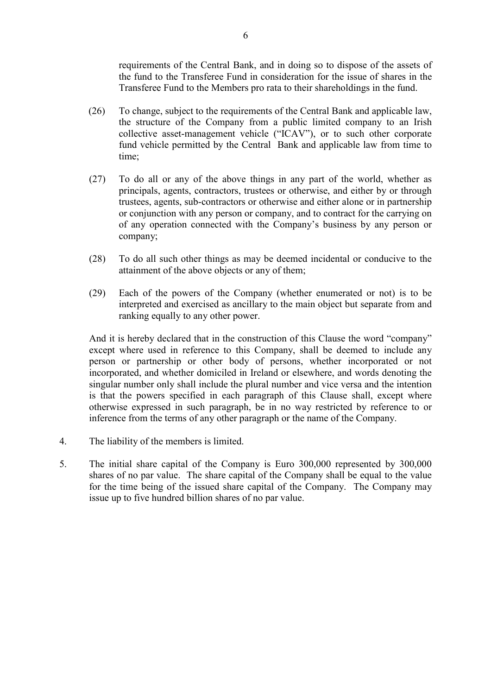requirements of the Central Bank, and in doing so to dispose of the assets of the fund to the Transferee Fund in consideration for the issue of shares in the Transferee Fund to the Members pro rata to their shareholdings in the fund.

- (26) To change, subject to the requirements of the Central Bank and applicable law, the structure of the Company from a public limited company to an Irish collective asset-management vehicle ("ICAV"), or to such other corporate fund vehicle permitted by the Central Bank and applicable law from time to time;
- (27) To do all or any of the above things in any part of the world, whether as principals, agents, contractors, trustees or otherwise, and either by or through trustees, agents, sub-contractors or otherwise and either alone or in partnership or conjunction with any person or company, and to contract for the carrying on of any operation connected with the Company's business by any person or company;
- (28) To do all such other things as may be deemed incidental or conducive to the attainment of the above objects or any of them;
- (29) Each of the powers of the Company (whether enumerated or not) is to be interpreted and exercised as ancillary to the main object but separate from and ranking equally to any other power.

 And it is hereby declared that in the construction of this Clause the word "company" except where used in reference to this Company, shall be deemed to include any person or partnership or other body of persons, whether incorporated or not incorporated, and whether domiciled in Ireland or elsewhere, and words denoting the singular number only shall include the plural number and vice versa and the intention is that the powers specified in each paragraph of this Clause shall, except where otherwise expressed in such paragraph, be in no way restricted by reference to or inference from the terms of any other paragraph or the name of the Company.

- 4. The liability of the members is limited.
- 5. The initial share capital of the Company is Euro 300,000 represented by 300,000 shares of no par value. The share capital of the Company shall be equal to the value for the time being of the issued share capital of the Company. The Company may issue up to five hundred billion shares of no par value.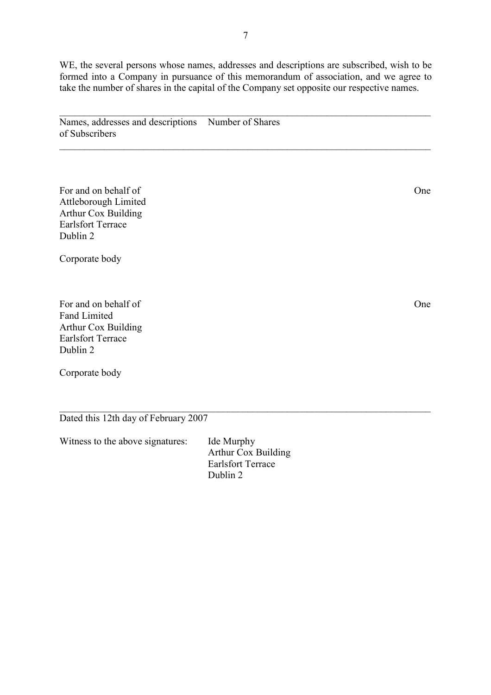WE, the several persons whose names, addresses and descriptions are subscribed, wish to be formed into a Company in pursuance of this memorandum of association, and we agree to take the number of shares in the capital of the Company set opposite our respective names.

 $\mathcal{L}_\mathcal{L} = \mathcal{L}_\mathcal{L} = \mathcal{L}_\mathcal{L} = \mathcal{L}_\mathcal{L} = \mathcal{L}_\mathcal{L} = \mathcal{L}_\mathcal{L} = \mathcal{L}_\mathcal{L} = \mathcal{L}_\mathcal{L} = \mathcal{L}_\mathcal{L} = \mathcal{L}_\mathcal{L} = \mathcal{L}_\mathcal{L} = \mathcal{L}_\mathcal{L} = \mathcal{L}_\mathcal{L} = \mathcal{L}_\mathcal{L} = \mathcal{L}_\mathcal{L} = \mathcal{L}_\mathcal{L} = \mathcal{L}_\mathcal{L}$ 

Names, addresses and descriptions Number of Shares of Subscribers

For and on behalf of One Attleborough Limited Arthur Cox Building Earlsfort Terrace Dublin 2

Corporate body

For and on behalf of One Fand Limited Arthur Cox Building Earlsfort Terrace Dublin 2

Corporate body

Dated this 12th day of February 2007

Witness to the above signatures: Ide Murphy

 Arthur Cox Building Earlsfort Terrace Dublin 2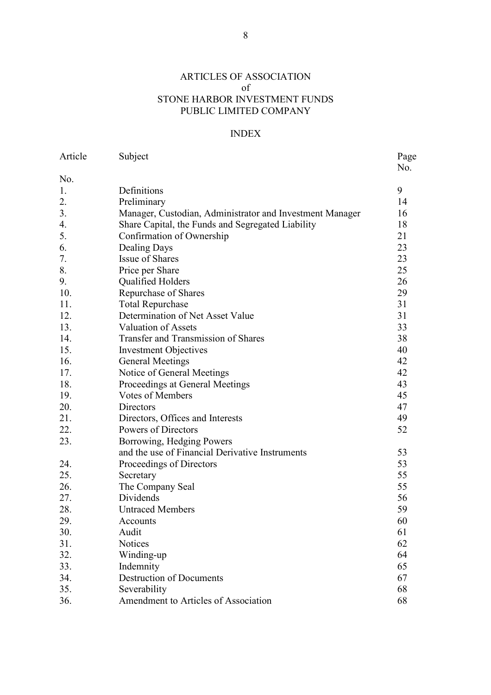# ARTICLES OF ASSOCIATION of STONE HARBOR INVESTMENT FUNDS PUBLIC LIMITED COMPANY

# INDEX

| Article | Subject                                                  | Page<br>No. |
|---------|----------------------------------------------------------|-------------|
| No.     |                                                          |             |
| 1.      | Definitions                                              | 9           |
| 2.      | Preliminary                                              | 14          |
| 3.      | Manager, Custodian, Administrator and Investment Manager | 16          |
| 4.      | Share Capital, the Funds and Segregated Liability        | 18          |
| 5.      | Confirmation of Ownership                                | 21          |
| 6.      | Dealing Days                                             | 23          |
| 7.      | <b>Issue of Shares</b>                                   | 23          |
| 8.      | Price per Share                                          | 25          |
| 9.      | Qualified Holders                                        | 26          |
| 10.     | Repurchase of Shares                                     | 29          |
| 11.     | <b>Total Repurchase</b>                                  | 31          |
| 12.     | Determination of Net Asset Value                         | 31          |
| 13.     | <b>Valuation of Assets</b>                               | 33          |
| 14.     | <b>Transfer and Transmission of Shares</b>               | 38          |
| 15.     | <b>Investment Objectives</b>                             | 40          |
| 16.     | <b>General Meetings</b>                                  | 42          |
| 17.     | Notice of General Meetings                               | 42          |
| 18.     | Proceedings at General Meetings                          | 43          |
| 19.     | <b>Votes of Members</b>                                  | 45          |
| 20.     | Directors                                                | 47          |
| 21.     | Directors, Offices and Interests                         | 49          |
| 22.     | Powers of Directors                                      | 52          |
| 23.     | Borrowing, Hedging Powers                                |             |
|         | and the use of Financial Derivative Instruments          | 53          |
| 24.     | Proceedings of Directors                                 | 53          |
| 25.     | Secretary                                                | 55          |
| 26.     | The Company Seal                                         | 55          |
| 27.     | Dividends                                                | 56          |
| 28.     | <b>Untraced Members</b>                                  | 59          |
| 29.     | Accounts                                                 | 60          |
| 30.     | Audit                                                    | 61          |
| 31.     | <b>Notices</b>                                           | 62          |
| 32.     | Winding-up                                               | 64          |
| 33.     | Indemnity                                                | 65          |
| 34.     | <b>Destruction of Documents</b>                          | 67          |
| 35.     | Severability                                             | 68          |
| 36.     | Amendment to Articles of Association                     | 68          |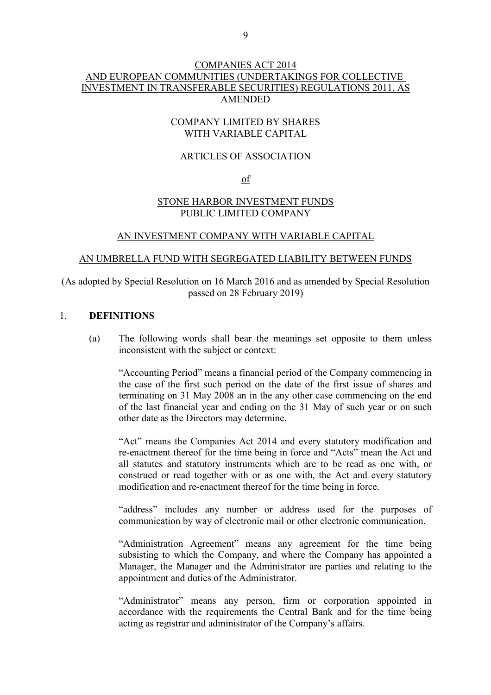# COMPANIES ACT 2014 AND EUROPEAN COMMUNITIES (UNDERTAKINGS FOR COLLECTIVE INVESTMENT IN TRANSFERABLE SECURITIES) REGULATIONS 2011, AS AMENDED

## COMPANY LIMITED BY SHARES WITH VARIABLE CAPITAL

#### ARTICLES OF ASSOCIATION

of

## STONE HARBOR INVESTMENT FUNDS PUBLIC LIMITED COMPANY

#### AN INVESTMENT COMPANY WITH VARIABLE CAPITAL

#### AN UMBRELLA FUND WITH SEGREGATED LIABILITY BETWEEN FUNDS

(As adopted by Special Resolution on 16 March 2016 and as amended by Special Resolution passed on 28 February 2019)

## 1. **DEFINITIONS**

 (a) The following words shall bear the meanings set opposite to them unless inconsistent with the subject or context:

 "Accounting Period" means a financial period of the Company commencing in the case of the first such period on the date of the first issue of shares and terminating on 31 May 2008 an in the any other case commencing on the end of the last financial year and ending on the 31 May of such year or on such other date as the Directors may determine.

 "Act" means the Companies Act 2014 and every statutory modification and re-enactment thereof for the time being in force and "Acts" mean the Act and all statutes and statutory instruments which are to be read as one with, or construed or read together with or as one with, the Act and every statutory modification and re-enactment thereof for the time being in force.

 "address" includes any number or address used for the purposes of communication by way of electronic mail or other electronic communication.

 "Administration Agreement" means any agreement for the time being subsisting to which the Company, and where the Company has appointed a Manager, the Manager and the Administrator are parties and relating to the appointment and duties of the Administrator.

 "Administrator" means any person, firm or corporation appointed in accordance with the requirements the Central Bank and for the time being acting as registrar and administrator of the Company's affairs.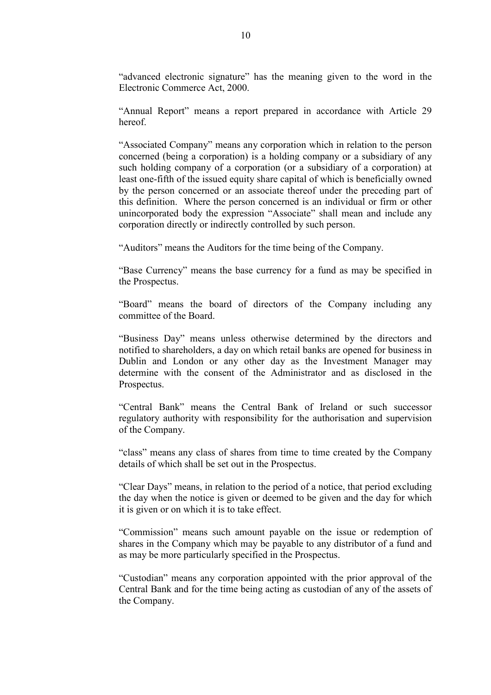"advanced electronic signature" has the meaning given to the word in the Electronic Commerce Act, 2000.

 "Annual Report" means a report prepared in accordance with Article 29 hereof.

 "Associated Company" means any corporation which in relation to the person concerned (being a corporation) is a holding company or a subsidiary of any such holding company of a corporation (or a subsidiary of a corporation) at least one-fifth of the issued equity share capital of which is beneficially owned by the person concerned or an associate thereof under the preceding part of this definition. Where the person concerned is an individual or firm or other unincorporated body the expression "Associate" shall mean and include any corporation directly or indirectly controlled by such person.

"Auditors" means the Auditors for the time being of the Company.

 "Base Currency" means the base currency for a fund as may be specified in the Prospectus.

 "Board" means the board of directors of the Company including any committee of the Board.

 "Business Day" means unless otherwise determined by the directors and notified to shareholders, a day on which retail banks are opened for business in Dublin and London or any other day as the Investment Manager may determine with the consent of the Administrator and as disclosed in the Prospectus.

"Central Bank" means the Central Bank of Ireland or such successor regulatory authority with responsibility for the authorisation and supervision of the Company.

 "class" means any class of shares from time to time created by the Company details of which shall be set out in the Prospectus.

 "Clear Days" means, in relation to the period of a notice, that period excluding the day when the notice is given or deemed to be given and the day for which it is given or on which it is to take effect.

 "Commission" means such amount payable on the issue or redemption of shares in the Company which may be payable to any distributor of a fund and as may be more particularly specified in the Prospectus.

"Custodian" means any corporation appointed with the prior approval of the Central Bank and for the time being acting as custodian of any of the assets of the Company.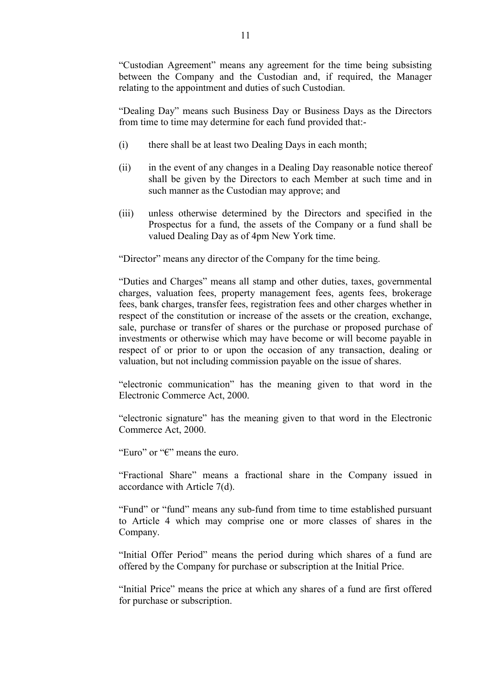"Custodian Agreement" means any agreement for the time being subsisting between the Company and the Custodian and, if required, the Manager relating to the appointment and duties of such Custodian.

"Dealing Day" means such Business Day or Business Days as the Directors from time to time may determine for each fund provided that:-

- (i) there shall be at least two Dealing Days in each month;
- (ii) in the event of any changes in a Dealing Day reasonable notice thereof shall be given by the Directors to each Member at such time and in such manner as the Custodian may approve; and
- (iii) unless otherwise determined by the Directors and specified in the Prospectus for a fund, the assets of the Company or a fund shall be valued Dealing Day as of 4pm New York time.

"Director" means any director of the Company for the time being.

 "Duties and Charges" means all stamp and other duties, taxes, governmental charges, valuation fees, property management fees, agents fees, brokerage fees, bank charges, transfer fees, registration fees and other charges whether in respect of the constitution or increase of the assets or the creation, exchange, sale, purchase or transfer of shares or the purchase or proposed purchase of investments or otherwise which may have become or will become payable in respect of or prior to or upon the occasion of any transaction, dealing or valuation, but not including commission payable on the issue of shares.

 "electronic communication" has the meaning given to that word in the Electronic Commerce Act, 2000.

 "electronic signature" has the meaning given to that word in the Electronic Commerce Act, 2000.

"Euro" or "€" means the euro.

 "Fractional Share" means a fractional share in the Company issued in accordance with Article 7(d).

 "Fund" or "fund" means any sub-fund from time to time established pursuant to Article 4 which may comprise one or more classes of shares in the Company.

 "Initial Offer Period" means the period during which shares of a fund are offered by the Company for purchase or subscription at the Initial Price.

 "Initial Price" means the price at which any shares of a fund are first offered for purchase or subscription.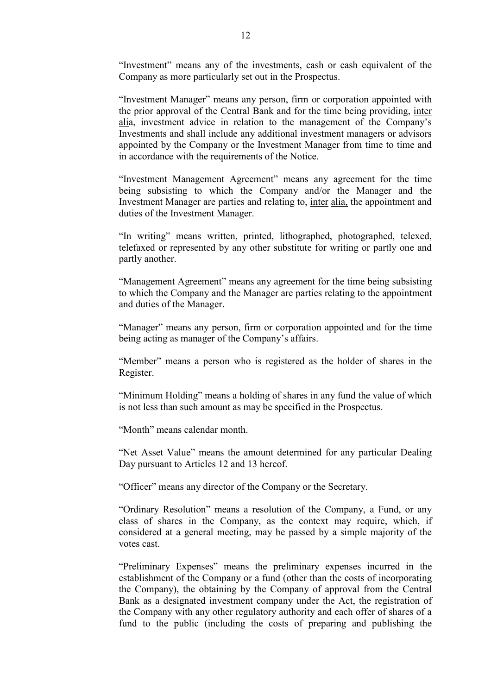"Investment" means any of the investments, cash or cash equivalent of the Company as more particularly set out in the Prospectus.

 "Investment Manager" means any person, firm or corporation appointed with the prior approval of the Central Bank and for the time being providing, inter alia, investment advice in relation to the management of the Company's Investments and shall include any additional investment managers or advisors appointed by the Company or the Investment Manager from time to time and in accordance with the requirements of the Notice.

 "Investment Management Agreement" means any agreement for the time being subsisting to which the Company and/or the Manager and the Investment Manager are parties and relating to, inter alia, the appointment and duties of the Investment Manager.

 "In writing" means written, printed, lithographed, photographed, telexed, telefaxed or represented by any other substitute for writing or partly one and partly another.

 "Management Agreement" means any agreement for the time being subsisting to which the Company and the Manager are parties relating to the appointment and duties of the Manager.

 "Manager" means any person, firm or corporation appointed and for the time being acting as manager of the Company's affairs.

 "Member" means a person who is registered as the holder of shares in the Register.

 "Minimum Holding" means a holding of shares in any fund the value of which is not less than such amount as may be specified in the Prospectus.

"Month" means calendar month.

 "Net Asset Value" means the amount determined for any particular Dealing Day pursuant to Articles 12 and 13 hereof.

"Officer" means any director of the Company or the Secretary.

 "Ordinary Resolution" means a resolution of the Company, a Fund, or any class of shares in the Company, as the context may require, which, if considered at a general meeting, may be passed by a simple majority of the votes cast.

 "Preliminary Expenses" means the preliminary expenses incurred in the establishment of the Company or a fund (other than the costs of incorporating the Company), the obtaining by the Company of approval from the Central Bank as a designated investment company under the Act, the registration of the Company with any other regulatory authority and each offer of shares of a fund to the public (including the costs of preparing and publishing the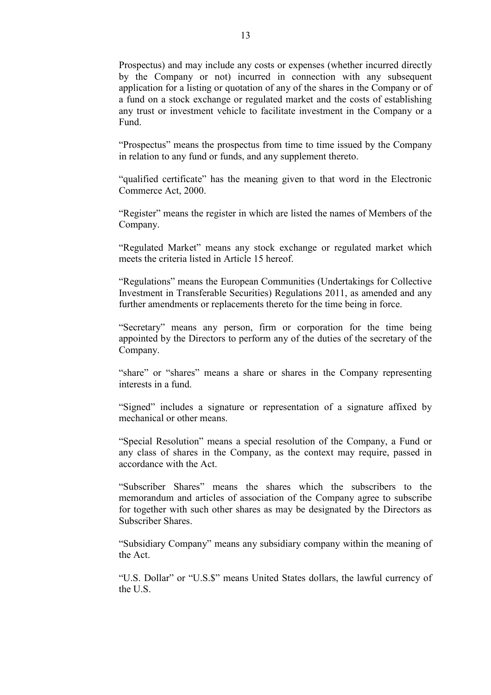Prospectus) and may include any costs or expenses (whether incurred directly by the Company or not) incurred in connection with any subsequent application for a listing or quotation of any of the shares in the Company or of a fund on a stock exchange or regulated market and the costs of establishing any trust or investment vehicle to facilitate investment in the Company or a Fund.

 "Prospectus" means the prospectus from time to time issued by the Company in relation to any fund or funds, and any supplement thereto.

 "qualified certificate" has the meaning given to that word in the Electronic Commerce Act, 2000.

 "Register" means the register in which are listed the names of Members of the Company.

 "Regulated Market" means any stock exchange or regulated market which meets the criteria listed in Article 15 hereof.

 "Regulations" means the European Communities (Undertakings for Collective Investment in Transferable Securities) Regulations 2011, as amended and any further amendments or replacements thereto for the time being in force.

 "Secretary" means any person, firm or corporation for the time being appointed by the Directors to perform any of the duties of the secretary of the Company.

 "share" or "shares" means a share or shares in the Company representing interests in a fund.

 "Signed" includes a signature or representation of a signature affixed by mechanical or other means.

 "Special Resolution" means a special resolution of the Company, a Fund or any class of shares in the Company, as the context may require, passed in accordance with the Act.

 "Subscriber Shares" means the shares which the subscribers to the memorandum and articles of association of the Company agree to subscribe for together with such other shares as may be designated by the Directors as Subscriber Shares.

 "Subsidiary Company" means any subsidiary company within the meaning of the Act.

 "U.S. Dollar" or "U.S.\$" means United States dollars, the lawful currency of the U.S.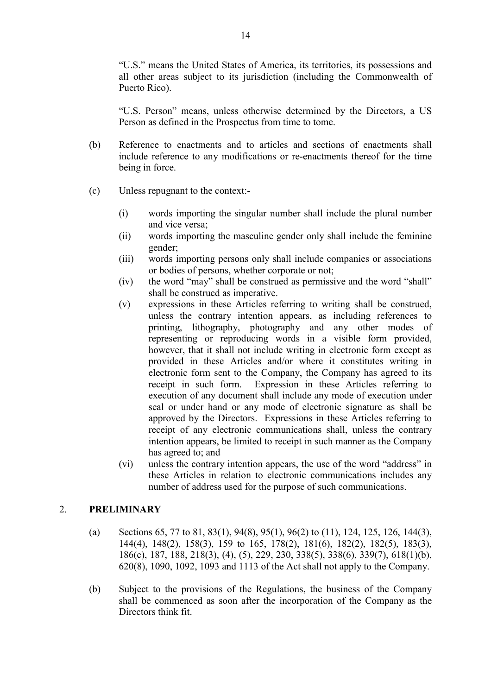"U.S." means the United States of America, its territories, its possessions and all other areas subject to its jurisdiction (including the Commonwealth of Puerto Rico).

 "U.S. Person" means, unless otherwise determined by the Directors, a US Person as defined in the Prospectus from time to tome.

- (b) Reference to enactments and to articles and sections of enactments shall include reference to any modifications or re-enactments thereof for the time being in force.
- (c) Unless repugnant to the context:-
	- (i) words importing the singular number shall include the plural number and vice versa;
	- (ii) words importing the masculine gender only shall include the feminine gender;
	- (iii) words importing persons only shall include companies or associations or bodies of persons, whether corporate or not;
	- (iv) the word "may" shall be construed as permissive and the word "shall" shall be construed as imperative.
	- (v) expressions in these Articles referring to writing shall be construed, unless the contrary intention appears, as including references to printing, lithography, photography and any other modes of representing or reproducing words in a visible form provided, however, that it shall not include writing in electronic form except as provided in these Articles and/or where it constitutes writing in electronic form sent to the Company, the Company has agreed to its receipt in such form. Expression in these Articles referring to execution of any document shall include any mode of execution under seal or under hand or any mode of electronic signature as shall be approved by the Directors. Expressions in these Articles referring to receipt of any electronic communications shall, unless the contrary intention appears, be limited to receipt in such manner as the Company has agreed to; and
	- (vi) unless the contrary intention appears, the use of the word "address" in these Articles in relation to electronic communications includes any number of address used for the purpose of such communications.

### 2. **PRELIMINARY**

- (a) Sections 65, 77 to 81, 83(1), 94(8), 95(1), 96(2) to (11), 124, 125, 126, 144(3), 144(4), 148(2), 158(3), 159 to 165, 178(2), 181(6), 182(2), 182(5), 183(3), 186(c), 187, 188, 218(3), (4), (5), 229, 230, 338(5), 338(6), 339(7), 618(1)(b), 620(8), 1090, 1092, 1093 and 1113 of the Act shall not apply to the Company.
- (b) Subject to the provisions of the Regulations, the business of the Company shall be commenced as soon after the incorporation of the Company as the Directors think fit.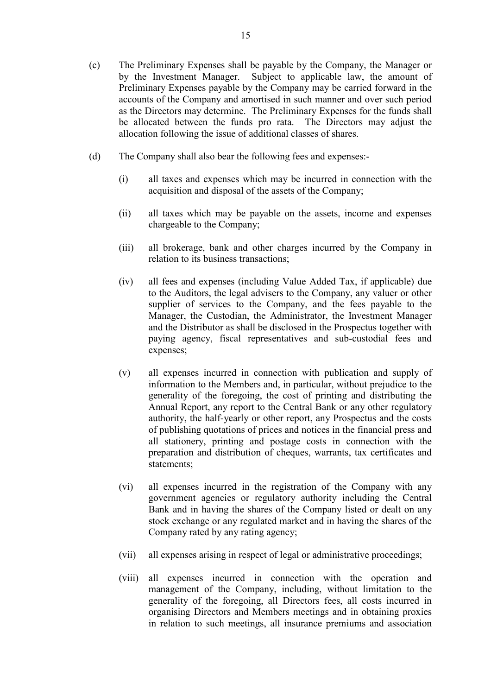- (c) The Preliminary Expenses shall be payable by the Company, the Manager or by the Investment Manager. Subject to applicable law, the amount of Preliminary Expenses payable by the Company may be carried forward in the accounts of the Company and amortised in such manner and over such period as the Directors may determine. The Preliminary Expenses for the funds shall be allocated between the funds pro rata. The Directors may adjust the allocation following the issue of additional classes of shares.
- (d) The Company shall also bear the following fees and expenses:-
	- (i) all taxes and expenses which may be incurred in connection with the acquisition and disposal of the assets of the Company;
	- (ii) all taxes which may be payable on the assets, income and expenses chargeable to the Company;
	- (iii) all brokerage, bank and other charges incurred by the Company in relation to its business transactions;
	- (iv) all fees and expenses (including Value Added Tax, if applicable) due to the Auditors, the legal advisers to the Company, any valuer or other supplier of services to the Company, and the fees payable to the Manager, the Custodian, the Administrator, the Investment Manager and the Distributor as shall be disclosed in the Prospectus together with paying agency, fiscal representatives and sub-custodial fees and expenses;
	- (v) all expenses incurred in connection with publication and supply of information to the Members and, in particular, without prejudice to the generality of the foregoing, the cost of printing and distributing the Annual Report, any report to the Central Bank or any other regulatory authority, the half-yearly or other report, any Prospectus and the costs of publishing quotations of prices and notices in the financial press and all stationery, printing and postage costs in connection with the preparation and distribution of cheques, warrants, tax certificates and statements;
	- (vi) all expenses incurred in the registration of the Company with any government agencies or regulatory authority including the Central Bank and in having the shares of the Company listed or dealt on any stock exchange or any regulated market and in having the shares of the Company rated by any rating agency;
	- (vii) all expenses arising in respect of legal or administrative proceedings;
	- (viii) all expenses incurred in connection with the operation and management of the Company, including, without limitation to the generality of the foregoing, all Directors fees, all costs incurred in organising Directors and Members meetings and in obtaining proxies in relation to such meetings, all insurance premiums and association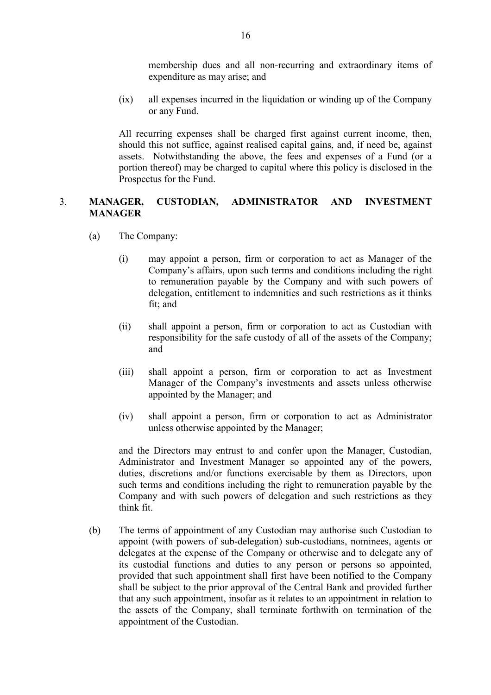membership dues and all non-recurring and extraordinary items of expenditure as may arise; and

 (ix) all expenses incurred in the liquidation or winding up of the Company or any Fund.

 All recurring expenses shall be charged first against current income, then, should this not suffice, against realised capital gains, and, if need be, against assets. Notwithstanding the above, the fees and expenses of a Fund (or a portion thereof) may be charged to capital where this policy is disclosed in the Prospectus for the Fund.

# 3. **MANAGER, CUSTODIAN, ADMINISTRATOR AND INVESTMENT MANAGER**

- (a) The Company:
	- (i) may appoint a person, firm or corporation to act as Manager of the Company's affairs, upon such terms and conditions including the right to remuneration payable by the Company and with such powers of delegation, entitlement to indemnities and such restrictions as it thinks fit; and
	- (ii) shall appoint a person, firm or corporation to act as Custodian with responsibility for the safe custody of all of the assets of the Company; and
	- (iii) shall appoint a person, firm or corporation to act as Investment Manager of the Company's investments and assets unless otherwise appointed by the Manager; and
	- (iv) shall appoint a person, firm or corporation to act as Administrator unless otherwise appointed by the Manager;

 and the Directors may entrust to and confer upon the Manager, Custodian, Administrator and Investment Manager so appointed any of the powers, duties, discretions and/or functions exercisable by them as Directors, upon such terms and conditions including the right to remuneration payable by the Company and with such powers of delegation and such restrictions as they think fit.

 (b) The terms of appointment of any Custodian may authorise such Custodian to appoint (with powers of sub-delegation) sub-custodians, nominees, agents or delegates at the expense of the Company or otherwise and to delegate any of its custodial functions and duties to any person or persons so appointed, provided that such appointment shall first have been notified to the Company shall be subject to the prior approval of the Central Bank and provided further that any such appointment, insofar as it relates to an appointment in relation to the assets of the Company, shall terminate forthwith on termination of the appointment of the Custodian.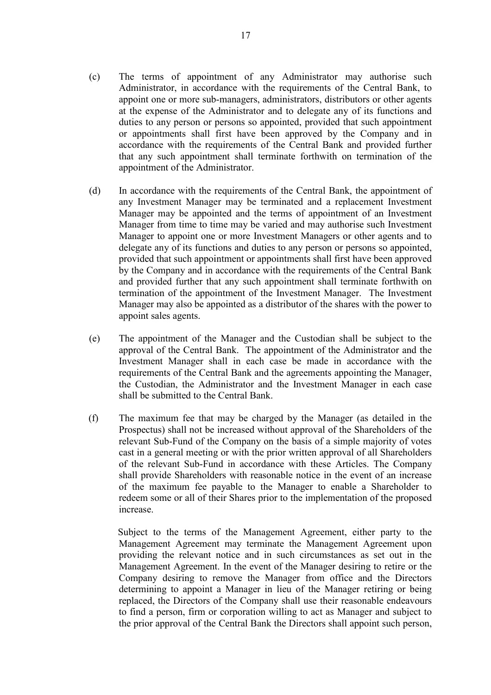- (c) The terms of appointment of any Administrator may authorise such Administrator, in accordance with the requirements of the Central Bank, to appoint one or more sub-managers, administrators, distributors or other agents at the expense of the Administrator and to delegate any of its functions and duties to any person or persons so appointed, provided that such appointment or appointments shall first have been approved by the Company and in accordance with the requirements of the Central Bank and provided further that any such appointment shall terminate forthwith on termination of the appointment of the Administrator.
- (d) In accordance with the requirements of the Central Bank, the appointment of any Investment Manager may be terminated and a replacement Investment Manager may be appointed and the terms of appointment of an Investment Manager from time to time may be varied and may authorise such Investment Manager to appoint one or more Investment Managers or other agents and to delegate any of its functions and duties to any person or persons so appointed, provided that such appointment or appointments shall first have been approved by the Company and in accordance with the requirements of the Central Bank and provided further that any such appointment shall terminate forthwith on termination of the appointment of the Investment Manager. The Investment Manager may also be appointed as a distributor of the shares with the power to appoint sales agents.
- (e) The appointment of the Manager and the Custodian shall be subject to the approval of the Central Bank. The appointment of the Administrator and the Investment Manager shall in each case be made in accordance with the requirements of the Central Bank and the agreements appointing the Manager, the Custodian, the Administrator and the Investment Manager in each case shall be submitted to the Central Bank.
- (f) The maximum fee that may be charged by the Manager (as detailed in the Prospectus) shall not be increased without approval of the Shareholders of the relevant Sub-Fund of the Company on the basis of a simple majority of votes cast in a general meeting or with the prior written approval of all Shareholders of the relevant Sub-Fund in accordance with these Articles. The Company shall provide Shareholders with reasonable notice in the event of an increase of the maximum fee payable to the Manager to enable a Shareholder to redeem some or all of their Shares prior to the implementation of the proposed increase.

Subject to the terms of the Management Agreement, either party to the Management Agreement may terminate the Management Agreement upon providing the relevant notice and in such circumstances as set out in the Management Agreement. In the event of the Manager desiring to retire or the Company desiring to remove the Manager from office and the Directors determining to appoint a Manager in lieu of the Manager retiring or being replaced, the Directors of the Company shall use their reasonable endeavours to find a person, firm or corporation willing to act as Manager and subject to the prior approval of the Central Bank the Directors shall appoint such person,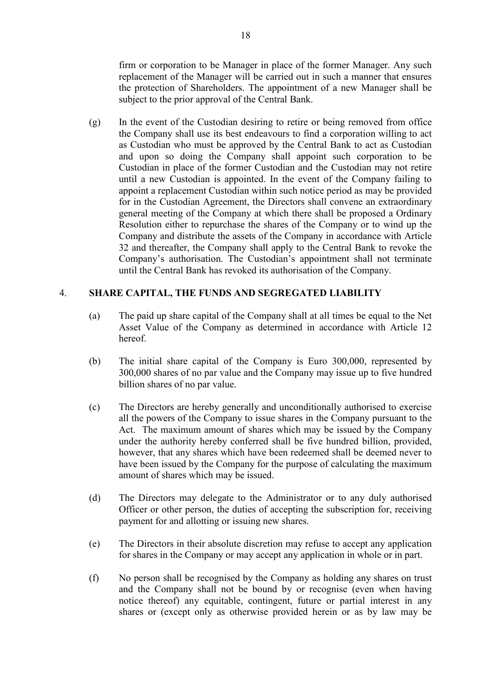firm or corporation to be Manager in place of the former Manager. Any such replacement of the Manager will be carried out in such a manner that ensures the protection of Shareholders. The appointment of a new Manager shall be subject to the prior approval of the Central Bank.

(g) In the event of the Custodian desiring to retire or being removed from office the Company shall use its best endeavours to find a corporation willing to act as Custodian who must be approved by the Central Bank to act as Custodian and upon so doing the Company shall appoint such corporation to be Custodian in place of the former Custodian and the Custodian may not retire until a new Custodian is appointed. In the event of the Company failing to appoint a replacement Custodian within such notice period as may be provided for in the Custodian Agreement, the Directors shall convene an extraordinary general meeting of the Company at which there shall be proposed a Ordinary Resolution either to repurchase the shares of the Company or to wind up the Company and distribute the assets of the Company in accordance with Article 32 and thereafter, the Company shall apply to the Central Bank to revoke the Company's authorisation. The Custodian's appointment shall not terminate until the Central Bank has revoked its authorisation of the Company.

# 4. **SHARE CAPITAL, THE FUNDS AND SEGREGATED LIABILITY**

- (a) The paid up share capital of the Company shall at all times be equal to the Net Asset Value of the Company as determined in accordance with Article 12 hereof.
- (b) The initial share capital of the Company is Euro 300,000, represented by 300,000 shares of no par value and the Company may issue up to five hundred billion shares of no par value.
- (c) The Directors are hereby generally and unconditionally authorised to exercise all the powers of the Company to issue shares in the Company pursuant to the Act. The maximum amount of shares which may be issued by the Company under the authority hereby conferred shall be five hundred billion, provided, however, that any shares which have been redeemed shall be deemed never to have been issued by the Company for the purpose of calculating the maximum amount of shares which may be issued.
- (d) The Directors may delegate to the Administrator or to any duly authorised Officer or other person, the duties of accepting the subscription for, receiving payment for and allotting or issuing new shares.
- (e) The Directors in their absolute discretion may refuse to accept any application for shares in the Company or may accept any application in whole or in part.
- (f) No person shall be recognised by the Company as holding any shares on trust and the Company shall not be bound by or recognise (even when having notice thereof) any equitable, contingent, future or partial interest in any shares or (except only as otherwise provided herein or as by law may be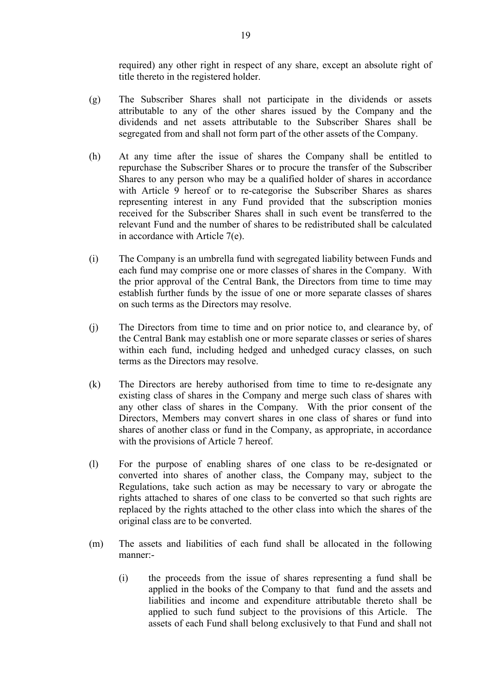required) any other right in respect of any share, except an absolute right of title thereto in the registered holder.

- (g) The Subscriber Shares shall not participate in the dividends or assets attributable to any of the other shares issued by the Company and the dividends and net assets attributable to the Subscriber Shares shall be segregated from and shall not form part of the other assets of the Company.
- (h) At any time after the issue of shares the Company shall be entitled to repurchase the Subscriber Shares or to procure the transfer of the Subscriber Shares to any person who may be a qualified holder of shares in accordance with Article 9 hereof or to re-categorise the Subscriber Shares as shares representing interest in any Fund provided that the subscription monies received for the Subscriber Shares shall in such event be transferred to the relevant Fund and the number of shares to be redistributed shall be calculated in accordance with Article 7(e).
- (i) The Company is an umbrella fund with segregated liability between Funds and each fund may comprise one or more classes of shares in the Company. With the prior approval of the Central Bank, the Directors from time to time may establish further funds by the issue of one or more separate classes of shares on such terms as the Directors may resolve.
- (j) The Directors from time to time and on prior notice to, and clearance by, of the Central Bank may establish one or more separate classes or series of shares within each fund, including hedged and unhedged curacy classes, on such terms as the Directors may resolve.
- (k) The Directors are hereby authorised from time to time to re-designate any existing class of shares in the Company and merge such class of shares with any other class of shares in the Company. With the prior consent of the Directors, Members may convert shares in one class of shares or fund into shares of another class or fund in the Company, as appropriate, in accordance with the provisions of Article 7 hereof.
- (l) For the purpose of enabling shares of one class to be re-designated or converted into shares of another class, the Company may, subject to the Regulations, take such action as may be necessary to vary or abrogate the rights attached to shares of one class to be converted so that such rights are replaced by the rights attached to the other class into which the shares of the original class are to be converted.
- (m) The assets and liabilities of each fund shall be allocated in the following manner:-
	- (i) the proceeds from the issue of shares representing a fund shall be applied in the books of the Company to that fund and the assets and liabilities and income and expenditure attributable thereto shall be applied to such fund subject to the provisions of this Article. The assets of each Fund shall belong exclusively to that Fund and shall not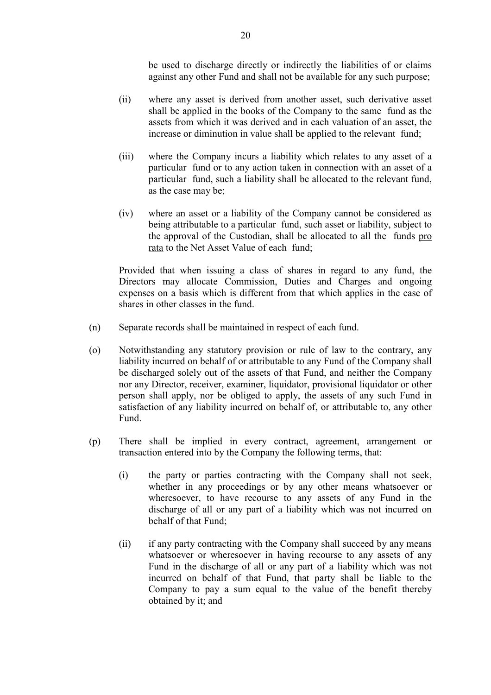be used to discharge directly or indirectly the liabilities of or claims against any other Fund and shall not be available for any such purpose;

- (ii) where any asset is derived from another asset, such derivative asset shall be applied in the books of the Company to the same fund as the assets from which it was derived and in each valuation of an asset, the increase or diminution in value shall be applied to the relevant fund;
- (iii) where the Company incurs a liability which relates to any asset of a particular fund or to any action taken in connection with an asset of a particular fund, such a liability shall be allocated to the relevant fund, as the case may be;
- (iv) where an asset or a liability of the Company cannot be considered as being attributable to a particular fund, such asset or liability, subject to the approval of the Custodian, shall be allocated to all the funds pro rata to the Net Asset Value of each fund;

 Provided that when issuing a class of shares in regard to any fund, the Directors may allocate Commission, Duties and Charges and ongoing expenses on a basis which is different from that which applies in the case of shares in other classes in the fund.

- (n) Separate records shall be maintained in respect of each fund.
- (o) Notwithstanding any statutory provision or rule of law to the contrary, any liability incurred on behalf of or attributable to any Fund of the Company shall be discharged solely out of the assets of that Fund, and neither the Company nor any Director, receiver, examiner, liquidator, provisional liquidator or other person shall apply, nor be obliged to apply, the assets of any such Fund in satisfaction of any liability incurred on behalf of, or attributable to, any other Fund.
- (p) There shall be implied in every contract, agreement, arrangement or transaction entered into by the Company the following terms, that:
	- (i) the party or parties contracting with the Company shall not seek, whether in any proceedings or by any other means whatsoever or wheresoever, to have recourse to any assets of any Fund in the discharge of all or any part of a liability which was not incurred on behalf of that Fund;
	- (ii) if any party contracting with the Company shall succeed by any means whatsoever or wheresoever in having recourse to any assets of any Fund in the discharge of all or any part of a liability which was not incurred on behalf of that Fund, that party shall be liable to the Company to pay a sum equal to the value of the benefit thereby obtained by it; and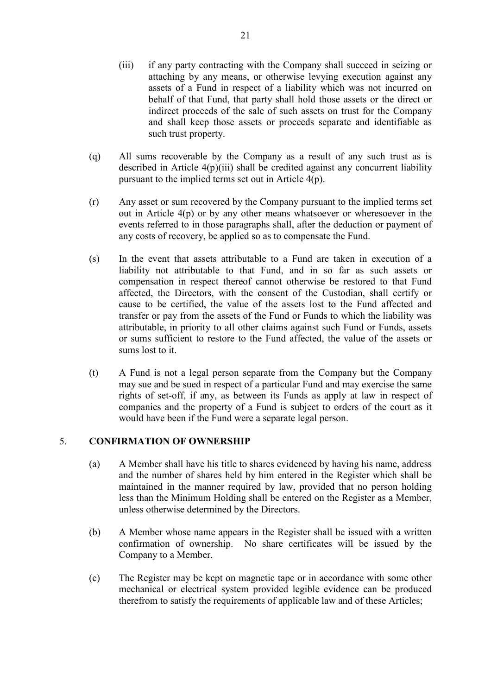- (iii) if any party contracting with the Company shall succeed in seizing or attaching by any means, or otherwise levying execution against any assets of a Fund in respect of a liability which was not incurred on behalf of that Fund, that party shall hold those assets or the direct or indirect proceeds of the sale of such assets on trust for the Company and shall keep those assets or proceeds separate and identifiable as such trust property.
- (q) All sums recoverable by the Company as a result of any such trust as is described in Article  $4(p)(iii)$  shall be credited against any concurrent liability pursuant to the implied terms set out in Article 4(p).
- (r) Any asset or sum recovered by the Company pursuant to the implied terms set out in Article 4(p) or by any other means whatsoever or wheresoever in the events referred to in those paragraphs shall, after the deduction or payment of any costs of recovery, be applied so as to compensate the Fund.
- (s) In the event that assets attributable to a Fund are taken in execution of a liability not attributable to that Fund, and in so far as such assets or compensation in respect thereof cannot otherwise be restored to that Fund affected, the Directors, with the consent of the Custodian, shall certify or cause to be certified, the value of the assets lost to the Fund affected and transfer or pay from the assets of the Fund or Funds to which the liability was attributable, in priority to all other claims against such Fund or Funds, assets or sums sufficient to restore to the Fund affected, the value of the assets or sums lost to it.
- (t) A Fund is not a legal person separate from the Company but the Company may sue and be sued in respect of a particular Fund and may exercise the same rights of set-off, if any, as between its Funds as apply at law in respect of companies and the property of a Fund is subject to orders of the court as it would have been if the Fund were a separate legal person.

### 5. **CONFIRMATION OF OWNERSHIP**

- (a) A Member shall have his title to shares evidenced by having his name, address and the number of shares held by him entered in the Register which shall be maintained in the manner required by law, provided that no person holding less than the Minimum Holding shall be entered on the Register as a Member, unless otherwise determined by the Directors.
- (b) A Member whose name appears in the Register shall be issued with a written confirmation of ownership. No share certificates will be issued by the Company to a Member.
- (c) The Register may be kept on magnetic tape or in accordance with some other mechanical or electrical system provided legible evidence can be produced therefrom to satisfy the requirements of applicable law and of these Articles;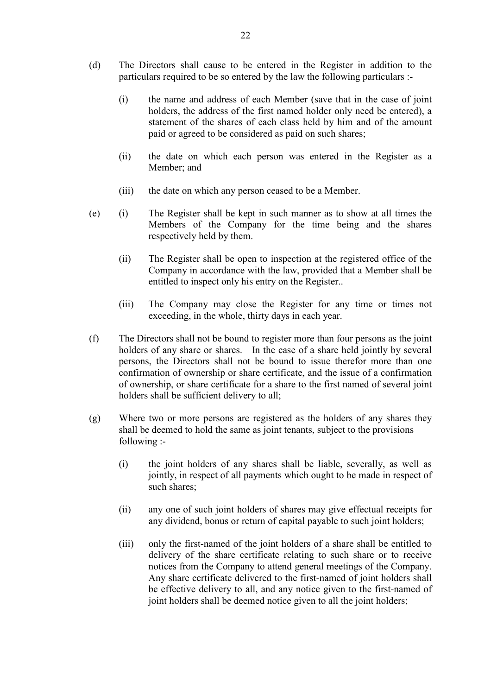- (d) The Directors shall cause to be entered in the Register in addition to the particulars required to be so entered by the law the following particulars :-
	- (i) the name and address of each Member (save that in the case of joint holders, the address of the first named holder only need be entered), a statement of the shares of each class held by him and of the amount paid or agreed to be considered as paid on such shares;
	- (ii) the date on which each person was entered in the Register as a Member; and
	- (iii) the date on which any person ceased to be a Member.
- (e) (i) The Register shall be kept in such manner as to show at all times the Members of the Company for the time being and the shares respectively held by them.
	- (ii) The Register shall be open to inspection at the registered office of the Company in accordance with the law, provided that a Member shall be entitled to inspect only his entry on the Register..
	- (iii) The Company may close the Register for any time or times not exceeding, in the whole, thirty days in each year.
- (f) The Directors shall not be bound to register more than four persons as the joint holders of any share or shares. In the case of a share held jointly by several persons, the Directors shall not be bound to issue therefor more than one confirmation of ownership or share certificate, and the issue of a confirmation of ownership, or share certificate for a share to the first named of several joint holders shall be sufficient delivery to all;
- (g) Where two or more persons are registered as the holders of any shares they shall be deemed to hold the same as joint tenants, subject to the provisions following :-
	- (i) the joint holders of any shares shall be liable, severally, as well as jointly, in respect of all payments which ought to be made in respect of such shares;
	- (ii) any one of such joint holders of shares may give effectual receipts for any dividend, bonus or return of capital payable to such joint holders;
	- (iii) only the first-named of the joint holders of a share shall be entitled to delivery of the share certificate relating to such share or to receive notices from the Company to attend general meetings of the Company. Any share certificate delivered to the first-named of joint holders shall be effective delivery to all, and any notice given to the first-named of joint holders shall be deemed notice given to all the joint holders;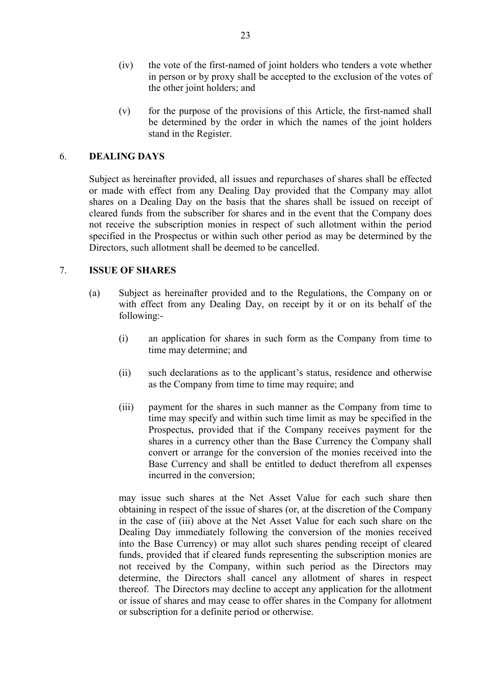- (iv) the vote of the first-named of joint holders who tenders a vote whether in person or by proxy shall be accepted to the exclusion of the votes of the other joint holders; and
- (v) for the purpose of the provisions of this Article, the first-named shall be determined by the order in which the names of the joint holders stand in the Register.

## 6. **DEALING DAYS**

 Subject as hereinafter provided, all issues and repurchases of shares shall be effected or made with effect from any Dealing Day provided that the Company may allot shares on a Dealing Day on the basis that the shares shall be issued on receipt of cleared funds from the subscriber for shares and in the event that the Company does not receive the subscription monies in respect of such allotment within the period specified in the Prospectus or within such other period as may be determined by the Directors, such allotment shall be deemed to be cancelled.

# 7. **ISSUE OF SHARES**

- (a) Subject as hereinafter provided and to the Regulations, the Company on or with effect from any Dealing Day, on receipt by it or on its behalf of the following:-
	- (i) an application for shares in such form as the Company from time to time may determine; and
	- (ii) such declarations as to the applicant's status, residence and otherwise as the Company from time to time may require; and
	- (iii) payment for the shares in such manner as the Company from time to time may specify and within such time limit as may be specified in the Prospectus, provided that if the Company receives payment for the shares in a currency other than the Base Currency the Company shall convert or arrange for the conversion of the monies received into the Base Currency and shall be entitled to deduct therefrom all expenses incurred in the conversion;

 may issue such shares at the Net Asset Value for each such share then obtaining in respect of the issue of shares (or, at the discretion of the Company in the case of (iii) above at the Net Asset Value for each such share on the Dealing Day immediately following the conversion of the monies received into the Base Currency) or may allot such shares pending receipt of cleared funds, provided that if cleared funds representing the subscription monies are not received by the Company, within such period as the Directors may determine, the Directors shall cancel any allotment of shares in respect thereof. The Directors may decline to accept any application for the allotment or issue of shares and may cease to offer shares in the Company for allotment or subscription for a definite period or otherwise.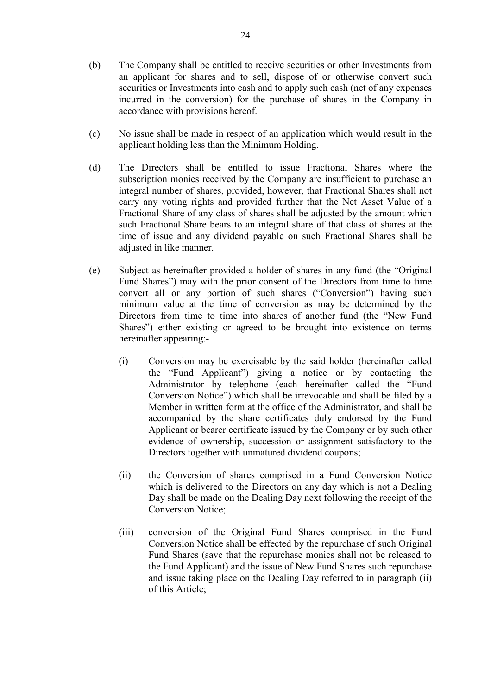- (b) The Company shall be entitled to receive securities or other Investments from an applicant for shares and to sell, dispose of or otherwise convert such securities or Investments into cash and to apply such cash (net of any expenses incurred in the conversion) for the purchase of shares in the Company in accordance with provisions hereof.
- (c) No issue shall be made in respect of an application which would result in the applicant holding less than the Minimum Holding.
- (d) The Directors shall be entitled to issue Fractional Shares where the subscription monies received by the Company are insufficient to purchase an integral number of shares, provided, however, that Fractional Shares shall not carry any voting rights and provided further that the Net Asset Value of a Fractional Share of any class of shares shall be adjusted by the amount which such Fractional Share bears to an integral share of that class of shares at the time of issue and any dividend payable on such Fractional Shares shall be adjusted in like manner.
- (e) Subject as hereinafter provided a holder of shares in any fund (the "Original Fund Shares") may with the prior consent of the Directors from time to time convert all or any portion of such shares ("Conversion") having such minimum value at the time of conversion as may be determined by the Directors from time to time into shares of another fund (the "New Fund Shares") either existing or agreed to be brought into existence on terms hereinafter appearing:-
	- (i) Conversion may be exercisable by the said holder (hereinafter called the "Fund Applicant") giving a notice or by contacting the Administrator by telephone (each hereinafter called the "Fund Conversion Notice") which shall be irrevocable and shall be filed by a Member in written form at the office of the Administrator, and shall be accompanied by the share certificates duly endorsed by the Fund Applicant or bearer certificate issued by the Company or by such other evidence of ownership, succession or assignment satisfactory to the Directors together with unmatured dividend coupons;
	- (ii) the Conversion of shares comprised in a Fund Conversion Notice which is delivered to the Directors on any day which is not a Dealing Day shall be made on the Dealing Day next following the receipt of the Conversion Notice;
	- (iii) conversion of the Original Fund Shares comprised in the Fund Conversion Notice shall be effected by the repurchase of such Original Fund Shares (save that the repurchase monies shall not be released to the Fund Applicant) and the issue of New Fund Shares such repurchase and issue taking place on the Dealing Day referred to in paragraph (ii) of this Article;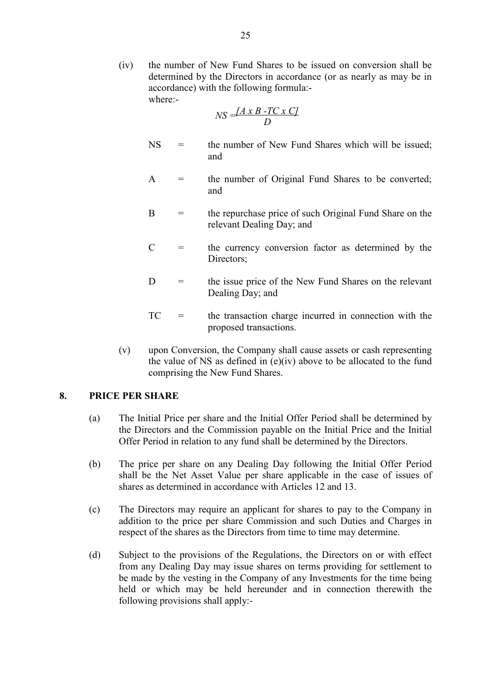(iv) the number of New Fund Shares to be issued on conversion shall be determined by the Directors in accordance (or as nearly as may be in accordance) with the following formula: where:-

$$
NS = \frac{[A \times B - TC \times C]}{D}
$$

- $NS =$  the number of New Fund Shares which will be issued; and
- $A =$  the number of Original Fund Shares to be converted; and
- $B =$  the repurchase price of such Original Fund Share on the relevant Dealing Day; and
- $C =$  the currency conversion factor as determined by the Directors:
- $D =$  the issue price of the New Fund Shares on the relevant Dealing Day; and
- TC = the transaction charge incurred in connection with the proposed transactions.
- (v) upon Conversion, the Company shall cause assets or cash representing the value of NS as defined in  $(e)(iv)$  above to be allocated to the fund comprising the New Fund Shares.

### **8. PRICE PER SHARE**

- (a) The Initial Price per share and the Initial Offer Period shall be determined by the Directors and the Commission payable on the Initial Price and the Initial Offer Period in relation to any fund shall be determined by the Directors.
- (b) The price per share on any Dealing Day following the Initial Offer Period shall be the Net Asset Value per share applicable in the case of issues of shares as determined in accordance with Articles 12 and 13.
- (c) The Directors may require an applicant for shares to pay to the Company in addition to the price per share Commission and such Duties and Charges in respect of the shares as the Directors from time to time may determine.
- (d) Subject to the provisions of the Regulations, the Directors on or with effect from any Dealing Day may issue shares on terms providing for settlement to be made by the vesting in the Company of any Investments for the time being held or which may be held hereunder and in connection therewith the following provisions shall apply:-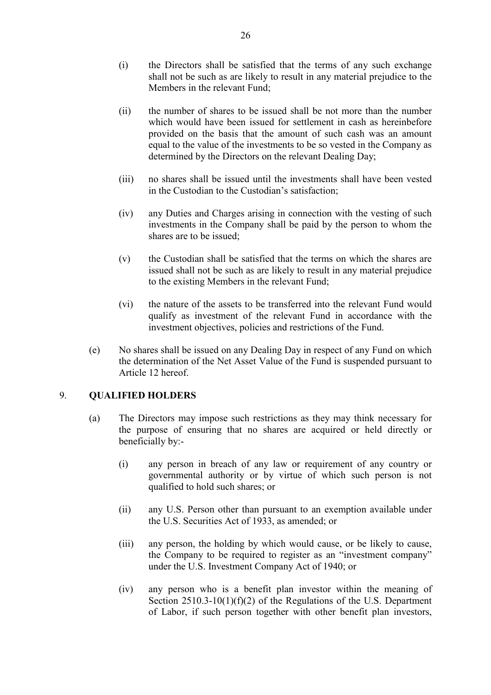- (i) the Directors shall be satisfied that the terms of any such exchange shall not be such as are likely to result in any material prejudice to the Members in the relevant Fund;
- (ii) the number of shares to be issued shall be not more than the number which would have been issued for settlement in cash as hereinbefore provided on the basis that the amount of such cash was an amount equal to the value of the investments to be so vested in the Company as determined by the Directors on the relevant Dealing Day;
- (iii) no shares shall be issued until the investments shall have been vested in the Custodian to the Custodian's satisfaction;
- (iv) any Duties and Charges arising in connection with the vesting of such investments in the Company shall be paid by the person to whom the shares are to be issued;
- (v) the Custodian shall be satisfied that the terms on which the shares are issued shall not be such as are likely to result in any material prejudice to the existing Members in the relevant Fund;
- (vi) the nature of the assets to be transferred into the relevant Fund would qualify as investment of the relevant Fund in accordance with the investment objectives, policies and restrictions of the Fund.
- (e) No shares shall be issued on any Dealing Day in respect of any Fund on which the determination of the Net Asset Value of the Fund is suspended pursuant to Article 12 hereof.

### 9. **QUALIFIED HOLDERS**

- (a) The Directors may impose such restrictions as they may think necessary for the purpose of ensuring that no shares are acquired or held directly or beneficially by:-
	- (i) any person in breach of any law or requirement of any country or governmental authority or by virtue of which such person is not qualified to hold such shares; or
	- (ii) any U.S. Person other than pursuant to an exemption available under the U.S. Securities Act of 1933, as amended; or
	- (iii) any person, the holding by which would cause, or be likely to cause, the Company to be required to register as an "investment company" under the U.S. Investment Company Act of 1940; or
	- (iv) any person who is a benefit plan investor within the meaning of Section 2510.3-10(1)(f)(2) of the Regulations of the U.S. Department of Labor, if such person together with other benefit plan investors,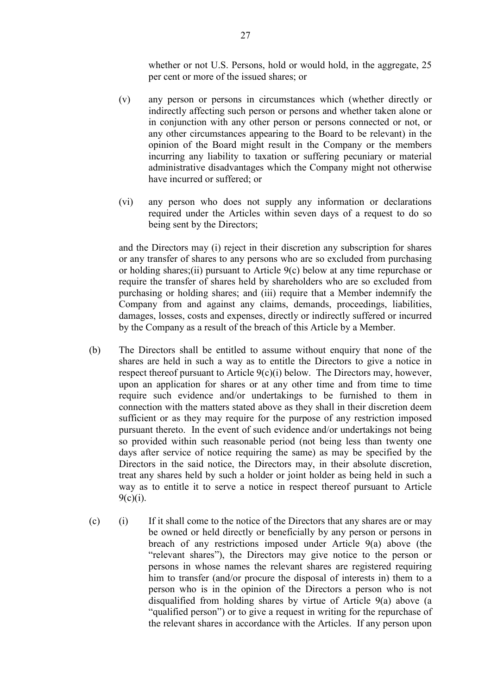whether or not U.S. Persons, hold or would hold, in the aggregate, 25 per cent or more of the issued shares; or

- (v) any person or persons in circumstances which (whether directly or indirectly affecting such person or persons and whether taken alone or in conjunction with any other person or persons connected or not, or any other circumstances appearing to the Board to be relevant) in the opinion of the Board might result in the Company or the members incurring any liability to taxation or suffering pecuniary or material administrative disadvantages which the Company might not otherwise have incurred or suffered; or
- (vi) any person who does not supply any information or declarations required under the Articles within seven days of a request to do so being sent by the Directors;

 and the Directors may (i) reject in their discretion any subscription for shares or any transfer of shares to any persons who are so excluded from purchasing or holding shares;(ii) pursuant to Article 9(c) below at any time repurchase or require the transfer of shares held by shareholders who are so excluded from purchasing or holding shares; and (iii) require that a Member indemnify the Company from and against any claims, demands, proceedings, liabilities, damages, losses, costs and expenses, directly or indirectly suffered or incurred by the Company as a result of the breach of this Article by a Member.

- (b) The Directors shall be entitled to assume without enquiry that none of the shares are held in such a way as to entitle the Directors to give a notice in respect thereof pursuant to Article 9(c)(i) below. The Directors may, however, upon an application for shares or at any other time and from time to time require such evidence and/or undertakings to be furnished to them in connection with the matters stated above as they shall in their discretion deem sufficient or as they may require for the purpose of any restriction imposed pursuant thereto. In the event of such evidence and/or undertakings not being so provided within such reasonable period (not being less than twenty one days after service of notice requiring the same) as may be specified by the Directors in the said notice, the Directors may, in their absolute discretion, treat any shares held by such a holder or joint holder as being held in such a way as to entitle it to serve a notice in respect thereof pursuant to Article  $9(c)(i)$ .
- (c) (i) If it shall come to the notice of the Directors that any shares are or may be owned or held directly or beneficially by any person or persons in breach of any restrictions imposed under Article 9(a) above (the "relevant shares"), the Directors may give notice to the person or persons in whose names the relevant shares are registered requiring him to transfer (and/or procure the disposal of interests in) them to a person who is in the opinion of the Directors a person who is not disqualified from holding shares by virtue of Article 9(a) above (a "qualified person") or to give a request in writing for the repurchase of the relevant shares in accordance with the Articles. If any person upon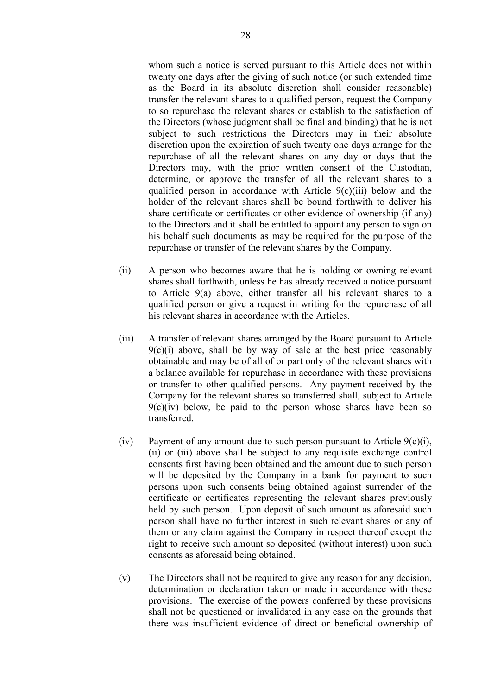whom such a notice is served pursuant to this Article does not within twenty one days after the giving of such notice (or such extended time as the Board in its absolute discretion shall consider reasonable) transfer the relevant shares to a qualified person, request the Company to so repurchase the relevant shares or establish to the satisfaction of the Directors (whose judgment shall be final and binding) that he is not subject to such restrictions the Directors may in their absolute discretion upon the expiration of such twenty one days arrange for the repurchase of all the relevant shares on any day or days that the Directors may, with the prior written consent of the Custodian, determine, or approve the transfer of all the relevant shares to a qualified person in accordance with Article 9(c)(iii) below and the holder of the relevant shares shall be bound forthwith to deliver his share certificate or certificates or other evidence of ownership (if any) to the Directors and it shall be entitled to appoint any person to sign on his behalf such documents as may be required for the purpose of the repurchase or transfer of the relevant shares by the Company.

- (ii) A person who becomes aware that he is holding or owning relevant shares shall forthwith, unless he has already received a notice pursuant to Article 9(a) above, either transfer all his relevant shares to a qualified person or give a request in writing for the repurchase of all his relevant shares in accordance with the Articles.
- (iii) A transfer of relevant shares arranged by the Board pursuant to Article  $9(c)(i)$  above, shall be by way of sale at the best price reasonably obtainable and may be of all of or part only of the relevant shares with a balance available for repurchase in accordance with these provisions or transfer to other qualified persons. Any payment received by the Company for the relevant shares so transferred shall, subject to Article  $9(c)(iv)$  below, be paid to the person whose shares have been so transferred.
- (iv) Payment of any amount due to such person pursuant to Article  $9(c)(i)$ , (ii) or (iii) above shall be subject to any requisite exchange control consents first having been obtained and the amount due to such person will be deposited by the Company in a bank for payment to such persons upon such consents being obtained against surrender of the certificate or certificates representing the relevant shares previously held by such person. Upon deposit of such amount as aforesaid such person shall have no further interest in such relevant shares or any of them or any claim against the Company in respect thereof except the right to receive such amount so deposited (without interest) upon such consents as aforesaid being obtained.
- (v) The Directors shall not be required to give any reason for any decision, determination or declaration taken or made in accordance with these provisions. The exercise of the powers conferred by these provisions shall not be questioned or invalidated in any case on the grounds that there was insufficient evidence of direct or beneficial ownership of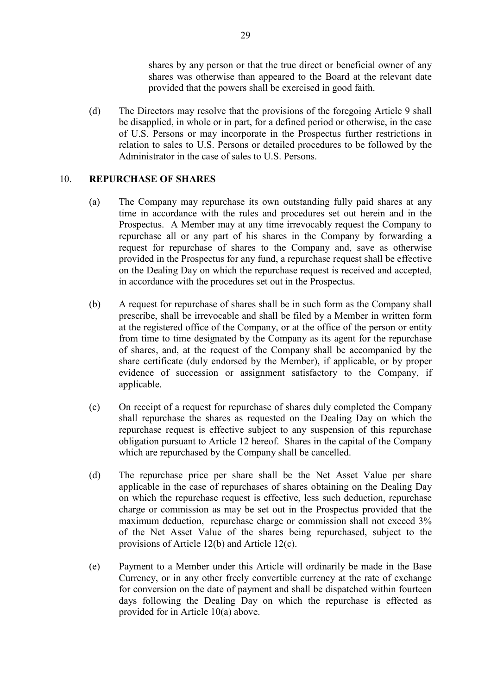shares by any person or that the true direct or beneficial owner of any shares was otherwise than appeared to the Board at the relevant date provided that the powers shall be exercised in good faith.

 (d) The Directors may resolve that the provisions of the foregoing Article 9 shall be disapplied, in whole or in part, for a defined period or otherwise, in the case of U.S. Persons or may incorporate in the Prospectus further restrictions in relation to sales to U.S. Persons or detailed procedures to be followed by the Administrator in the case of sales to U.S. Persons.

## 10. **REPURCHASE OF SHARES**

- (a) The Company may repurchase its own outstanding fully paid shares at any time in accordance with the rules and procedures set out herein and in the Prospectus. A Member may at any time irrevocably request the Company to repurchase all or any part of his shares in the Company by forwarding a request for repurchase of shares to the Company and, save as otherwise provided in the Prospectus for any fund, a repurchase request shall be effective on the Dealing Day on which the repurchase request is received and accepted, in accordance with the procedures set out in the Prospectus.
- (b) A request for repurchase of shares shall be in such form as the Company shall prescribe, shall be irrevocable and shall be filed by a Member in written form at the registered office of the Company, or at the office of the person or entity from time to time designated by the Company as its agent for the repurchase of shares, and, at the request of the Company shall be accompanied by the share certificate (duly endorsed by the Member), if applicable, or by proper evidence of succession or assignment satisfactory to the Company, if applicable.
- (c) On receipt of a request for repurchase of shares duly completed the Company shall repurchase the shares as requested on the Dealing Day on which the repurchase request is effective subject to any suspension of this repurchase obligation pursuant to Article 12 hereof. Shares in the capital of the Company which are repurchased by the Company shall be cancelled.
- (d) The repurchase price per share shall be the Net Asset Value per share applicable in the case of repurchases of shares obtaining on the Dealing Day on which the repurchase request is effective, less such deduction, repurchase charge or commission as may be set out in the Prospectus provided that the maximum deduction, repurchase charge or commission shall not exceed 3% of the Net Asset Value of the shares being repurchased, subject to the provisions of Article 12(b) and Article 12(c).
- (e) Payment to a Member under this Article will ordinarily be made in the Base Currency, or in any other freely convertible currency at the rate of exchange for conversion on the date of payment and shall be dispatched within fourteen days following the Dealing Day on which the repurchase is effected as provided for in Article 10(a) above.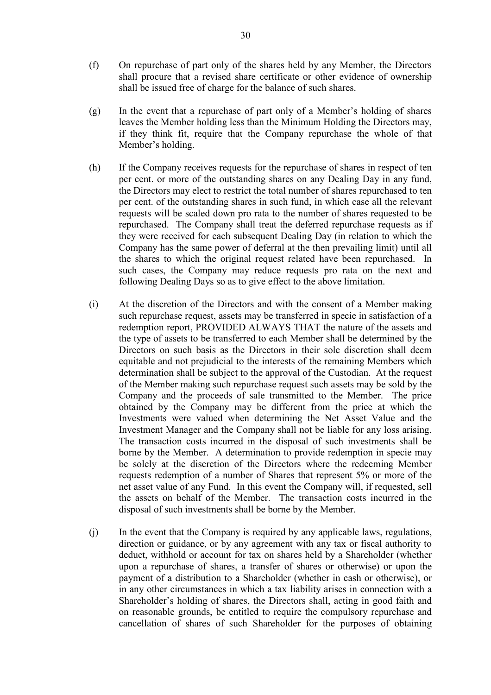- (f) On repurchase of part only of the shares held by any Member, the Directors shall procure that a revised share certificate or other evidence of ownership shall be issued free of charge for the balance of such shares.
- (g) In the event that a repurchase of part only of a Member's holding of shares leaves the Member holding less than the Minimum Holding the Directors may, if they think fit, require that the Company repurchase the whole of that Member's holding.
- (h) If the Company receives requests for the repurchase of shares in respect of ten per cent. or more of the outstanding shares on any Dealing Day in any fund, the Directors may elect to restrict the total number of shares repurchased to ten per cent. of the outstanding shares in such fund, in which case all the relevant requests will be scaled down pro rata to the number of shares requested to be repurchased. The Company shall treat the deferred repurchase requests as if they were received for each subsequent Dealing Day (in relation to which the Company has the same power of deferral at the then prevailing limit) until all the shares to which the original request related have been repurchased. In such cases, the Company may reduce requests pro rata on the next and following Dealing Days so as to give effect to the above limitation.
- (i) At the discretion of the Directors and with the consent of a Member making such repurchase request, assets may be transferred in specie in satisfaction of a redemption report, PROVIDED ALWAYS THAT the nature of the assets and the type of assets to be transferred to each Member shall be determined by the Directors on such basis as the Directors in their sole discretion shall deem equitable and not prejudicial to the interests of the remaining Members which determination shall be subject to the approval of the Custodian. At the request of the Member making such repurchase request such assets may be sold by the Company and the proceeds of sale transmitted to the Member. The price obtained by the Company may be different from the price at which the Investments were valued when determining the Net Asset Value and the Investment Manager and the Company shall not be liable for any loss arising. The transaction costs incurred in the disposal of such investments shall be borne by the Member. A determination to provide redemption in specie may be solely at the discretion of the Directors where the redeeming Member requests redemption of a number of Shares that represent 5% or more of the net asset value of any Fund. In this event the Company will, if requested, sell the assets on behalf of the Member. The transaction costs incurred in the disposal of such investments shall be borne by the Member.
- (j) In the event that the Company is required by any applicable laws, regulations, direction or guidance, or by any agreement with any tax or fiscal authority to deduct, withhold or account for tax on shares held by a Shareholder (whether upon a repurchase of shares, a transfer of shares or otherwise) or upon the payment of a distribution to a Shareholder (whether in cash or otherwise), or in any other circumstances in which a tax liability arises in connection with a Shareholder's holding of shares, the Directors shall, acting in good faith and on reasonable grounds, be entitled to require the compulsory repurchase and cancellation of shares of such Shareholder for the purposes of obtaining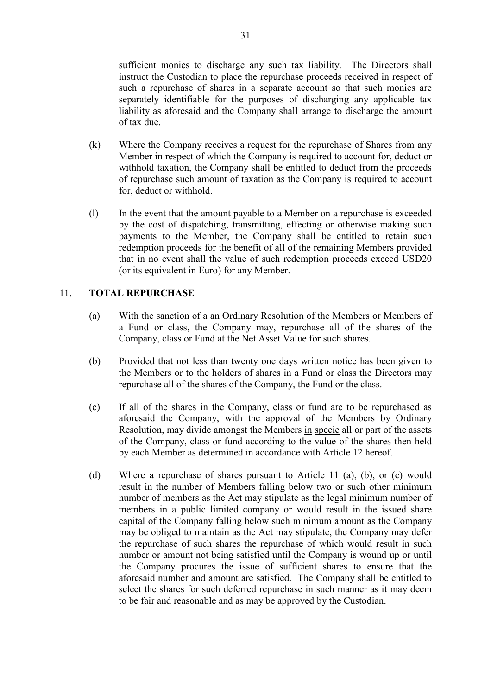sufficient monies to discharge any such tax liability. The Directors shall instruct the Custodian to place the repurchase proceeds received in respect of such a repurchase of shares in a separate account so that such monies are separately identifiable for the purposes of discharging any applicable tax liability as aforesaid and the Company shall arrange to discharge the amount of tax due.

- (k) Where the Company receives a request for the repurchase of Shares from any Member in respect of which the Company is required to account for, deduct or withhold taxation, the Company shall be entitled to deduct from the proceeds of repurchase such amount of taxation as the Company is required to account for, deduct or withhold.
- (l) In the event that the amount payable to a Member on a repurchase is exceeded by the cost of dispatching, transmitting, effecting or otherwise making such payments to the Member, the Company shall be entitled to retain such redemption proceeds for the benefit of all of the remaining Members provided that in no event shall the value of such redemption proceeds exceed USD20 (or its equivalent in Euro) for any Member.

## 11. **TOTAL REPURCHASE**

- (a) With the sanction of a an Ordinary Resolution of the Members or Members of a Fund or class, the Company may, repurchase all of the shares of the Company, class or Fund at the Net Asset Value for such shares.
- (b) Provided that not less than twenty one days written notice has been given to the Members or to the holders of shares in a Fund or class the Directors may repurchase all of the shares of the Company, the Fund or the class.
- (c) If all of the shares in the Company, class or fund are to be repurchased as aforesaid the Company, with the approval of the Members by Ordinary Resolution, may divide amongst the Members in specie all or part of the assets of the Company, class or fund according to the value of the shares then held by each Member as determined in accordance with Article 12 hereof.
- (d) Where a repurchase of shares pursuant to Article 11 (a), (b), or (c) would result in the number of Members falling below two or such other minimum number of members as the Act may stipulate as the legal minimum number of members in a public limited company or would result in the issued share capital of the Company falling below such minimum amount as the Company may be obliged to maintain as the Act may stipulate, the Company may defer the repurchase of such shares the repurchase of which would result in such number or amount not being satisfied until the Company is wound up or until the Company procures the issue of sufficient shares to ensure that the aforesaid number and amount are satisfied. The Company shall be entitled to select the shares for such deferred repurchase in such manner as it may deem to be fair and reasonable and as may be approved by the Custodian.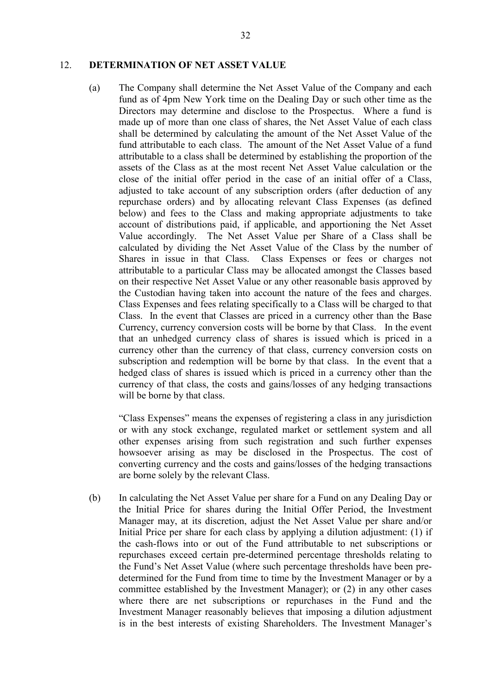#### 12. **DETERMINATION OF NET ASSET VALUE**

(a) The Company shall determine the Net Asset Value of the Company and each fund as of 4pm New York time on the Dealing Day or such other time as the Directors may determine and disclose to the Prospectus. Where a fund is made up of more than one class of shares, the Net Asset Value of each class shall be determined by calculating the amount of the Net Asset Value of the fund attributable to each class. The amount of the Net Asset Value of a fund attributable to a class shall be determined by establishing the proportion of the assets of the Class as at the most recent Net Asset Value calculation or the close of the initial offer period in the case of an initial offer of a Class, adjusted to take account of any subscription orders (after deduction of any repurchase orders) and by allocating relevant Class Expenses (as defined below) and fees to the Class and making appropriate adjustments to take account of distributions paid, if applicable, and apportioning the Net Asset Value accordingly. The Net Asset Value per Share of a Class shall be calculated by dividing the Net Asset Value of the Class by the number of Shares in issue in that Class. Class Expenses or fees or charges not attributable to a particular Class may be allocated amongst the Classes based on their respective Net Asset Value or any other reasonable basis approved by the Custodian having taken into account the nature of the fees and charges. Class Expenses and fees relating specifically to a Class will be charged to that Class. In the event that Classes are priced in a currency other than the Base Currency, currency conversion costs will be borne by that Class. In the event that an unhedged currency class of shares is issued which is priced in a currency other than the currency of that class, currency conversion costs on subscription and redemption will be borne by that class. In the event that a hedged class of shares is issued which is priced in a currency other than the currency of that class, the costs and gains/losses of any hedging transactions will be borne by that class.

 "Class Expenses" means the expenses of registering a class in any jurisdiction or with any stock exchange, regulated market or settlement system and all other expenses arising from such registration and such further expenses howsoever arising as may be disclosed in the Prospectus. The cost of converting currency and the costs and gains/losses of the hedging transactions are borne solely by the relevant Class.

(b) In calculating the Net Asset Value per share for a Fund on any Dealing Day or the Initial Price for shares during the Initial Offer Period, the Investment Manager may, at its discretion, adjust the Net Asset Value per share and/or Initial Price per share for each class by applying a dilution adjustment: (1) if the cash-flows into or out of the Fund attributable to net subscriptions or repurchases exceed certain pre-determined percentage thresholds relating to the Fund's Net Asset Value (where such percentage thresholds have been predetermined for the Fund from time to time by the Investment Manager or by a committee established by the Investment Manager); or (2) in any other cases where there are net subscriptions or repurchases in the Fund and the Investment Manager reasonably believes that imposing a dilution adjustment is in the best interests of existing Shareholders. The Investment Manager's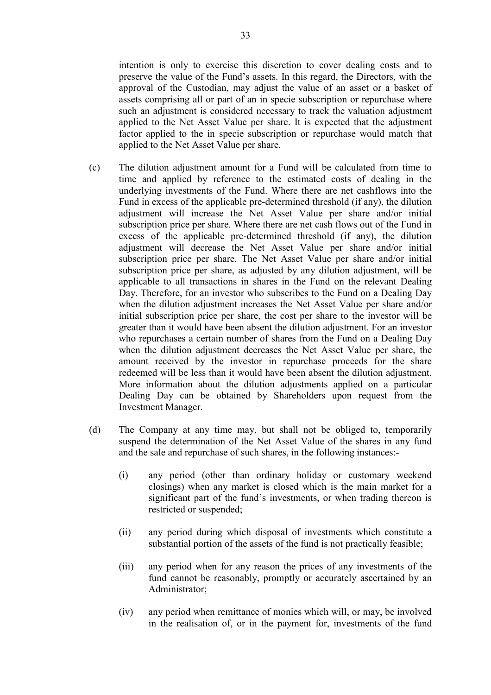intention is only to exercise this discretion to cover dealing costs and to preserve the value of the Fund's assets. In this regard, the Directors, with the approval of the Custodian, may adjust the value of an asset or a basket of assets comprising all or part of an in specie subscription or repurchase where such an adjustment is considered necessary to track the valuation adjustment applied to the Net Asset Value per share. It is expected that the adjustment factor applied to the in specie subscription or repurchase would match that applied to the Net Asset Value per share.

- (c) The dilution adjustment amount for a Fund will be calculated from time to time and applied by reference to the estimated costs of dealing in the underlying investments of the Fund. Where there are net cashflows into the Fund in excess of the applicable pre-determined threshold (if any), the dilution adjustment will increase the Net Asset Value per share and/or initial subscription price per share. Where there are net cash flows out of the Fund in excess of the applicable pre-determined threshold (if any), the dilution adjustment will decrease the Net Asset Value per share and/or initial subscription price per share. The Net Asset Value per share and/or initial subscription price per share, as adjusted by any dilution adjustment, will be applicable to all transactions in shares in the Fund on the relevant Dealing Day. Therefore, for an investor who subscribes to the Fund on a Dealing Day when the dilution adjustment increases the Net Asset Value per share and/or initial subscription price per share, the cost per share to the investor will be greater than it would have been absent the dilution adjustment. For an investor who repurchases a certain number of shares from the Fund on a Dealing Day when the dilution adjustment decreases the Net Asset Value per share, the amount received by the investor in repurchase proceeds for the share redeemed will be less than it would have been absent the dilution adjustment. More information about the dilution adjustments applied on a particular Dealing Day can be obtained by Shareholders upon request from the Investment Manager.
- (d) The Company at any time may, but shall not be obliged to, temporarily suspend the determination of the Net Asset Value of the shares in any fund and the sale and repurchase of such shares, in the following instances:-
	- (i) any period (other than ordinary holiday or customary weekend closings) when any market is closed which is the main market for a significant part of the fund's investments, or when trading thereon is restricted or suspended;
	- (ii) any period during which disposal of investments which constitute a substantial portion of the assets of the fund is not practically feasible;
	- (iii) any period when for any reason the prices of any investments of the fund cannot be reasonably, promptly or accurately ascertained by an Administrator;
	- (iv) any period when remittance of monies which will, or may, be involved in the realisation of, or in the payment for, investments of the fund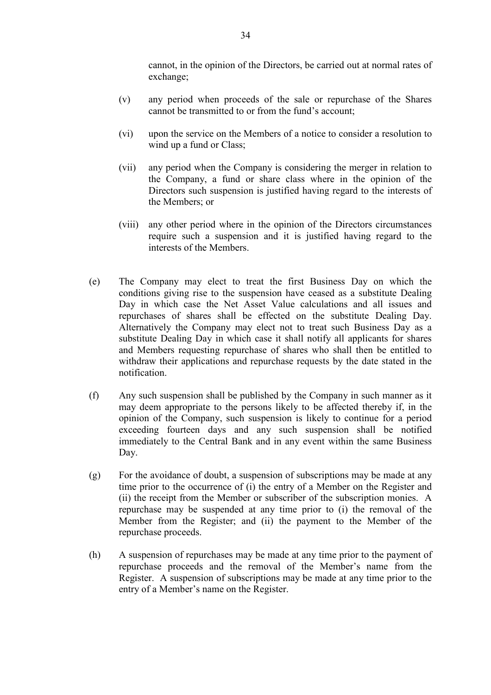cannot, in the opinion of the Directors, be carried out at normal rates of exchange;

- (v) any period when proceeds of the sale or repurchase of the Shares cannot be transmitted to or from the fund's account;
- (vi) upon the service on the Members of a notice to consider a resolution to wind up a fund or Class;
- (vii) any period when the Company is considering the merger in relation to the Company, a fund or share class where in the opinion of the Directors such suspension is justified having regard to the interests of the Members; or
- (viii) any other period where in the opinion of the Directors circumstances require such a suspension and it is justified having regard to the interests of the Members.
- (e) The Company may elect to treat the first Business Day on which the conditions giving rise to the suspension have ceased as a substitute Dealing Day in which case the Net Asset Value calculations and all issues and repurchases of shares shall be effected on the substitute Dealing Day. Alternatively the Company may elect not to treat such Business Day as a substitute Dealing Day in which case it shall notify all applicants for shares and Members requesting repurchase of shares who shall then be entitled to withdraw their applications and repurchase requests by the date stated in the notification.
- (f) Any such suspension shall be published by the Company in such manner as it may deem appropriate to the persons likely to be affected thereby if, in the opinion of the Company, such suspension is likely to continue for a period exceeding fourteen days and any such suspension shall be notified immediately to the Central Bank and in any event within the same Business Day.
- (g) For the avoidance of doubt, a suspension of subscriptions may be made at any time prior to the occurrence of (i) the entry of a Member on the Register and (ii) the receipt from the Member or subscriber of the subscription monies. A repurchase may be suspended at any time prior to (i) the removal of the Member from the Register; and (ii) the payment to the Member of the repurchase proceeds.
- (h) A suspension of repurchases may be made at any time prior to the payment of repurchase proceeds and the removal of the Member's name from the Register. A suspension of subscriptions may be made at any time prior to the entry of a Member's name on the Register.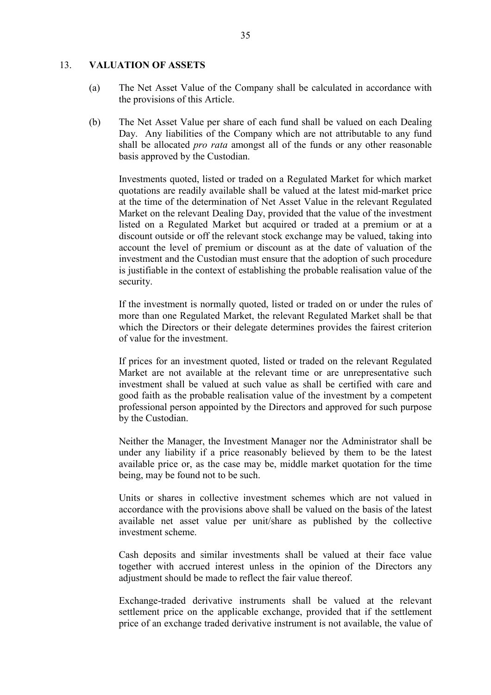#### 13. **VALUATION OF ASSETS**

- (a) The Net Asset Value of the Company shall be calculated in accordance with the provisions of this Article.
- (b) The Net Asset Value per share of each fund shall be valued on each Dealing Day. Any liabilities of the Company which are not attributable to any fund shall be allocated *pro rata* amongst all of the funds or any other reasonable basis approved by the Custodian.

Investments quoted, listed or traded on a Regulated Market for which market quotations are readily available shall be valued at the latest mid-market price at the time of the determination of Net Asset Value in the relevant Regulated Market on the relevant Dealing Day, provided that the value of the investment listed on a Regulated Market but acquired or traded at a premium or at a discount outside or off the relevant stock exchange may be valued, taking into account the level of premium or discount as at the date of valuation of the investment and the Custodian must ensure that the adoption of such procedure is justifiable in the context of establishing the probable realisation value of the security.

If the investment is normally quoted, listed or traded on or under the rules of more than one Regulated Market, the relevant Regulated Market shall be that which the Directors or their delegate determines provides the fairest criterion of value for the investment.

If prices for an investment quoted, listed or traded on the relevant Regulated Market are not available at the relevant time or are unrepresentative such investment shall be valued at such value as shall be certified with care and good faith as the probable realisation value of the investment by a competent professional person appointed by the Directors and approved for such purpose by the Custodian.

Neither the Manager, the Investment Manager nor the Administrator shall be under any liability if a price reasonably believed by them to be the latest available price or, as the case may be, middle market quotation for the time being, may be found not to be such.

Units or shares in collective investment schemes which are not valued in accordance with the provisions above shall be valued on the basis of the latest available net asset value per unit/share as published by the collective investment scheme.

Cash deposits and similar investments shall be valued at their face value together with accrued interest unless in the opinion of the Directors any adjustment should be made to reflect the fair value thereof.

 Exchange-traded derivative instruments shall be valued at the relevant settlement price on the applicable exchange, provided that if the settlement price of an exchange traded derivative instrument is not available, the value of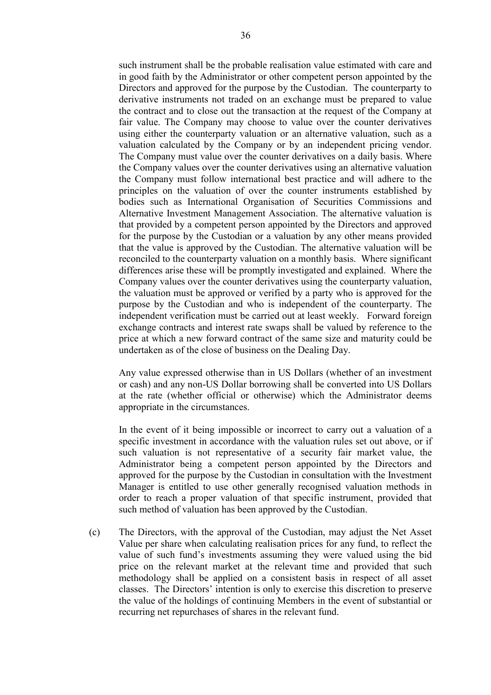such instrument shall be the probable realisation value estimated with care and in good faith by the Administrator or other competent person appointed by the Directors and approved for the purpose by the Custodian. The counterparty to derivative instruments not traded on an exchange must be prepared to value the contract and to close out the transaction at the request of the Company at fair value. The Company may choose to value over the counter derivatives using either the counterparty valuation or an alternative valuation, such as a valuation calculated by the Company or by an independent pricing vendor. The Company must value over the counter derivatives on a daily basis. Where the Company values over the counter derivatives using an alternative valuation the Company must follow international best practice and will adhere to the principles on the valuation of over the counter instruments established by bodies such as International Organisation of Securities Commissions and Alternative Investment Management Association. The alternative valuation is that provided by a competent person appointed by the Directors and approved for the purpose by the Custodian or a valuation by any other means provided that the value is approved by the Custodian. The alternative valuation will be reconciled to the counterparty valuation on a monthly basis. Where significant

differences arise these will be promptly investigated and explained. Where the Company values over the counter derivatives using the counterparty valuation, the valuation must be approved or verified by a party who is approved for the purpose by the Custodian and who is independent of the counterparty. The independent verification must be carried out at least weekly. Forward foreign exchange contracts and interest rate swaps shall be valued by reference to the price at which a new forward contract of the same size and maturity could be undertaken as of the close of business on the Dealing Day.

 Any value expressed otherwise than in US Dollars (whether of an investment or cash) and any non-US Dollar borrowing shall be converted into US Dollars at the rate (whether official or otherwise) which the Administrator deems appropriate in the circumstances.

In the event of it being impossible or incorrect to carry out a valuation of a specific investment in accordance with the valuation rules set out above, or if such valuation is not representative of a security fair market value, the Administrator being a competent person appointed by the Directors and approved for the purpose by the Custodian in consultation with the Investment Manager is entitled to use other generally recognised valuation methods in order to reach a proper valuation of that specific instrument, provided that such method of valuation has been approved by the Custodian.

(c) The Directors, with the approval of the Custodian, may adjust the Net Asset Value per share when calculating realisation prices for any fund, to reflect the value of such fund's investments assuming they were valued using the bid price on the relevant market at the relevant time and provided that such methodology shall be applied on a consistent basis in respect of all asset classes. The Directors' intention is only to exercise this discretion to preserve the value of the holdings of continuing Members in the event of substantial or recurring net repurchases of shares in the relevant fund.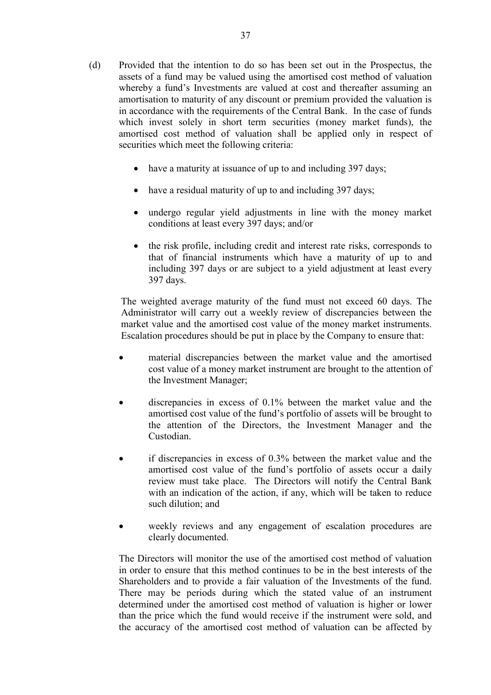- (d) Provided that the intention to do so has been set out in the Prospectus, the assets of a fund may be valued using the amortised cost method of valuation whereby a fund's Investments are valued at cost and thereafter assuming an amortisation to maturity of any discount or premium provided the valuation is in accordance with the requirements of the Central Bank. In the case of funds which invest solely in short term securities (money market funds), the amortised cost method of valuation shall be applied only in respect of securities which meet the following criteria:
	- have a maturity at issuance of up to and including 397 days;
	- have a residual maturity of up to and including 397 days;
	- undergo regular yield adjustments in line with the money market conditions at least every 397 days; and/or
	- the risk profile, including credit and interest rate risks, corresponds to that of financial instruments which have a maturity of up to and including 397 days or are subject to a yield adjustment at least every 397 days.

The weighted average maturity of the fund must not exceed 60 days. The Administrator will carry out a weekly review of discrepancies between the market value and the amortised cost value of the money market instruments. Escalation procedures should be put in place by the Company to ensure that:

- material discrepancies between the market value and the amortised cost value of a money market instrument are brought to the attention of the Investment Manager;
- discrepancies in excess of 0.1% between the market value and the amortised cost value of the fund's portfolio of assets will be brought to the attention of the Directors, the Investment Manager and the Custodian.
- if discrepancies in excess of 0.3% between the market value and the amortised cost value of the fund's portfolio of assets occur a daily review must take place. The Directors will notify the Central Bank with an indication of the action, if any, which will be taken to reduce such dilution; and
- weekly reviews and any engagement of escalation procedures are clearly documented.

The Directors will monitor the use of the amortised cost method of valuation in order to ensure that this method continues to be in the best interests of the Shareholders and to provide a fair valuation of the Investments of the fund. There may be periods during which the stated value of an instrument determined under the amortised cost method of valuation is higher or lower than the price which the fund would receive if the instrument were sold, and the accuracy of the amortised cost method of valuation can be affected by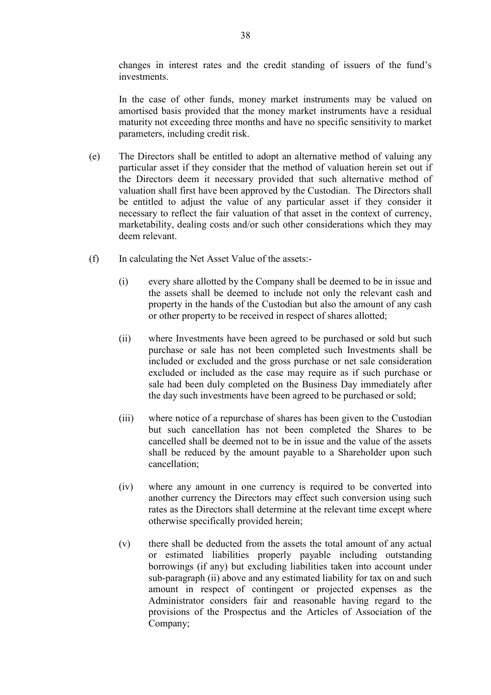changes in interest rates and the credit standing of issuers of the fund's investments.

In the case of other funds, money market instruments may be valued on amortised basis provided that the money market instruments have a residual maturity not exceeding three months and have no specific sensitivity to market parameters, including credit risk.

- (e) The Directors shall be entitled to adopt an alternative method of valuing any particular asset if they consider that the method of valuation herein set out if the Directors deem it necessary provided that such alternative method of valuation shall first have been approved by the Custodian. The Directors shall be entitled to adjust the value of any particular asset if they consider it necessary to reflect the fair valuation of that asset in the context of currency, marketability, dealing costs and/or such other considerations which they may deem relevant.
- (f) In calculating the Net Asset Value of the assets:-
	- (i) every share allotted by the Company shall be deemed to be in issue and the assets shall be deemed to include not only the relevant cash and property in the hands of the Custodian but also the amount of any cash or other property to be received in respect of shares allotted;
	- (ii) where Investments have been agreed to be purchased or sold but such purchase or sale has not been completed such Investments shall be included or excluded and the gross purchase or net sale consideration excluded or included as the case may require as if such purchase or sale had been duly completed on the Business Day immediately after the day such investments have been agreed to be purchased or sold;
	- (iii) where notice of a repurchase of shares has been given to the Custodian but such cancellation has not been completed the Shares to be cancelled shall be deemed not to be in issue and the value of the assets shall be reduced by the amount payable to a Shareholder upon such cancellation;
	- (iv) where any amount in one currency is required to be converted into another currency the Directors may effect such conversion using such rates as the Directors shall determine at the relevant time except where otherwise specifically provided herein;
	- (v) there shall be deducted from the assets the total amount of any actual or estimated liabilities properly payable including outstanding borrowings (if any) but excluding liabilities taken into account under sub-paragraph (ii) above and any estimated liability for tax on and such amount in respect of contingent or projected expenses as the Administrator considers fair and reasonable having regard to the provisions of the Prospectus and the Articles of Association of the Company;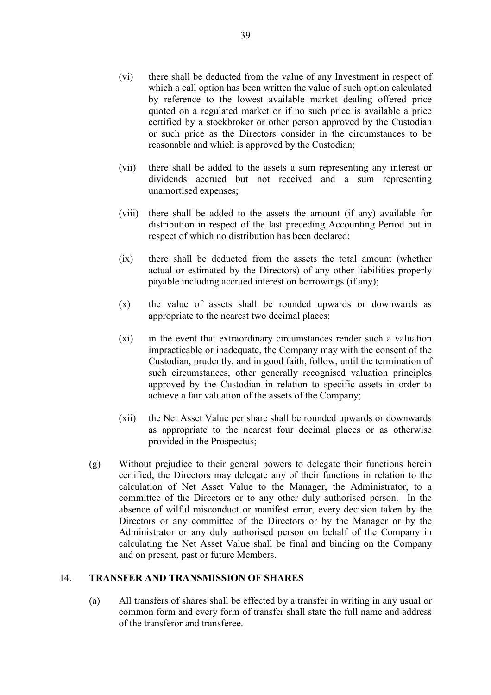- (vi) there shall be deducted from the value of any Investment in respect of which a call option has been written the value of such option calculated by reference to the lowest available market dealing offered price quoted on a regulated market or if no such price is available a price certified by a stockbroker or other person approved by the Custodian or such price as the Directors consider in the circumstances to be reasonable and which is approved by the Custodian;
- (vii) there shall be added to the assets a sum representing any interest or dividends accrued but not received and a sum representing unamortised expenses;
- (viii) there shall be added to the assets the amount (if any) available for distribution in respect of the last preceding Accounting Period but in respect of which no distribution has been declared;
- (ix) there shall be deducted from the assets the total amount (whether actual or estimated by the Directors) of any other liabilities properly payable including accrued interest on borrowings (if any);
- (x) the value of assets shall be rounded upwards or downwards as appropriate to the nearest two decimal places;
- (xi) in the event that extraordinary circumstances render such a valuation impracticable or inadequate, the Company may with the consent of the Custodian, prudently, and in good faith, follow, until the termination of such circumstances, other generally recognised valuation principles approved by the Custodian in relation to specific assets in order to achieve a fair valuation of the assets of the Company;
- (xii) the Net Asset Value per share shall be rounded upwards or downwards as appropriate to the nearest four decimal places or as otherwise provided in the Prospectus;
- (g) Without prejudice to their general powers to delegate their functions herein certified, the Directors may delegate any of their functions in relation to the calculation of Net Asset Value to the Manager, the Administrator, to a committee of the Directors or to any other duly authorised person. In the absence of wilful misconduct or manifest error, every decision taken by the Directors or any committee of the Directors or by the Manager or by the Administrator or any duly authorised person on behalf of the Company in calculating the Net Asset Value shall be final and binding on the Company and on present, past or future Members.

#### 14. **TRANSFER AND TRANSMISSION OF SHARES**

 (a) All transfers of shares shall be effected by a transfer in writing in any usual or common form and every form of transfer shall state the full name and address of the transferor and transferee.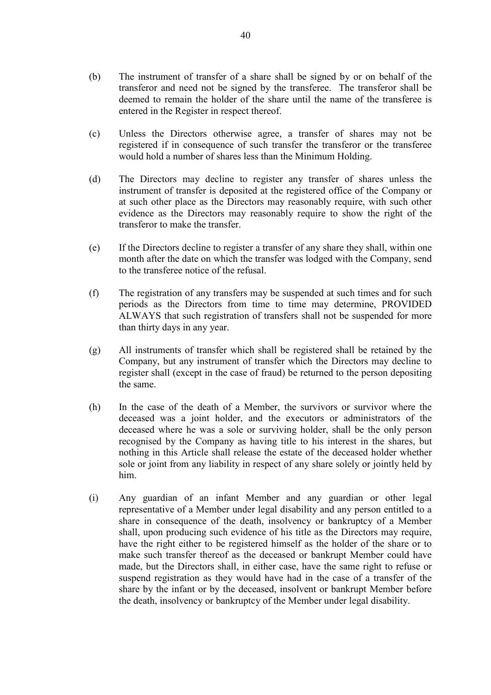- (b) The instrument of transfer of a share shall be signed by or on behalf of the transferor and need not be signed by the transferee. The transferor shall be deemed to remain the holder of the share until the name of the transferee is entered in the Register in respect thereof.
- (c) Unless the Directors otherwise agree, a transfer of shares may not be registered if in consequence of such transfer the transferor or the transferee would hold a number of shares less than the Minimum Holding.
- (d) The Directors may decline to register any transfer of shares unless the instrument of transfer is deposited at the registered office of the Company or at such other place as the Directors may reasonably require, with such other evidence as the Directors may reasonably require to show the right of the transferor to make the transfer.
- (e) If the Directors decline to register a transfer of any share they shall, within one month after the date on which the transfer was lodged with the Company, send to the transferee notice of the refusal.
- (f) The registration of any transfers may be suspended at such times and for such periods as the Directors from time to time may determine, PROVIDED ALWAYS that such registration of transfers shall not be suspended for more than thirty days in any year.
- (g) All instruments of transfer which shall be registered shall be retained by the Company, but any instrument of transfer which the Directors may decline to register shall (except in the case of fraud) be returned to the person depositing the same.
- (h) In the case of the death of a Member, the survivors or survivor where the deceased was a joint holder, and the executors or administrators of the deceased where he was a sole or surviving holder, shall be the only person recognised by the Company as having title to his interest in the shares, but nothing in this Article shall release the estate of the deceased holder whether sole or joint from any liability in respect of any share solely or jointly held by him.
- (i) Any guardian of an infant Member and any guardian or other legal representative of a Member under legal disability and any person entitled to a share in consequence of the death, insolvency or bankruptcy of a Member shall, upon producing such evidence of his title as the Directors may require, have the right either to be registered himself as the holder of the share or to make such transfer thereof as the deceased or bankrupt Member could have made, but the Directors shall, in either case, have the same right to refuse or suspend registration as they would have had in the case of a transfer of the share by the infant or by the deceased, insolvent or bankrupt Member before the death, insolvency or bankruptcy of the Member under legal disability.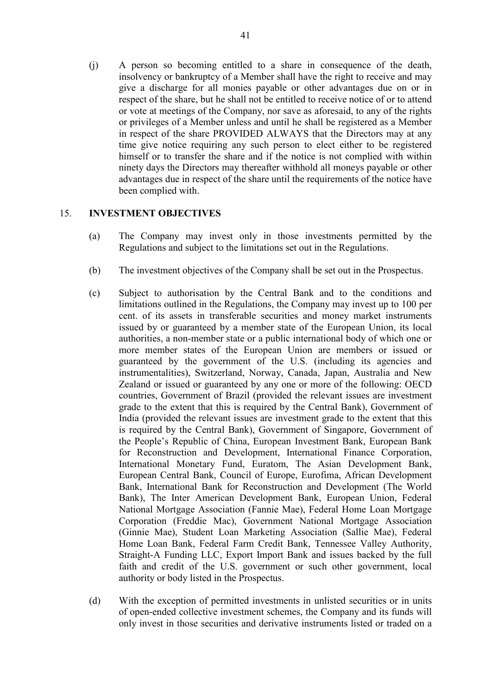(j) A person so becoming entitled to a share in consequence of the death, insolvency or bankruptcy of a Member shall have the right to receive and may give a discharge for all monies payable or other advantages due on or in respect of the share, but he shall not be entitled to receive notice of or to attend or vote at meetings of the Company, nor save as aforesaid, to any of the rights or privileges of a Member unless and until he shall be registered as a Member in respect of the share PROVIDED ALWAYS that the Directors may at any time give notice requiring any such person to elect either to be registered himself or to transfer the share and if the notice is not complied with within ninety days the Directors may thereafter withhold all moneys payable or other advantages due in respect of the share until the requirements of the notice have been complied with.

# 15. **INVESTMENT OBJECTIVES**

- (a) The Company may invest only in those investments permitted by the Regulations and subject to the limitations set out in the Regulations.
- (b) The investment objectives of the Company shall be set out in the Prospectus.
- (c) Subject to authorisation by the Central Bank and to the conditions and limitations outlined in the Regulations, the Company may invest up to 100 per cent. of its assets in transferable securities and money market instruments issued by or guaranteed by a member state of the European Union, its local authorities, a non-member state or a public international body of which one or more member states of the European Union are members or issued or guaranteed by the government of the U.S. (including its agencies and instrumentalities), Switzerland, Norway, Canada, Japan, Australia and New Zealand or issued or guaranteed by any one or more of the following: OECD countries, Government of Brazil (provided the relevant issues are investment grade to the extent that this is required by the Central Bank), Government of India (provided the relevant issues are investment grade to the extent that this is required by the Central Bank), Government of Singapore, Government of the People's Republic of China, European Investment Bank, European Bank for Reconstruction and Development, International Finance Corporation, International Monetary Fund, Euratom, The Asian Development Bank, European Central Bank, Council of Europe, Eurofima, African Development Bank, International Bank for Reconstruction and Development (The World Bank), The Inter American Development Bank, European Union, Federal National Mortgage Association (Fannie Mae), Federal Home Loan Mortgage Corporation (Freddie Mac), Government National Mortgage Association (Ginnie Mae), Student Loan Marketing Association (Sallie Mae), Federal Home Loan Bank, Federal Farm Credit Bank, Tennessee Valley Authority, Straight-A Funding LLC, Export Import Bank and issues backed by the full faith and credit of the U.S. government or such other government, local authority or body listed in the Prospectus.
- (d) With the exception of permitted investments in unlisted securities or in units of open-ended collective investment schemes, the Company and its funds will only invest in those securities and derivative instruments listed or traded on a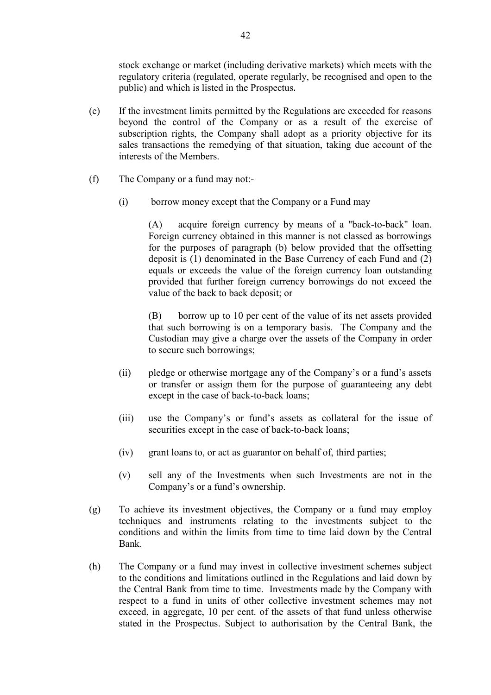stock exchange or market (including derivative markets) which meets with the regulatory criteria (regulated, operate regularly, be recognised and open to the public) and which is listed in the Prospectus.

- (e) If the investment limits permitted by the Regulations are exceeded for reasons beyond the control of the Company or as a result of the exercise of subscription rights, the Company shall adopt as a priority objective for its sales transactions the remedying of that situation, taking due account of the interests of the Members.
- (f) The Company or a fund may not:-
	- (i) borrow money except that the Company or a Fund may

(A) acquire foreign currency by means of a "back-to-back" loan. Foreign currency obtained in this manner is not classed as borrowings for the purposes of paragraph (b) below provided that the offsetting deposit is (1) denominated in the Base Currency of each Fund and (2) equals or exceeds the value of the foreign currency loan outstanding provided that further foreign currency borrowings do not exceed the value of the back to back deposit; or

 (B) borrow up to 10 per cent of the value of its net assets provided that such borrowing is on a temporary basis. The Company and the Custodian may give a charge over the assets of the Company in order to secure such borrowings;

- (ii) pledge or otherwise mortgage any of the Company's or a fund's assets or transfer or assign them for the purpose of guaranteeing any debt except in the case of back-to-back loans;
- (iii) use the Company's or fund's assets as collateral for the issue of securities except in the case of back-to-back loans;
- (iv) grant loans to, or act as guarantor on behalf of, third parties;
- (v) sell any of the Investments when such Investments are not in the Company's or a fund's ownership.
- (g) To achieve its investment objectives, the Company or a fund may employ techniques and instruments relating to the investments subject to the conditions and within the limits from time to time laid down by the Central Bank.
- (h) The Company or a fund may invest in collective investment schemes subject to the conditions and limitations outlined in the Regulations and laid down by the Central Bank from time to time. Investments made by the Company with respect to a fund in units of other collective investment schemes may not exceed, in aggregate, 10 per cent. of the assets of that fund unless otherwise stated in the Prospectus. Subject to authorisation by the Central Bank, the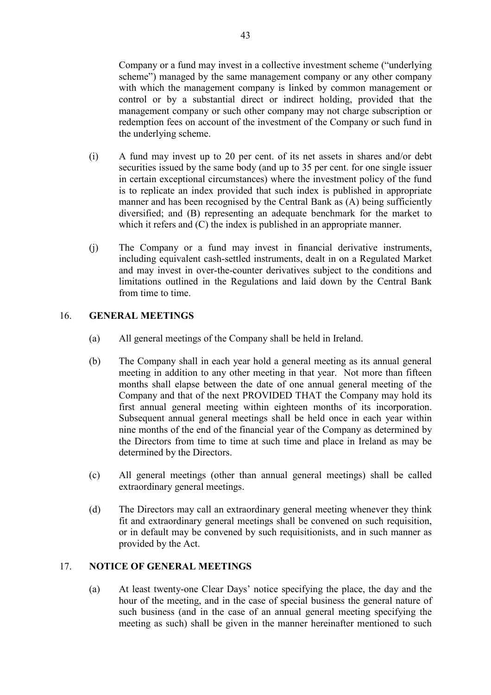Company or a fund may invest in a collective investment scheme ("underlying scheme") managed by the same management company or any other company with which the management company is linked by common management or control or by a substantial direct or indirect holding, provided that the management company or such other company may not charge subscription or redemption fees on account of the investment of the Company or such fund in the underlying scheme.

- (i) A fund may invest up to 20 per cent. of its net assets in shares and/or debt securities issued by the same body (and up to 35 per cent. for one single issuer in certain exceptional circumstances) where the investment policy of the fund is to replicate an index provided that such index is published in appropriate manner and has been recognised by the Central Bank as (A) being sufficiently diversified; and (B) representing an adequate benchmark for the market to which it refers and (C) the index is published in an appropriate manner.
- (j) The Company or a fund may invest in financial derivative instruments, including equivalent cash-settled instruments, dealt in on a Regulated Market and may invest in over-the-counter derivatives subject to the conditions and limitations outlined in the Regulations and laid down by the Central Bank from time to time.

# 16. **GENERAL MEETINGS**

- (a) All general meetings of the Company shall be held in Ireland.
- (b) The Company shall in each year hold a general meeting as its annual general meeting in addition to any other meeting in that year. Not more than fifteen months shall elapse between the date of one annual general meeting of the Company and that of the next PROVIDED THAT the Company may hold its first annual general meeting within eighteen months of its incorporation. Subsequent annual general meetings shall be held once in each year within nine months of the end of the financial year of the Company as determined by the Directors from time to time at such time and place in Ireland as may be determined by the Directors.
- (c) All general meetings (other than annual general meetings) shall be called extraordinary general meetings.
- (d) The Directors may call an extraordinary general meeting whenever they think fit and extraordinary general meetings shall be convened on such requisition, or in default may be convened by such requisitionists, and in such manner as provided by the Act.

# 17. **NOTICE OF GENERAL MEETINGS**

 (a) At least twenty-one Clear Days' notice specifying the place, the day and the hour of the meeting, and in the case of special business the general nature of such business (and in the case of an annual general meeting specifying the meeting as such) shall be given in the manner hereinafter mentioned to such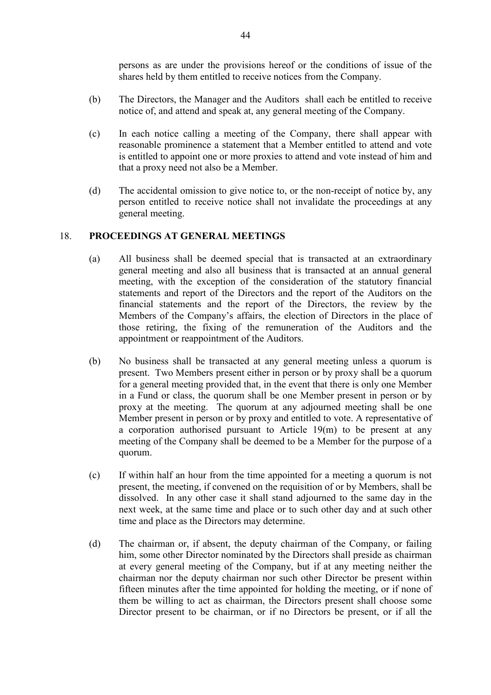persons as are under the provisions hereof or the conditions of issue of the shares held by them entitled to receive notices from the Company.

- (b) The Directors, the Manager and the Auditors shall each be entitled to receive notice of, and attend and speak at, any general meeting of the Company.
- (c) In each notice calling a meeting of the Company, there shall appear with reasonable prominence a statement that a Member entitled to attend and vote is entitled to appoint one or more proxies to attend and vote instead of him and that a proxy need not also be a Member.
- (d) The accidental omission to give notice to, or the non-receipt of notice by, any person entitled to receive notice shall not invalidate the proceedings at any general meeting.

### 18. **PROCEEDINGS AT GENERAL MEETINGS**

- (a) All business shall be deemed special that is transacted at an extraordinary general meeting and also all business that is transacted at an annual general meeting, with the exception of the consideration of the statutory financial statements and report of the Directors and the report of the Auditors on the financial statements and the report of the Directors, the review by the Members of the Company's affairs, the election of Directors in the place of those retiring, the fixing of the remuneration of the Auditors and the appointment or reappointment of the Auditors.
- (b) No business shall be transacted at any general meeting unless a quorum is present. Two Members present either in person or by proxy shall be a quorum for a general meeting provided that, in the event that there is only one Member in a Fund or class, the quorum shall be one Member present in person or by proxy at the meeting. The quorum at any adjourned meeting shall be one Member present in person or by proxy and entitled to vote. A representative of a corporation authorised pursuant to Article 19(m) to be present at any meeting of the Company shall be deemed to be a Member for the purpose of a quorum.
- (c) If within half an hour from the time appointed for a meeting a quorum is not present, the meeting, if convened on the requisition of or by Members, shall be dissolved. In any other case it shall stand adjourned to the same day in the next week, at the same time and place or to such other day and at such other time and place as the Directors may determine.
- (d) The chairman or, if absent, the deputy chairman of the Company, or failing him, some other Director nominated by the Directors shall preside as chairman at every general meeting of the Company, but if at any meeting neither the chairman nor the deputy chairman nor such other Director be present within fifteen minutes after the time appointed for holding the meeting, or if none of them be willing to act as chairman, the Directors present shall choose some Director present to be chairman, or if no Directors be present, or if all the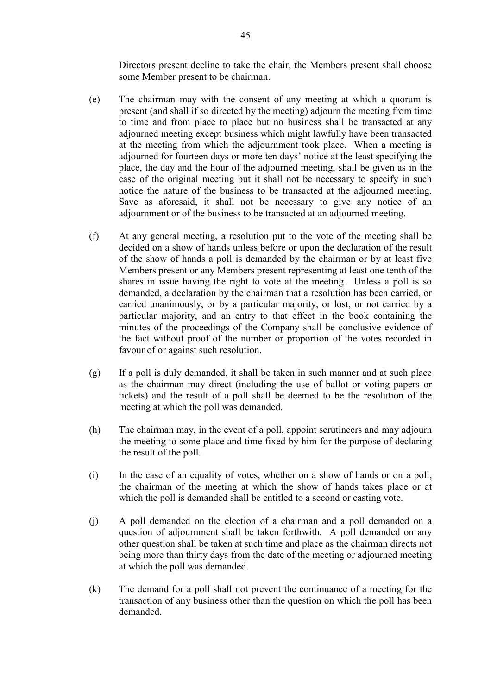Directors present decline to take the chair, the Members present shall choose some Member present to be chairman.

- (e) The chairman may with the consent of any meeting at which a quorum is present (and shall if so directed by the meeting) adjourn the meeting from time to time and from place to place but no business shall be transacted at any adjourned meeting except business which might lawfully have been transacted at the meeting from which the adjournment took place. When a meeting is adjourned for fourteen days or more ten days' notice at the least specifying the place, the day and the hour of the adjourned meeting, shall be given as in the case of the original meeting but it shall not be necessary to specify in such notice the nature of the business to be transacted at the adjourned meeting. Save as aforesaid, it shall not be necessary to give any notice of an adjournment or of the business to be transacted at an adjourned meeting.
- (f) At any general meeting, a resolution put to the vote of the meeting shall be decided on a show of hands unless before or upon the declaration of the result of the show of hands a poll is demanded by the chairman or by at least five Members present or any Members present representing at least one tenth of the shares in issue having the right to vote at the meeting. Unless a poll is so demanded, a declaration by the chairman that a resolution has been carried, or carried unanimously, or by a particular majority, or lost, or not carried by a particular majority, and an entry to that effect in the book containing the minutes of the proceedings of the Company shall be conclusive evidence of the fact without proof of the number or proportion of the votes recorded in favour of or against such resolution.
- (g) If a poll is duly demanded, it shall be taken in such manner and at such place as the chairman may direct (including the use of ballot or voting papers or tickets) and the result of a poll shall be deemed to be the resolution of the meeting at which the poll was demanded.
- (h) The chairman may, in the event of a poll, appoint scrutineers and may adjourn the meeting to some place and time fixed by him for the purpose of declaring the result of the poll.
- (i) In the case of an equality of votes, whether on a show of hands or on a poll, the chairman of the meeting at which the show of hands takes place or at which the poll is demanded shall be entitled to a second or casting vote.
- (j) A poll demanded on the election of a chairman and a poll demanded on a question of adjournment shall be taken forthwith. A poll demanded on any other question shall be taken at such time and place as the chairman directs not being more than thirty days from the date of the meeting or adjourned meeting at which the poll was demanded.
- (k) The demand for a poll shall not prevent the continuance of a meeting for the transaction of any business other than the question on which the poll has been demanded.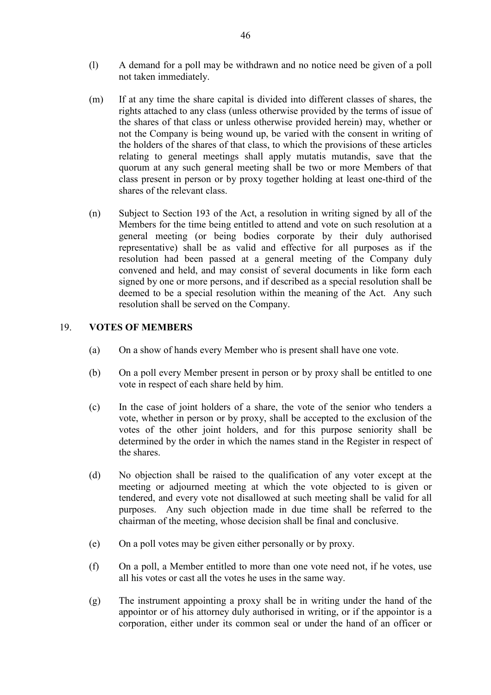- (l) A demand for a poll may be withdrawn and no notice need be given of a poll not taken immediately.
- (m) If at any time the share capital is divided into different classes of shares, the rights attached to any class (unless otherwise provided by the terms of issue of the shares of that class or unless otherwise provided herein) may, whether or not the Company is being wound up, be varied with the consent in writing of the holders of the shares of that class, to which the provisions of these articles relating to general meetings shall apply mutatis mutandis, save that the quorum at any such general meeting shall be two or more Members of that class present in person or by proxy together holding at least one-third of the shares of the relevant class.
- (n) Subject to Section 193 of the Act, a resolution in writing signed by all of the Members for the time being entitled to attend and vote on such resolution at a general meeting (or being bodies corporate by their duly authorised representative) shall be as valid and effective for all purposes as if the resolution had been passed at a general meeting of the Company duly convened and held, and may consist of several documents in like form each signed by one or more persons, and if described as a special resolution shall be deemed to be a special resolution within the meaning of the Act. Any such resolution shall be served on the Company.

### 19. **VOTES OF MEMBERS**

- (a) On a show of hands every Member who is present shall have one vote.
- (b) On a poll every Member present in person or by proxy shall be entitled to one vote in respect of each share held by him.
- (c) In the case of joint holders of a share, the vote of the senior who tenders a vote, whether in person or by proxy, shall be accepted to the exclusion of the votes of the other joint holders, and for this purpose seniority shall be determined by the order in which the names stand in the Register in respect of the shares.
- (d) No objection shall be raised to the qualification of any voter except at the meeting or adjourned meeting at which the vote objected to is given or tendered, and every vote not disallowed at such meeting shall be valid for all purposes. Any such objection made in due time shall be referred to the chairman of the meeting, whose decision shall be final and conclusive.
- (e) On a poll votes may be given either personally or by proxy.
- (f) On a poll, a Member entitled to more than one vote need not, if he votes, use all his votes or cast all the votes he uses in the same way.
- (g) The instrument appointing a proxy shall be in writing under the hand of the appointor or of his attorney duly authorised in writing, or if the appointor is a corporation, either under its common seal or under the hand of an officer or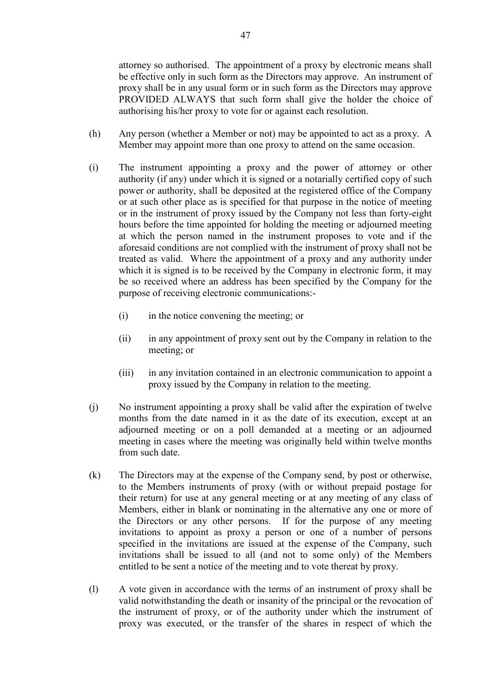attorney so authorised. The appointment of a proxy by electronic means shall be effective only in such form as the Directors may approve. An instrument of proxy shall be in any usual form or in such form as the Directors may approve PROVIDED ALWAYS that such form shall give the holder the choice of authorising his/her proxy to vote for or against each resolution.

- (h) Any person (whether a Member or not) may be appointed to act as a proxy. A Member may appoint more than one proxy to attend on the same occasion.
- (i) The instrument appointing a proxy and the power of attorney or other authority (if any) under which it is signed or a notarially certified copy of such power or authority, shall be deposited at the registered office of the Company or at such other place as is specified for that purpose in the notice of meeting or in the instrument of proxy issued by the Company not less than forty-eight hours before the time appointed for holding the meeting or adjourned meeting at which the person named in the instrument proposes to vote and if the aforesaid conditions are not complied with the instrument of proxy shall not be treated as valid. Where the appointment of a proxy and any authority under which it is signed is to be received by the Company in electronic form, it may be so received where an address has been specified by the Company for the purpose of receiving electronic communications:-
	- (i) in the notice convening the meeting; or
	- (ii) in any appointment of proxy sent out by the Company in relation to the meeting; or
	- (iii) in any invitation contained in an electronic communication to appoint a proxy issued by the Company in relation to the meeting.
- (j) No instrument appointing a proxy shall be valid after the expiration of twelve months from the date named in it as the date of its execution, except at an adjourned meeting or on a poll demanded at a meeting or an adjourned meeting in cases where the meeting was originally held within twelve months from such date.
- (k) The Directors may at the expense of the Company send, by post or otherwise, to the Members instruments of proxy (with or without prepaid postage for their return) for use at any general meeting or at any meeting of any class of Members, either in blank or nominating in the alternative any one or more of the Directors or any other persons. If for the purpose of any meeting invitations to appoint as proxy a person or one of a number of persons specified in the invitations are issued at the expense of the Company, such invitations shall be issued to all (and not to some only) of the Members entitled to be sent a notice of the meeting and to vote thereat by proxy.
- (l) A vote given in accordance with the terms of an instrument of proxy shall be valid notwithstanding the death or insanity of the principal or the revocation of the instrument of proxy, or of the authority under which the instrument of proxy was executed, or the transfer of the shares in respect of which the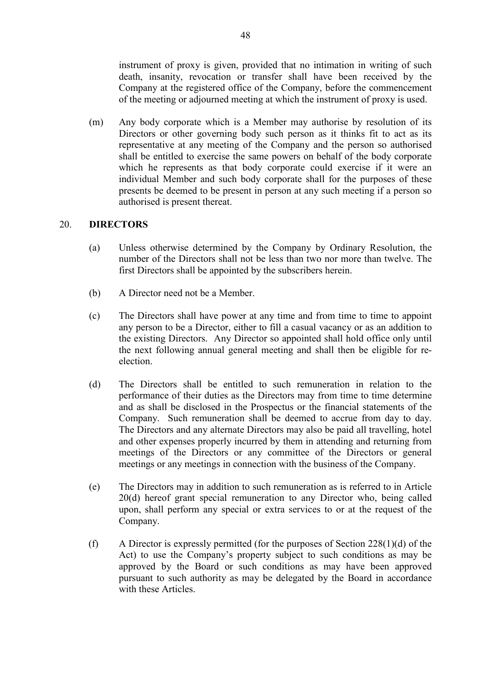instrument of proxy is given, provided that no intimation in writing of such death, insanity, revocation or transfer shall have been received by the Company at the registered office of the Company, before the commencement of the meeting or adjourned meeting at which the instrument of proxy is used.

 (m) Any body corporate which is a Member may authorise by resolution of its Directors or other governing body such person as it thinks fit to act as its representative at any meeting of the Company and the person so authorised shall be entitled to exercise the same powers on behalf of the body corporate which he represents as that body corporate could exercise if it were an individual Member and such body corporate shall for the purposes of these presents be deemed to be present in person at any such meeting if a person so authorised is present thereat.

### 20. **DIRECTORS**

- (a) Unless otherwise determined by the Company by Ordinary Resolution, the number of the Directors shall not be less than two nor more than twelve. The first Directors shall be appointed by the subscribers herein.
- (b) A Director need not be a Member.
- (c) The Directors shall have power at any time and from time to time to appoint any person to be a Director, either to fill a casual vacancy or as an addition to the existing Directors. Any Director so appointed shall hold office only until the next following annual general meeting and shall then be eligible for reelection.
- (d) The Directors shall be entitled to such remuneration in relation to the performance of their duties as the Directors may from time to time determine and as shall be disclosed in the Prospectus or the financial statements of the Company. Such remuneration shall be deemed to accrue from day to day. The Directors and any alternate Directors may also be paid all travelling, hotel and other expenses properly incurred by them in attending and returning from meetings of the Directors or any committee of the Directors or general meetings or any meetings in connection with the business of the Company.
- (e) The Directors may in addition to such remuneration as is referred to in Article 20(d) hereof grant special remuneration to any Director who, being called upon, shall perform any special or extra services to or at the request of the Company.
- (f) A Director is expressly permitted (for the purposes of Section 228(1)(d) of the Act) to use the Company's property subject to such conditions as may be approved by the Board or such conditions as may have been approved pursuant to such authority as may be delegated by the Board in accordance with these Articles.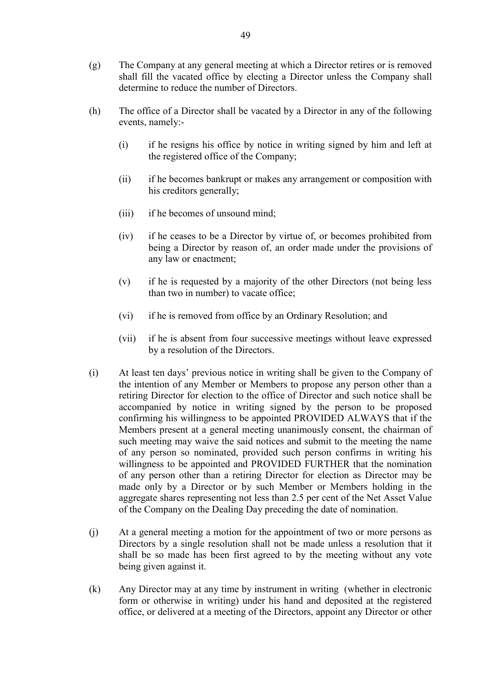- (g) The Company at any general meeting at which a Director retires or is removed shall fill the vacated office by electing a Director unless the Company shall determine to reduce the number of Directors.
- (h) The office of a Director shall be vacated by a Director in any of the following events, namely:-
	- (i) if he resigns his office by notice in writing signed by him and left at the registered office of the Company;
	- (ii) if he becomes bankrupt or makes any arrangement or composition with his creditors generally;
	- (iii) if he becomes of unsound mind;
	- (iv) if he ceases to be a Director by virtue of, or becomes prohibited from being a Director by reason of, an order made under the provisions of any law or enactment;
	- (v) if he is requested by a majority of the other Directors (not being less than two in number) to vacate office;
	- (vi) if he is removed from office by an Ordinary Resolution; and
	- (vii) if he is absent from four successive meetings without leave expressed by a resolution of the Directors.
- (i) At least ten days' previous notice in writing shall be given to the Company of the intention of any Member or Members to propose any person other than a retiring Director for election to the office of Director and such notice shall be accompanied by notice in writing signed by the person to be proposed confirming his willingness to be appointed PROVIDED ALWAYS that if the Members present at a general meeting unanimously consent, the chairman of such meeting may waive the said notices and submit to the meeting the name of any person so nominated, provided such person confirms in writing his willingness to be appointed and PROVIDED FURTHER that the nomination of any person other than a retiring Director for election as Director may be made only by a Director or by such Member or Members holding in the aggregate shares representing not less than 2.5 per cent of the Net Asset Value of the Company on the Dealing Day preceding the date of nomination.
- (j) At a general meeting a motion for the appointment of two or more persons as Directors by a single resolution shall not be made unless a resolution that it shall be so made has been first agreed to by the meeting without any vote being given against it.
- (k) Any Director may at any time by instrument in writing (whether in electronic form or otherwise in writing) under his hand and deposited at the registered office, or delivered at a meeting of the Directors, appoint any Director or other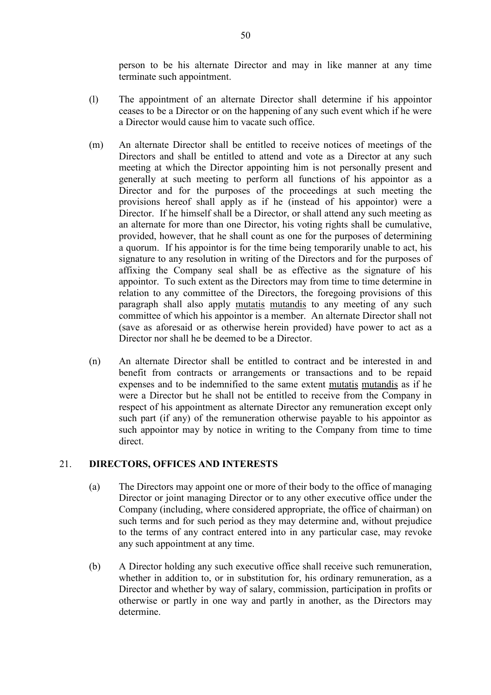person to be his alternate Director and may in like manner at any time terminate such appointment.

- (l) The appointment of an alternate Director shall determine if his appointor ceases to be a Director or on the happening of any such event which if he were a Director would cause him to vacate such office.
- (m) An alternate Director shall be entitled to receive notices of meetings of the Directors and shall be entitled to attend and vote as a Director at any such meeting at which the Director appointing him is not personally present and generally at such meeting to perform all functions of his appointor as a Director and for the purposes of the proceedings at such meeting the provisions hereof shall apply as if he (instead of his appointor) were a Director. If he himself shall be a Director, or shall attend any such meeting as an alternate for more than one Director, his voting rights shall be cumulative, provided, however, that he shall count as one for the purposes of determining a quorum. If his appointor is for the time being temporarily unable to act, his signature to any resolution in writing of the Directors and for the purposes of affixing the Company seal shall be as effective as the signature of his appointor. To such extent as the Directors may from time to time determine in relation to any committee of the Directors, the foregoing provisions of this paragraph shall also apply mutatis mutandis to any meeting of any such committee of which his appointor is a member. An alternate Director shall not (save as aforesaid or as otherwise herein provided) have power to act as a Director nor shall he be deemed to be a Director.
- (n) An alternate Director shall be entitled to contract and be interested in and benefit from contracts or arrangements or transactions and to be repaid expenses and to be indemnified to the same extent mutatis mutandis as if he were a Director but he shall not be entitled to receive from the Company in respect of his appointment as alternate Director any remuneration except only such part (if any) of the remuneration otherwise payable to his appointor as such appointor may by notice in writing to the Company from time to time direct.

### 21. **DIRECTORS, OFFICES AND INTERESTS**

- (a) The Directors may appoint one or more of their body to the office of managing Director or joint managing Director or to any other executive office under the Company (including, where considered appropriate, the office of chairman) on such terms and for such period as they may determine and, without prejudice to the terms of any contract entered into in any particular case, may revoke any such appointment at any time.
- (b) A Director holding any such executive office shall receive such remuneration, whether in addition to, or in substitution for, his ordinary remuneration, as a Director and whether by way of salary, commission, participation in profits or otherwise or partly in one way and partly in another, as the Directors may determine.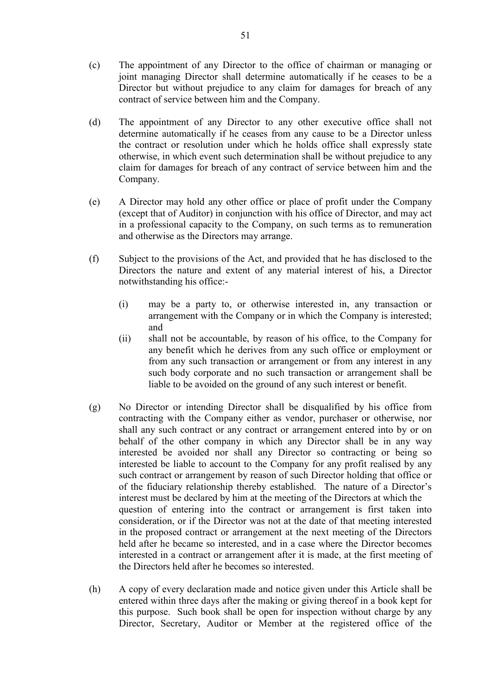- (c) The appointment of any Director to the office of chairman or managing or joint managing Director shall determine automatically if he ceases to be a Director but without prejudice to any claim for damages for breach of any contract of service between him and the Company.
- (d) The appointment of any Director to any other executive office shall not determine automatically if he ceases from any cause to be a Director unless the contract or resolution under which he holds office shall expressly state otherwise, in which event such determination shall be without prejudice to any claim for damages for breach of any contract of service between him and the Company.
- (e) A Director may hold any other office or place of profit under the Company (except that of Auditor) in conjunction with his office of Director, and may act in a professional capacity to the Company, on such terms as to remuneration and otherwise as the Directors may arrange.
- (f) Subject to the provisions of the Act, and provided that he has disclosed to the Directors the nature and extent of any material interest of his, a Director notwithstanding his office:-
	- (i) may be a party to, or otherwise interested in, any transaction or arrangement with the Company or in which the Company is interested; and
	- (ii) shall not be accountable, by reason of his office, to the Company for any benefit which he derives from any such office or employment or from any such transaction or arrangement or from any interest in any such body corporate and no such transaction or arrangement shall be liable to be avoided on the ground of any such interest or benefit.
- (g) No Director or intending Director shall be disqualified by his office from contracting with the Company either as vendor, purchaser or otherwise, nor shall any such contract or any contract or arrangement entered into by or on behalf of the other company in which any Director shall be in any way interested be avoided nor shall any Director so contracting or being so interested be liable to account to the Company for any profit realised by any such contract or arrangement by reason of such Director holding that office or of the fiduciary relationship thereby established. The nature of a Director's interest must be declared by him at the meeting of the Directors at which the question of entering into the contract or arrangement is first taken into consideration, or if the Director was not at the date of that meeting interested in the proposed contract or arrangement at the next meeting of the Directors held after he became so interested, and in a case where the Director becomes interested in a contract or arrangement after it is made, at the first meeting of the Directors held after he becomes so interested.
- (h) A copy of every declaration made and notice given under this Article shall be entered within three days after the making or giving thereof in a book kept for this purpose. Such book shall be open for inspection without charge by any Director, Secretary, Auditor or Member at the registered office of the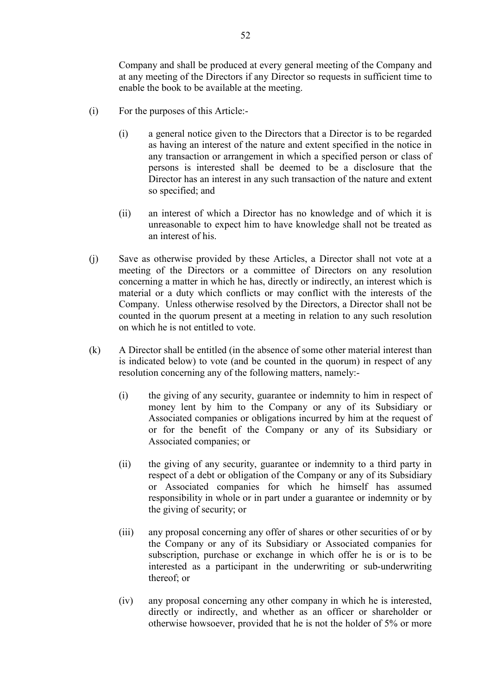Company and shall be produced at every general meeting of the Company and at any meeting of the Directors if any Director so requests in sufficient time to enable the book to be available at the meeting.

- (i) For the purposes of this Article:-
	- (i) a general notice given to the Directors that a Director is to be regarded as having an interest of the nature and extent specified in the notice in any transaction or arrangement in which a specified person or class of persons is interested shall be deemed to be a disclosure that the Director has an interest in any such transaction of the nature and extent so specified; and
	- (ii) an interest of which a Director has no knowledge and of which it is unreasonable to expect him to have knowledge shall not be treated as an interest of his.
- (j) Save as otherwise provided by these Articles, a Director shall not vote at a meeting of the Directors or a committee of Directors on any resolution concerning a matter in which he has, directly or indirectly, an interest which is material or a duty which conflicts or may conflict with the interests of the Company. Unless otherwise resolved by the Directors, a Director shall not be counted in the quorum present at a meeting in relation to any such resolution on which he is not entitled to vote.
- (k) A Director shall be entitled (in the absence of some other material interest than is indicated below) to vote (and be counted in the quorum) in respect of any resolution concerning any of the following matters, namely:-
	- (i) the giving of any security, guarantee or indemnity to him in respect of money lent by him to the Company or any of its Subsidiary or Associated companies or obligations incurred by him at the request of or for the benefit of the Company or any of its Subsidiary or Associated companies; or
	- (ii) the giving of any security, guarantee or indemnity to a third party in respect of a debt or obligation of the Company or any of its Subsidiary or Associated companies for which he himself has assumed responsibility in whole or in part under a guarantee or indemnity or by the giving of security; or
	- (iii) any proposal concerning any offer of shares or other securities of or by the Company or any of its Subsidiary or Associated companies for subscription, purchase or exchange in which offer he is or is to be interested as a participant in the underwriting or sub-underwriting thereof; or
	- (iv) any proposal concerning any other company in which he is interested, directly or indirectly, and whether as an officer or shareholder or otherwise howsoever, provided that he is not the holder of 5% or more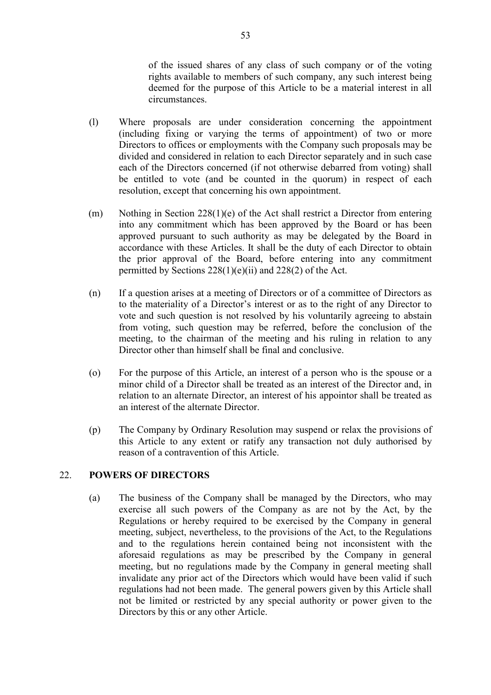of the issued shares of any class of such company or of the voting rights available to members of such company, any such interest being deemed for the purpose of this Article to be a material interest in all circumstances.

- (l) Where proposals are under consideration concerning the appointment (including fixing or varying the terms of appointment) of two or more Directors to offices or employments with the Company such proposals may be divided and considered in relation to each Director separately and in such case each of the Directors concerned (if not otherwise debarred from voting) shall be entitled to vote (and be counted in the quorum) in respect of each resolution, except that concerning his own appointment.
- (m) Nothing in Section 228(1)(e) of the Act shall restrict a Director from entering into any commitment which has been approved by the Board or has been approved pursuant to such authority as may be delegated by the Board in accordance with these Articles. It shall be the duty of each Director to obtain the prior approval of the Board, before entering into any commitment permitted by Sections 228(1)(e)(ii) and 228(2) of the Act.
- (n) If a question arises at a meeting of Directors or of a committee of Directors as to the materiality of a Director's interest or as to the right of any Director to vote and such question is not resolved by his voluntarily agreeing to abstain from voting, such question may be referred, before the conclusion of the meeting, to the chairman of the meeting and his ruling in relation to any Director other than himself shall be final and conclusive.
- (o) For the purpose of this Article, an interest of a person who is the spouse or a minor child of a Director shall be treated as an interest of the Director and, in relation to an alternate Director, an interest of his appointor shall be treated as an interest of the alternate Director.
- (p) The Company by Ordinary Resolution may suspend or relax the provisions of this Article to any extent or ratify any transaction not duly authorised by reason of a contravention of this Article.

# 22. **POWERS OF DIRECTORS**

 (a) The business of the Company shall be managed by the Directors, who may exercise all such powers of the Company as are not by the Act, by the Regulations or hereby required to be exercised by the Company in general meeting, subject, nevertheless, to the provisions of the Act, to the Regulations and to the regulations herein contained being not inconsistent with the aforesaid regulations as may be prescribed by the Company in general meeting, but no regulations made by the Company in general meeting shall invalidate any prior act of the Directors which would have been valid if such regulations had not been made. The general powers given by this Article shall not be limited or restricted by any special authority or power given to the Directors by this or any other Article.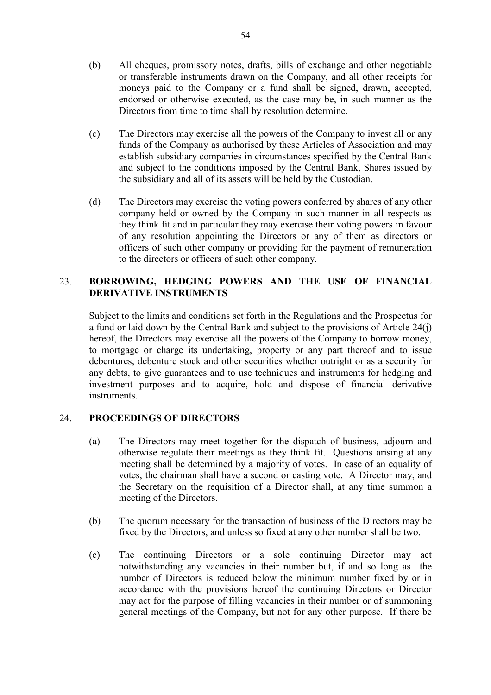- (b) All cheques, promissory notes, drafts, bills of exchange and other negotiable or transferable instruments drawn on the Company, and all other receipts for moneys paid to the Company or a fund shall be signed, drawn, accepted, endorsed or otherwise executed, as the case may be, in such manner as the Directors from time to time shall by resolution determine.
- (c) The Directors may exercise all the powers of the Company to invest all or any funds of the Company as authorised by these Articles of Association and may establish subsidiary companies in circumstances specified by the Central Bank and subject to the conditions imposed by the Central Bank, Shares issued by the subsidiary and all of its assets will be held by the Custodian.
- (d) The Directors may exercise the voting powers conferred by shares of any other company held or owned by the Company in such manner in all respects as they think fit and in particular they may exercise their voting powers in favour of any resolution appointing the Directors or any of them as directors or officers of such other company or providing for the payment of remuneration to the directors or officers of such other company.

# 23. **BORROWING, HEDGING POWERS AND THE USE OF FINANCIAL DERIVATIVE INSTRUMENTS**

 Subject to the limits and conditions set forth in the Regulations and the Prospectus for a fund or laid down by the Central Bank and subject to the provisions of Article 24(j) hereof, the Directors may exercise all the powers of the Company to borrow money, to mortgage or charge its undertaking, property or any part thereof and to issue debentures, debenture stock and other securities whether outright or as a security for any debts, to give guarantees and to use techniques and instruments for hedging and investment purposes and to acquire, hold and dispose of financial derivative instruments.

# 24. **PROCEEDINGS OF DIRECTORS**

- (a) The Directors may meet together for the dispatch of business, adjourn and otherwise regulate their meetings as they think fit. Questions arising at any meeting shall be determined by a majority of votes. In case of an equality of votes, the chairman shall have a second or casting vote. A Director may, and the Secretary on the requisition of a Director shall, at any time summon a meeting of the Directors.
- (b) The quorum necessary for the transaction of business of the Directors may be fixed by the Directors, and unless so fixed at any other number shall be two.
- (c) The continuing Directors or a sole continuing Director may act notwithstanding any vacancies in their number but, if and so long as the number of Directors is reduced below the minimum number fixed by or in accordance with the provisions hereof the continuing Directors or Director may act for the purpose of filling vacancies in their number or of summoning general meetings of the Company, but not for any other purpose. If there be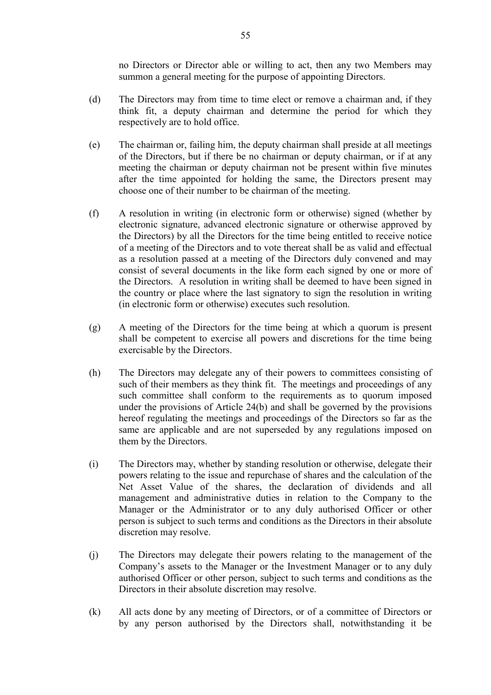no Directors or Director able or willing to act, then any two Members may summon a general meeting for the purpose of appointing Directors.

- (d) The Directors may from time to time elect or remove a chairman and, if they think fit, a deputy chairman and determine the period for which they respectively are to hold office.
- (e) The chairman or, failing him, the deputy chairman shall preside at all meetings of the Directors, but if there be no chairman or deputy chairman, or if at any meeting the chairman or deputy chairman not be present within five minutes after the time appointed for holding the same, the Directors present may choose one of their number to be chairman of the meeting.
- (f) A resolution in writing (in electronic form or otherwise) signed (whether by electronic signature, advanced electronic signature or otherwise approved by the Directors) by all the Directors for the time being entitled to receive notice of a meeting of the Directors and to vote thereat shall be as valid and effectual as a resolution passed at a meeting of the Directors duly convened and may consist of several documents in the like form each signed by one or more of the Directors. A resolution in writing shall be deemed to have been signed in the country or place where the last signatory to sign the resolution in writing (in electronic form or otherwise) executes such resolution.
- (g) A meeting of the Directors for the time being at which a quorum is present shall be competent to exercise all powers and discretions for the time being exercisable by the Directors.
- (h) The Directors may delegate any of their powers to committees consisting of such of their members as they think fit. The meetings and proceedings of any such committee shall conform to the requirements as to quorum imposed under the provisions of Article 24(b) and shall be governed by the provisions hereof regulating the meetings and proceedings of the Directors so far as the same are applicable and are not superseded by any regulations imposed on them by the Directors.
- (i) The Directors may, whether by standing resolution or otherwise, delegate their powers relating to the issue and repurchase of shares and the calculation of the Net Asset Value of the shares, the declaration of dividends and all management and administrative duties in relation to the Company to the Manager or the Administrator or to any duly authorised Officer or other person is subject to such terms and conditions as the Directors in their absolute discretion may resolve.
- (j) The Directors may delegate their powers relating to the management of the Company's assets to the Manager or the Investment Manager or to any duly authorised Officer or other person, subject to such terms and conditions as the Directors in their absolute discretion may resolve.
- (k) All acts done by any meeting of Directors, or of a committee of Directors or by any person authorised by the Directors shall, notwithstanding it be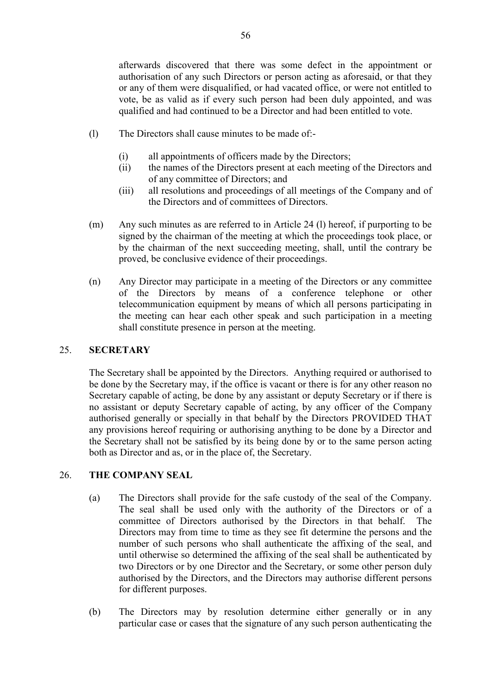afterwards discovered that there was some defect in the appointment or authorisation of any such Directors or person acting as aforesaid, or that they or any of them were disqualified, or had vacated office, or were not entitled to vote, be as valid as if every such person had been duly appointed, and was qualified and had continued to be a Director and had been entitled to vote.

- (l) The Directors shall cause minutes to be made of:-
	- (i) all appointments of officers made by the Directors;
	- (ii) the names of the Directors present at each meeting of the Directors and of any committee of Directors; and
	- (iii) all resolutions and proceedings of all meetings of the Company and of the Directors and of committees of Directors.
- (m) Any such minutes as are referred to in Article 24 (l) hereof, if purporting to be signed by the chairman of the meeting at which the proceedings took place, or by the chairman of the next succeeding meeting, shall, until the contrary be proved, be conclusive evidence of their proceedings.
- (n) Any Director may participate in a meeting of the Directors or any committee of the Directors by means of a conference telephone or other telecommunication equipment by means of which all persons participating in the meeting can hear each other speak and such participation in a meeting shall constitute presence in person at the meeting.

### 25. **SECRETARY**

 The Secretary shall be appointed by the Directors. Anything required or authorised to be done by the Secretary may, if the office is vacant or there is for any other reason no Secretary capable of acting, be done by any assistant or deputy Secretary or if there is no assistant or deputy Secretary capable of acting, by any officer of the Company authorised generally or specially in that behalf by the Directors PROVIDED THAT any provisions hereof requiring or authorising anything to be done by a Director and the Secretary shall not be satisfied by its being done by or to the same person acting both as Director and as, or in the place of, the Secretary.

# 26. **THE COMPANY SEAL**

- (a) The Directors shall provide for the safe custody of the seal of the Company. The seal shall be used only with the authority of the Directors or of a committee of Directors authorised by the Directors in that behalf. The Directors may from time to time as they see fit determine the persons and the number of such persons who shall authenticate the affixing of the seal, and until otherwise so determined the affixing of the seal shall be authenticated by two Directors or by one Director and the Secretary, or some other person duly authorised by the Directors, and the Directors may authorise different persons for different purposes.
- (b) The Directors may by resolution determine either generally or in any particular case or cases that the signature of any such person authenticating the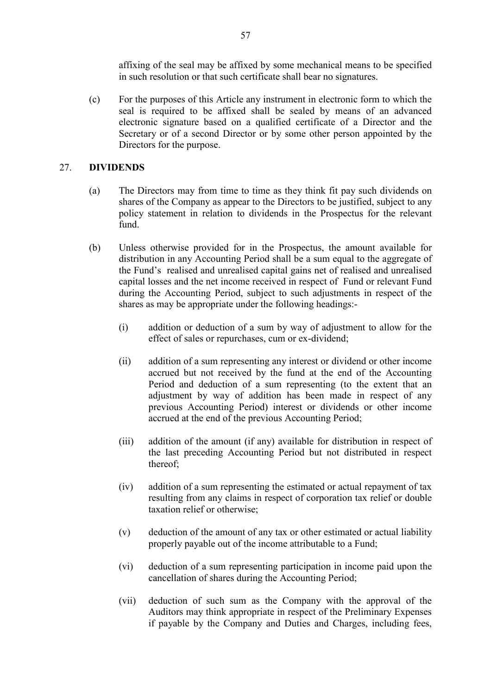affixing of the seal may be affixed by some mechanical means to be specified in such resolution or that such certificate shall bear no signatures.

 (c) For the purposes of this Article any instrument in electronic form to which the seal is required to be affixed shall be sealed by means of an advanced electronic signature based on a qualified certificate of a Director and the Secretary or of a second Director or by some other person appointed by the Directors for the purpose.

### 27. **DIVIDENDS**

- (a) The Directors may from time to time as they think fit pay such dividends on shares of the Company as appear to the Directors to be justified, subject to any policy statement in relation to dividends in the Prospectus for the relevant fund.
- (b) Unless otherwise provided for in the Prospectus, the amount available for distribution in any Accounting Period shall be a sum equal to the aggregate of the Fund's realised and unrealised capital gains net of realised and unrealised capital losses and the net income received in respect of Fund or relevant Fund during the Accounting Period, subject to such adjustments in respect of the shares as may be appropriate under the following headings:-
	- (i) addition or deduction of a sum by way of adjustment to allow for the effect of sales or repurchases, cum or ex-dividend;
	- (ii) addition of a sum representing any interest or dividend or other income accrued but not received by the fund at the end of the Accounting Period and deduction of a sum representing (to the extent that an adjustment by way of addition has been made in respect of any previous Accounting Period) interest or dividends or other income accrued at the end of the previous Accounting Period;
	- (iii) addition of the amount (if any) available for distribution in respect of the last preceding Accounting Period but not distributed in respect thereof;
	- (iv) addition of a sum representing the estimated or actual repayment of tax resulting from any claims in respect of corporation tax relief or double taxation relief or otherwise;
	- (v) deduction of the amount of any tax or other estimated or actual liability properly payable out of the income attributable to a Fund;
	- (vi) deduction of a sum representing participation in income paid upon the cancellation of shares during the Accounting Period;
	- (vii) deduction of such sum as the Company with the approval of the Auditors may think appropriate in respect of the Preliminary Expenses if payable by the Company and Duties and Charges, including fees,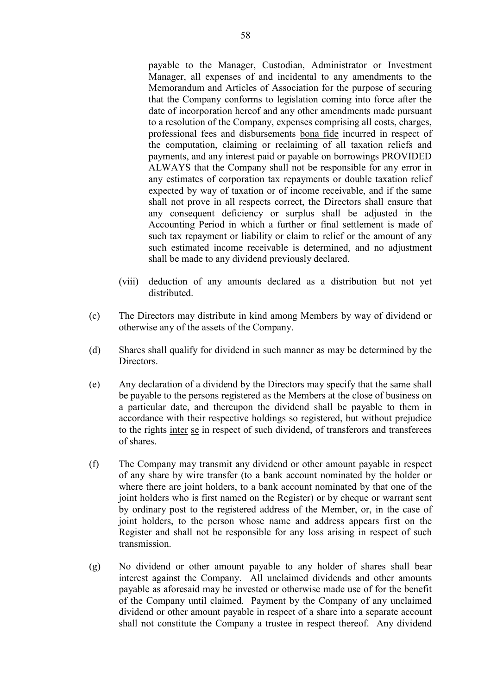payable to the Manager, Custodian, Administrator or Investment Manager, all expenses of and incidental to any amendments to the Memorandum and Articles of Association for the purpose of securing that the Company conforms to legislation coming into force after the date of incorporation hereof and any other amendments made pursuant to a resolution of the Company, expenses comprising all costs, charges, professional fees and disbursements bona fide incurred in respect of the computation, claiming or reclaiming of all taxation reliefs and payments, and any interest paid or payable on borrowings PROVIDED ALWAYS that the Company shall not be responsible for any error in any estimates of corporation tax repayments or double taxation relief expected by way of taxation or of income receivable, and if the same shall not prove in all respects correct, the Directors shall ensure that any consequent deficiency or surplus shall be adjusted in the Accounting Period in which a further or final settlement is made of such tax repayment or liability or claim to relief or the amount of any such estimated income receivable is determined, and no adjustment shall be made to any dividend previously declared.

- (viii) deduction of any amounts declared as a distribution but not yet distributed.
- (c) The Directors may distribute in kind among Members by way of dividend or otherwise any of the assets of the Company.
- (d) Shares shall qualify for dividend in such manner as may be determined by the Directors.
- (e) Any declaration of a dividend by the Directors may specify that the same shall be payable to the persons registered as the Members at the close of business on a particular date, and thereupon the dividend shall be payable to them in accordance with their respective holdings so registered, but without prejudice to the rights inter se in respect of such dividend, of transferors and transferees of shares.
- (f) The Company may transmit any dividend or other amount payable in respect of any share by wire transfer (to a bank account nominated by the holder or where there are joint holders, to a bank account nominated by that one of the joint holders who is first named on the Register) or by cheque or warrant sent by ordinary post to the registered address of the Member, or, in the case of joint holders, to the person whose name and address appears first on the Register and shall not be responsible for any loss arising in respect of such transmission.
- (g) No dividend or other amount payable to any holder of shares shall bear interest against the Company. All unclaimed dividends and other amounts payable as aforesaid may be invested or otherwise made use of for the benefit of the Company until claimed. Payment by the Company of any unclaimed dividend or other amount payable in respect of a share into a separate account shall not constitute the Company a trustee in respect thereof. Any dividend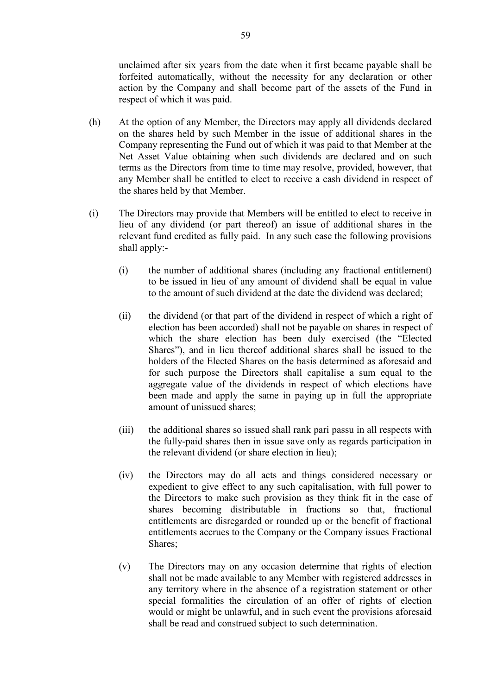unclaimed after six years from the date when it first became payable shall be forfeited automatically, without the necessity for any declaration or other action by the Company and shall become part of the assets of the Fund in respect of which it was paid.

- (h) At the option of any Member, the Directors may apply all dividends declared on the shares held by such Member in the issue of additional shares in the Company representing the Fund out of which it was paid to that Member at the Net Asset Value obtaining when such dividends are declared and on such terms as the Directors from time to time may resolve, provided, however, that any Member shall be entitled to elect to receive a cash dividend in respect of the shares held by that Member.
- (i) The Directors may provide that Members will be entitled to elect to receive in lieu of any dividend (or part thereof) an issue of additional shares in the relevant fund credited as fully paid. In any such case the following provisions shall apply:-
	- (i) the number of additional shares (including any fractional entitlement) to be issued in lieu of any amount of dividend shall be equal in value to the amount of such dividend at the date the dividend was declared;
	- (ii) the dividend (or that part of the dividend in respect of which a right of election has been accorded) shall not be payable on shares in respect of which the share election has been duly exercised (the "Elected Shares"), and in lieu thereof additional shares shall be issued to the holders of the Elected Shares on the basis determined as aforesaid and for such purpose the Directors shall capitalise a sum equal to the aggregate value of the dividends in respect of which elections have been made and apply the same in paying up in full the appropriate amount of unissued shares;
	- (iii) the additional shares so issued shall rank pari passu in all respects with the fully-paid shares then in issue save only as regards participation in the relevant dividend (or share election in lieu);
	- (iv) the Directors may do all acts and things considered necessary or expedient to give effect to any such capitalisation, with full power to the Directors to make such provision as they think fit in the case of shares becoming distributable in fractions so that, fractional entitlements are disregarded or rounded up or the benefit of fractional entitlements accrues to the Company or the Company issues Fractional Shares;
	- (v) The Directors may on any occasion determine that rights of election shall not be made available to any Member with registered addresses in any territory where in the absence of a registration statement or other special formalities the circulation of an offer of rights of election would or might be unlawful, and in such event the provisions aforesaid shall be read and construed subject to such determination.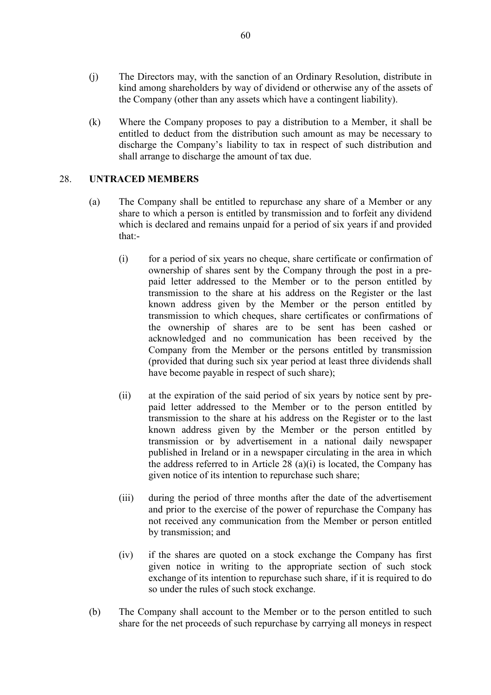- (j) The Directors may, with the sanction of an Ordinary Resolution, distribute in kind among shareholders by way of dividend or otherwise any of the assets of the Company (other than any assets which have a contingent liability).
- (k) Where the Company proposes to pay a distribution to a Member, it shall be entitled to deduct from the distribution such amount as may be necessary to discharge the Company's liability to tax in respect of such distribution and shall arrange to discharge the amount of tax due.

# 28. **UNTRACED MEMBERS**

- (a) The Company shall be entitled to repurchase any share of a Member or any share to which a person is entitled by transmission and to forfeit any dividend which is declared and remains unpaid for a period of six years if and provided that:-
	- (i) for a period of six years no cheque, share certificate or confirmation of ownership of shares sent by the Company through the post in a prepaid letter addressed to the Member or to the person entitled by transmission to the share at his address on the Register or the last known address given by the Member or the person entitled by transmission to which cheques, share certificates or confirmations of the ownership of shares are to be sent has been cashed or acknowledged and no communication has been received by the Company from the Member or the persons entitled by transmission (provided that during such six year period at least three dividends shall have become payable in respect of such share);
	- (ii) at the expiration of the said period of six years by notice sent by prepaid letter addressed to the Member or to the person entitled by transmission to the share at his address on the Register or to the last known address given by the Member or the person entitled by transmission or by advertisement in a national daily newspaper published in Ireland or in a newspaper circulating in the area in which the address referred to in Article 28 (a)(i) is located, the Company has given notice of its intention to repurchase such share;
	- (iii) during the period of three months after the date of the advertisement and prior to the exercise of the power of repurchase the Company has not received any communication from the Member or person entitled by transmission; and
	- (iv) if the shares are quoted on a stock exchange the Company has first given notice in writing to the appropriate section of such stock exchange of its intention to repurchase such share, if it is required to do so under the rules of such stock exchange.
- (b) The Company shall account to the Member or to the person entitled to such share for the net proceeds of such repurchase by carrying all moneys in respect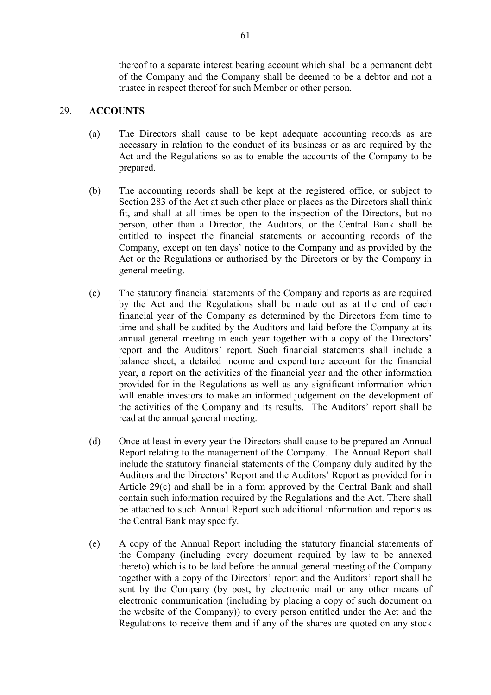thereof to a separate interest bearing account which shall be a permanent debt of the Company and the Company shall be deemed to be a debtor and not a trustee in respect thereof for such Member or other person.

## 29. **ACCOUNTS**

- (a) The Directors shall cause to be kept adequate accounting records as are necessary in relation to the conduct of its business or as are required by the Act and the Regulations so as to enable the accounts of the Company to be prepared.
- (b) The accounting records shall be kept at the registered office, or subject to Section 283 of the Act at such other place or places as the Directors shall think fit, and shall at all times be open to the inspection of the Directors, but no person, other than a Director, the Auditors, or the Central Bank shall be entitled to inspect the financial statements or accounting records of the Company, except on ten days' notice to the Company and as provided by the Act or the Regulations or authorised by the Directors or by the Company in general meeting.
- (c) The statutory financial statements of the Company and reports as are required by the Act and the Regulations shall be made out as at the end of each financial year of the Company as determined by the Directors from time to time and shall be audited by the Auditors and laid before the Company at its annual general meeting in each year together with a copy of the Directors' report and the Auditors' report. Such financial statements shall include a balance sheet, a detailed income and expenditure account for the financial year, a report on the activities of the financial year and the other information provided for in the Regulations as well as any significant information which will enable investors to make an informed judgement on the development of the activities of the Company and its results. The Auditors' report shall be read at the annual general meeting.
- (d) Once at least in every year the Directors shall cause to be prepared an Annual Report relating to the management of the Company. The Annual Report shall include the statutory financial statements of the Company duly audited by the Auditors and the Directors' Report and the Auditors' Report as provided for in Article 29(c) and shall be in a form approved by the Central Bank and shall contain such information required by the Regulations and the Act. There shall be attached to such Annual Report such additional information and reports as the Central Bank may specify.
- (e) A copy of the Annual Report including the statutory financial statements of the Company (including every document required by law to be annexed thereto) which is to be laid before the annual general meeting of the Company together with a copy of the Directors' report and the Auditors' report shall be sent by the Company (by post, by electronic mail or any other means of electronic communication (including by placing a copy of such document on the website of the Company)) to every person entitled under the Act and the Regulations to receive them and if any of the shares are quoted on any stock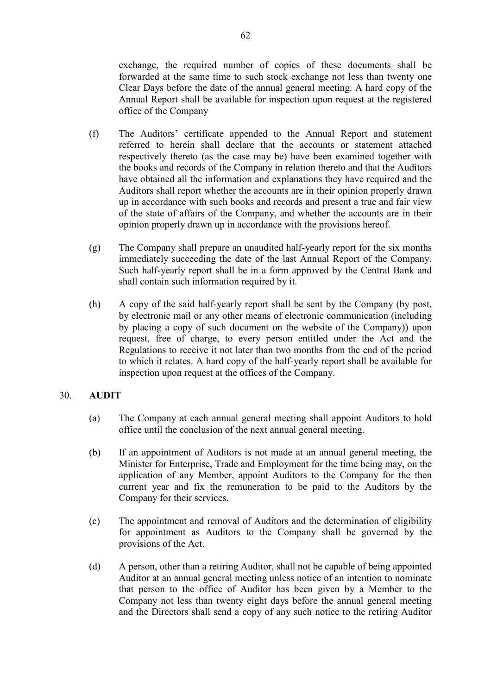exchange, the required number of copies of these documents shall be forwarded at the same time to such stock exchange not less than twenty one Clear Days before the date of the annual general meeting. A hard copy of the Annual Report shall be available for inspection upon request at the registered office of the Company

- (f) The Auditors' certificate appended to the Annual Report and statement referred to herein shall declare that the accounts or statement attached respectively thereto (as the case may be) have been examined together with the books and records of the Company in relation thereto and that the Auditors have obtained all the information and explanations they have required and the Auditors shall report whether the accounts are in their opinion properly drawn up in accordance with such books and records and present a true and fair view of the state of affairs of the Company, and whether the accounts are in their opinion properly drawn up in accordance with the provisions hereof.
- (g) The Company shall prepare an unaudited half-yearly report for the six months immediately succeeding the date of the last Annual Report of the Company. Such half-yearly report shall be in a form approved by the Central Bank and shall contain such information required by it.
- (h) A copy of the said half-yearly report shall be sent by the Company (by post, by electronic mail or any other means of electronic communication (including by placing a copy of such document on the website of the Company)) upon request, free of charge, to every person entitled under the Act and the Regulations to receive it not later than two months from the end of the period to which it relates. A hard copy of the half-yearly report shall be available for inspection upon request at the offices of the Company.

# 30. **AUDIT**

- (a) The Company at each annual general meeting shall appoint Auditors to hold office until the conclusion of the next annual general meeting.
- (b) If an appointment of Auditors is not made at an annual general meeting, the Minister for Enterprise, Trade and Employment for the time being may, on the application of any Member, appoint Auditors to the Company for the then current year and fix the remuneration to be paid to the Auditors by the Company for their services.
- (c) The appointment and removal of Auditors and the determination of eligibility for appointment as Auditors to the Company shall be governed by the provisions of the Act.
- (d) A person, other than a retiring Auditor, shall not be capable of being appointed Auditor at an annual general meeting unless notice of an intention to nominate that person to the office of Auditor has been given by a Member to the Company not less than twenty eight days before the annual general meeting and the Directors shall send a copy of any such notice to the retiring Auditor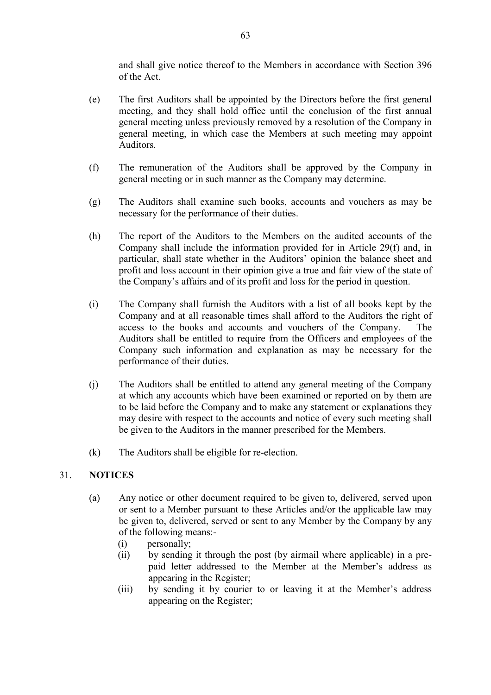and shall give notice thereof to the Members in accordance with Section 396 of the Act.

- (e) The first Auditors shall be appointed by the Directors before the first general meeting, and they shall hold office until the conclusion of the first annual general meeting unless previously removed by a resolution of the Company in general meeting, in which case the Members at such meeting may appoint Auditors.
- (f) The remuneration of the Auditors shall be approved by the Company in general meeting or in such manner as the Company may determine.
- (g) The Auditors shall examine such books, accounts and vouchers as may be necessary for the performance of their duties.
- (h) The report of the Auditors to the Members on the audited accounts of the Company shall include the information provided for in Article 29(f) and, in particular, shall state whether in the Auditors' opinion the balance sheet and profit and loss account in their opinion give a true and fair view of the state of the Company's affairs and of its profit and loss for the period in question.
- (i) The Company shall furnish the Auditors with a list of all books kept by the Company and at all reasonable times shall afford to the Auditors the right of access to the books and accounts and vouchers of the Company. The Auditors shall be entitled to require from the Officers and employees of the Company such information and explanation as may be necessary for the performance of their duties.
- (j) The Auditors shall be entitled to attend any general meeting of the Company at which any accounts which have been examined or reported on by them are to be laid before the Company and to make any statement or explanations they may desire with respect to the accounts and notice of every such meeting shall be given to the Auditors in the manner prescribed for the Members.
- (k) The Auditors shall be eligible for re-election.

# 31. **NOTICES**

- (a) Any notice or other document required to be given to, delivered, served upon or sent to a Member pursuant to these Articles and/or the applicable law may be given to, delivered, served or sent to any Member by the Company by any of the following means:-
	- (i) personally;
	- (ii) by sending it through the post (by airmail where applicable) in a prepaid letter addressed to the Member at the Member's address as appearing in the Register;
	- (iii) by sending it by courier to or leaving it at the Member's address appearing on the Register;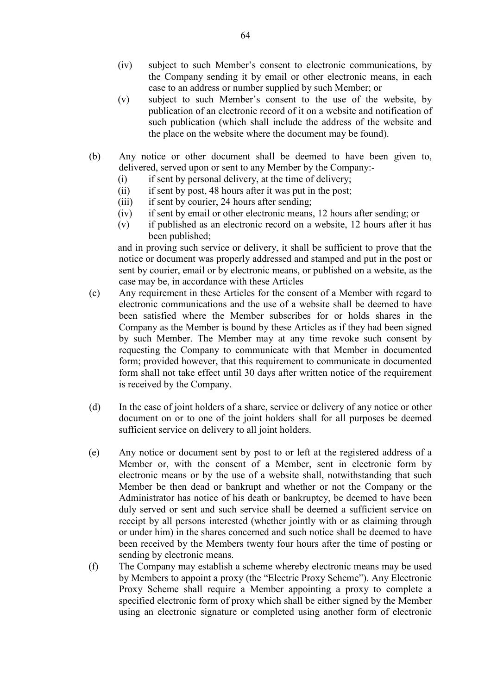- (iv) subject to such Member's consent to electronic communications, by the Company sending it by email or other electronic means, in each case to an address or number supplied by such Member; or
- (v) subject to such Member's consent to the use of the website, by publication of an electronic record of it on a website and notification of such publication (which shall include the address of the website and the place on the website where the document may be found).
- (b) Any notice or other document shall be deemed to have been given to, delivered, served upon or sent to any Member by the Company:-
	- (i) if sent by personal delivery, at the time of delivery;
	- (ii) if sent by post, 48 hours after it was put in the post;
	- (iii) if sent by courier, 24 hours after sending;
	- (iv) if sent by email or other electronic means, 12 hours after sending; or
	- (v) if published as an electronic record on a website, 12 hours after it has been published;

and in proving such service or delivery, it shall be sufficient to prove that the notice or document was properly addressed and stamped and put in the post or sent by courier, email or by electronic means, or published on a website, as the case may be, in accordance with these Articles

- (c) Any requirement in these Articles for the consent of a Member with regard to electronic communications and the use of a website shall be deemed to have been satisfied where the Member subscribes for or holds shares in the Company as the Member is bound by these Articles as if they had been signed by such Member. The Member may at any time revoke such consent by requesting the Company to communicate with that Member in documented form; provided however, that this requirement to communicate in documented form shall not take effect until 30 days after written notice of the requirement is received by the Company.
- (d) In the case of joint holders of a share, service or delivery of any notice or other document on or to one of the joint holders shall for all purposes be deemed sufficient service on delivery to all joint holders.
- (e) Any notice or document sent by post to or left at the registered address of a Member or, with the consent of a Member, sent in electronic form by electronic means or by the use of a website shall, notwithstanding that such Member be then dead or bankrupt and whether or not the Company or the Administrator has notice of his death or bankruptcy, be deemed to have been duly served or sent and such service shall be deemed a sufficient service on receipt by all persons interested (whether jointly with or as claiming through or under him) in the shares concerned and such notice shall be deemed to have been received by the Members twenty four hours after the time of posting or sending by electronic means.
- (f) The Company may establish a scheme whereby electronic means may be used by Members to appoint a proxy (the "Electric Proxy Scheme"). Any Electronic Proxy Scheme shall require a Member appointing a proxy to complete a specified electronic form of proxy which shall be either signed by the Member using an electronic signature or completed using another form of electronic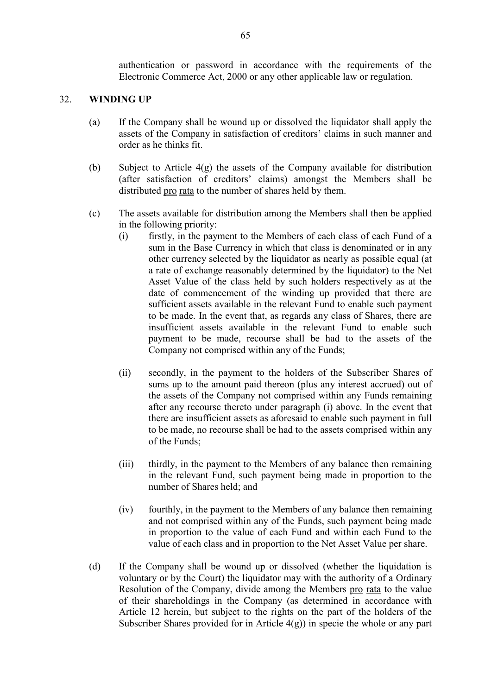authentication or password in accordance with the requirements of the Electronic Commerce Act, 2000 or any other applicable law or regulation.

### 32. **WINDING UP**

- (a) If the Company shall be wound up or dissolved the liquidator shall apply the assets of the Company in satisfaction of creditors' claims in such manner and order as he thinks fit.
- (b) Subject to Article  $4(g)$  the assets of the Company available for distribution (after satisfaction of creditors' claims) amongst the Members shall be distributed pro rata to the number of shares held by them.
- (c) The assets available for distribution among the Members shall then be applied in the following priority:
	- (i) firstly, in the payment to the Members of each class of each Fund of a sum in the Base Currency in which that class is denominated or in any other currency selected by the liquidator as nearly as possible equal (at a rate of exchange reasonably determined by the liquidator) to the Net Asset Value of the class held by such holders respectively as at the date of commencement of the winding up provided that there are sufficient assets available in the relevant Fund to enable such payment to be made. In the event that, as regards any class of Shares, there are insufficient assets available in the relevant Fund to enable such payment to be made, recourse shall be had to the assets of the Company not comprised within any of the Funds;
	- (ii) secondly, in the payment to the holders of the Subscriber Shares of sums up to the amount paid thereon (plus any interest accrued) out of the assets of the Company not comprised within any Funds remaining after any recourse thereto under paragraph (i) above. In the event that there are insufficient assets as aforesaid to enable such payment in full to be made, no recourse shall be had to the assets comprised within any of the Funds;
	- (iii) thirdly, in the payment to the Members of any balance then remaining in the relevant Fund, such payment being made in proportion to the number of Shares held; and
	- (iv) fourthly, in the payment to the Members of any balance then remaining and not comprised within any of the Funds, such payment being made in proportion to the value of each Fund and within each Fund to the value of each class and in proportion to the Net Asset Value per share.
- (d) If the Company shall be wound up or dissolved (whether the liquidation is voluntary or by the Court) the liquidator may with the authority of a Ordinary Resolution of the Company, divide among the Members pro rata to the value of their shareholdings in the Company (as determined in accordance with Article 12 herein, but subject to the rights on the part of the holders of the Subscriber Shares provided for in Article  $4(g)$ ) in specie the whole or any part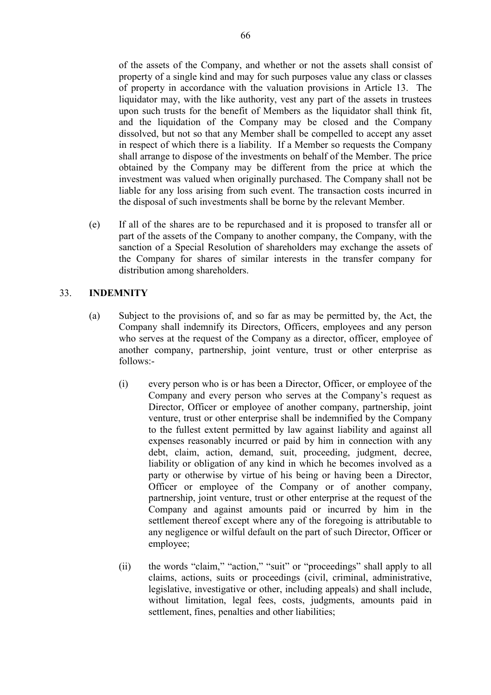of the assets of the Company, and whether or not the assets shall consist of property of a single kind and may for such purposes value any class or classes of property in accordance with the valuation provisions in Article 13. The liquidator may, with the like authority, vest any part of the assets in trustees upon such trusts for the benefit of Members as the liquidator shall think fit, and the liquidation of the Company may be closed and the Company dissolved, but not so that any Member shall be compelled to accept any asset in respect of which there is a liability. If a Member so requests the Company shall arrange to dispose of the investments on behalf of the Member. The price obtained by the Company may be different from the price at which the investment was valued when originally purchased. The Company shall not be liable for any loss arising from such event. The transaction costs incurred in the disposal of such investments shall be borne by the relevant Member.

 (e) If all of the shares are to be repurchased and it is proposed to transfer all or part of the assets of the Company to another company, the Company, with the sanction of a Special Resolution of shareholders may exchange the assets of the Company for shares of similar interests in the transfer company for distribution among shareholders.

# 33. **INDEMNITY**

- (a) Subject to the provisions of, and so far as may be permitted by, the Act, the Company shall indemnify its Directors, Officers, employees and any person who serves at the request of the Company as a director, officer, employee of another company, partnership, joint venture, trust or other enterprise as follows:-
	- (i) every person who is or has been a Director, Officer, or employee of the Company and every person who serves at the Company's request as Director, Officer or employee of another company, partnership, joint venture, trust or other enterprise shall be indemnified by the Company to the fullest extent permitted by law against liability and against all expenses reasonably incurred or paid by him in connection with any debt, claim, action, demand, suit, proceeding, judgment, decree, liability or obligation of any kind in which he becomes involved as a party or otherwise by virtue of his being or having been a Director, Officer or employee of the Company or of another company, partnership, joint venture, trust or other enterprise at the request of the Company and against amounts paid or incurred by him in the settlement thereof except where any of the foregoing is attributable to any negligence or wilful default on the part of such Director, Officer or employee;
	- (ii) the words "claim," "action," "suit" or "proceedings" shall apply to all claims, actions, suits or proceedings (civil, criminal, administrative, legislative, investigative or other, including appeals) and shall include, without limitation, legal fees, costs, judgments, amounts paid in settlement, fines, penalties and other liabilities;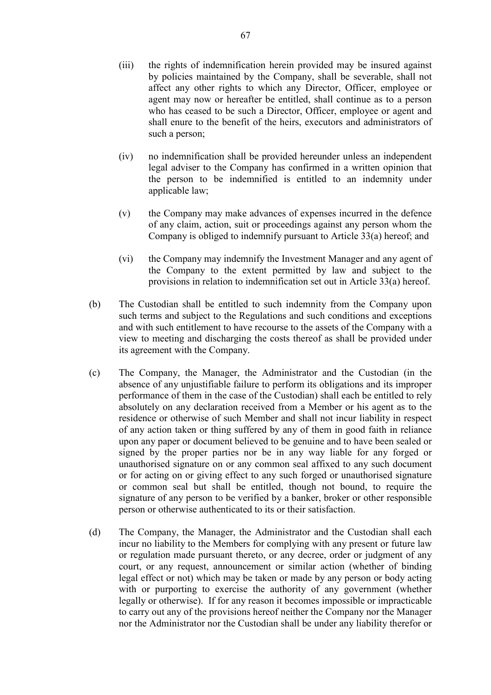- (iii) the rights of indemnification herein provided may be insured against by policies maintained by the Company, shall be severable, shall not affect any other rights to which any Director, Officer, employee or agent may now or hereafter be entitled, shall continue as to a person who has ceased to be such a Director, Officer, employee or agent and shall enure to the benefit of the heirs, executors and administrators of such a person;
- (iv) no indemnification shall be provided hereunder unless an independent legal adviser to the Company has confirmed in a written opinion that the person to be indemnified is entitled to an indemnity under applicable law;
- (v) the Company may make advances of expenses incurred in the defence of any claim, action, suit or proceedings against any person whom the Company is obliged to indemnify pursuant to Article 33(a) hereof; and
- (vi) the Company may indemnify the Investment Manager and any agent of the Company to the extent permitted by law and subject to the provisions in relation to indemnification set out in Article 33(a) hereof.
- (b) The Custodian shall be entitled to such indemnity from the Company upon such terms and subject to the Regulations and such conditions and exceptions and with such entitlement to have recourse to the assets of the Company with a view to meeting and discharging the costs thereof as shall be provided under its agreement with the Company.
- (c) The Company, the Manager, the Administrator and the Custodian (in the absence of any unjustifiable failure to perform its obligations and its improper performance of them in the case of the Custodian) shall each be entitled to rely absolutely on any declaration received from a Member or his agent as to the residence or otherwise of such Member and shall not incur liability in respect of any action taken or thing suffered by any of them in good faith in reliance upon any paper or document believed to be genuine and to have been sealed or signed by the proper parties nor be in any way liable for any forged or unauthorised signature on or any common seal affixed to any such document or for acting on or giving effect to any such forged or unauthorised signature or common seal but shall be entitled, though not bound, to require the signature of any person to be verified by a banker, broker or other responsible person or otherwise authenticated to its or their satisfaction.
- (d) The Company, the Manager, the Administrator and the Custodian shall each incur no liability to the Members for complying with any present or future law or regulation made pursuant thereto, or any decree, order or judgment of any court, or any request, announcement or similar action (whether of binding legal effect or not) which may be taken or made by any person or body acting with or purporting to exercise the authority of any government (whether legally or otherwise). If for any reason it becomes impossible or impracticable to carry out any of the provisions hereof neither the Company nor the Manager nor the Administrator nor the Custodian shall be under any liability therefor or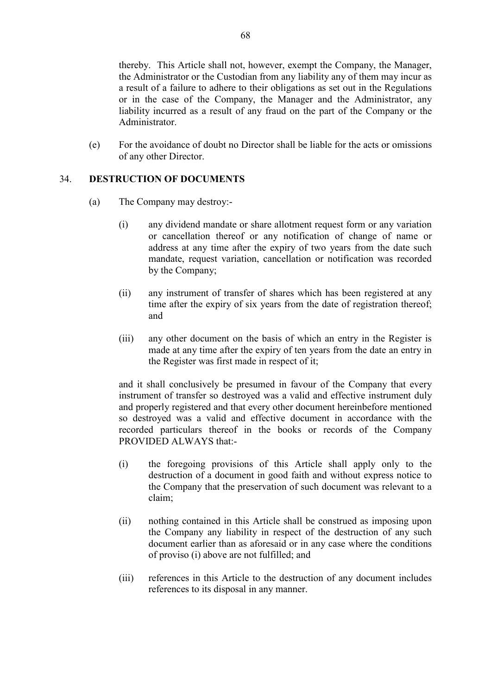thereby. This Article shall not, however, exempt the Company, the Manager, the Administrator or the Custodian from any liability any of them may incur as a result of a failure to adhere to their obligations as set out in the Regulations or in the case of the Company, the Manager and the Administrator, any liability incurred as a result of any fraud on the part of the Company or the Administrator.

 (e) For the avoidance of doubt no Director shall be liable for the acts or omissions of any other Director.

### 34. **DESTRUCTION OF DOCUMENTS**

- (a) The Company may destroy:-
	- (i) any dividend mandate or share allotment request form or any variation or cancellation thereof or any notification of change of name or address at any time after the expiry of two years from the date such mandate, request variation, cancellation or notification was recorded by the Company;
	- (ii) any instrument of transfer of shares which has been registered at any time after the expiry of six years from the date of registration thereof; and
	- (iii) any other document on the basis of which an entry in the Register is made at any time after the expiry of ten years from the date an entry in the Register was first made in respect of it;

 and it shall conclusively be presumed in favour of the Company that every instrument of transfer so destroyed was a valid and effective instrument duly and properly registered and that every other document hereinbefore mentioned so destroyed was a valid and effective document in accordance with the recorded particulars thereof in the books or records of the Company PROVIDED ALWAYS that:-

- (i) the foregoing provisions of this Article shall apply only to the destruction of a document in good faith and without express notice to the Company that the preservation of such document was relevant to a claim;
- (ii) nothing contained in this Article shall be construed as imposing upon the Company any liability in respect of the destruction of any such document earlier than as aforesaid or in any case where the conditions of proviso (i) above are not fulfilled; and
- (iii) references in this Article to the destruction of any document includes references to its disposal in any manner.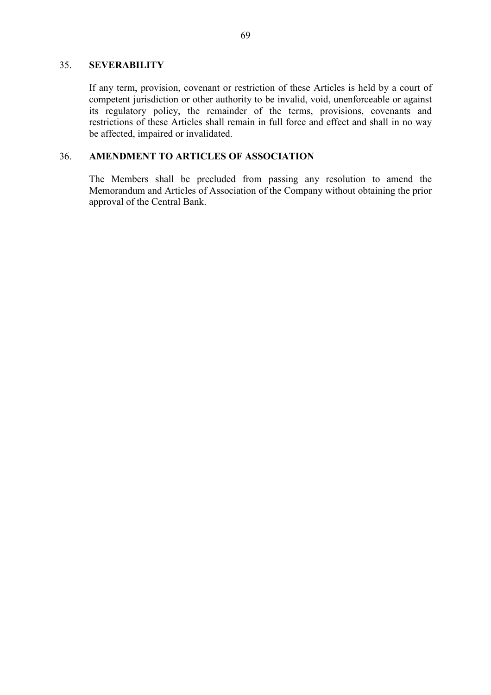### 35. **SEVERABILITY**

 If any term, provision, covenant or restriction of these Articles is held by a court of competent jurisdiction or other authority to be invalid, void, unenforceable or against its regulatory policy, the remainder of the terms, provisions, covenants and restrictions of these Articles shall remain in full force and effect and shall in no way be affected, impaired or invalidated.

## 36. **AMENDMENT TO ARTICLES OF ASSOCIATION**

 The Members shall be precluded from passing any resolution to amend the Memorandum and Articles of Association of the Company without obtaining the prior approval of the Central Bank.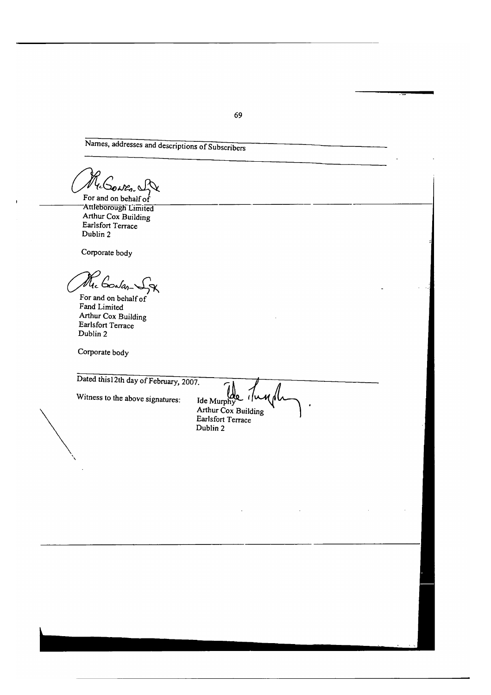Names, addresses and descriptions of Subscribers

Re Gowers

For and on behalf of Attleborough Limited Arthur Cox Building Earlsfort Terrace Dublin 2

Corporate body

The Godan

For and on behalf of Fand Limited Arthur Cox Building Earlsfort Terrace Dublin 2

Corporate body

Dated this 12th day of February, 2007.

Witness to the above signatures:

Ide Murphy  $1/\mu$ Arthur Cox Building Earlsfort Terrace Dublin 2